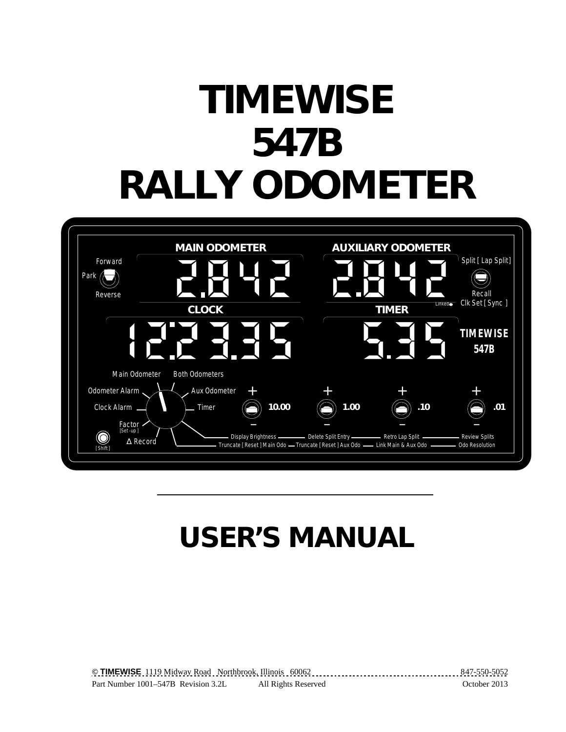# **TIMEWISE 547B RALLY ODOMETER**



# **USER'S MANUAL**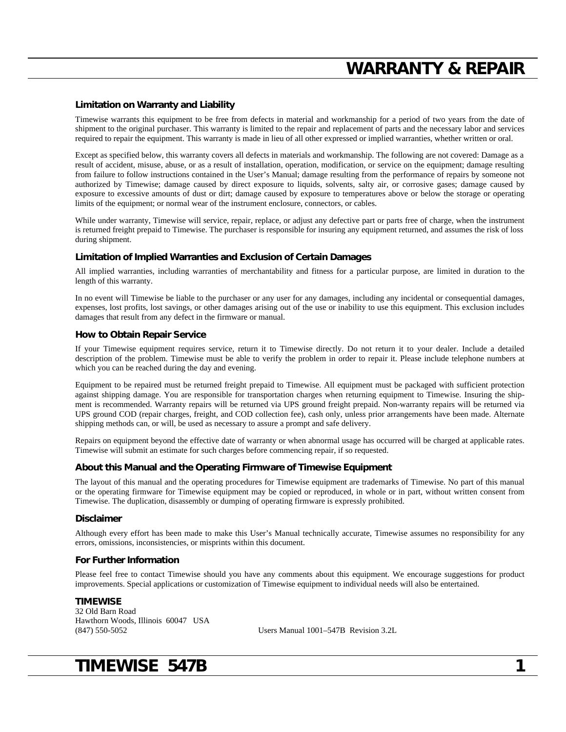## **WARRANTY & REPAIR**

#### **Limitation on Warranty and Liability**

Timewise warrants this equipment to be free from defects in material and workmanship for a period of two years from the date of shipment to the original purchaser. This warranty is limited to the repair and replacement of parts and the necessary labor and services required to repair the equipment. This warranty is made in lieu of all other expressed or implied warranties, whether written or oral.

Except as specified below, this warranty covers all defects in materials and workmanship. The following are not covered: Damage as a result of accident, misuse, abuse, or as a result of installation, operation, modification, or service on the equipment; damage resulting from failure to follow instructions contained in the User's Manual; damage resulting from the performance of repairs by someone not authorized by Timewise; damage caused by direct exposure to liquids, solvents, salty air, or corrosive gases; damage caused by exposure to excessive amounts of dust or dirt; damage caused by exposure to temperatures above or below the storage or operating limits of the equipment; or normal wear of the instrument enclosure, connectors, or cables.

While under warranty, Timewise will service, repair, replace, or adjust any defective part or parts free of charge, when the instrument is returned freight prepaid to Timewise. The purchaser is responsible for insuring any equipment returned, and assumes the risk of loss during shipment.

#### **Limitation of Implied Warranties and Exclusion of Certain Damages**

All implied warranties, including warranties of merchantability and fitness for a particular purpose, are limited in duration to the length of this warranty.

In no event will Timewise be liable to the purchaser or any user for any damages, including any incidental or consequential damages, expenses, lost profits, lost savings, or other damages arising out of the use or inability to use this equipment. This exclusion includes damages that result from any defect in the firmware or manual.

#### **How to Obtain Repair Service**

If your Timewise equipment requires service, return it to Timewise directly. Do not return it to your dealer. Include a detailed description of the problem. Timewise must be able to verify the problem in order to repair it. Please include telephone numbers at which you can be reached during the day and evening.

Equipment to be repaired must be returned freight prepaid to Timewise. All equipment must be packaged with sufficient protection against shipping damage. You are responsible for transportation charges when returning equipment to Timewise. Insuring the shipment is recommended. Warranty repairs will be returned via UPS ground freight prepaid. Non-warranty repairs will be returned via UPS ground COD (repair charges, freight, and COD collection fee), cash only, unless prior arrangements have been made. Alternate shipping methods can, or will, be used as necessary to assure a prompt and safe delivery.

Repairs on equipment beyond the effective date of warranty or when abnormal usage has occurred will be charged at applicable rates. Timewise will submit an estimate for such charges before commencing repair, if so requested.

#### **About this Manual and the Operating Firmware of Timewise Equipment**

The layout of this manual and the operating procedures for Timewise equipment are trademarks of Timewise. No part of this manual or the operating firmware for Timewise equipment may be copied or reproduced, in whole or in part, without written consent from Timewise. The duplication, disassembly or dumping of operating firmware is expressly prohibited.

#### **Disclaimer**

Although every effort has been made to make this User's Manual technically accurate, Timewise assumes no responsibility for any errors, omissions, inconsistencies, or misprints within this document.

#### **For Further Information**

Please feel free to contact Timewise should you have any comments about this equipment. We encourage suggestions for product improvements. Special applications or customization of Timewise equipment to individual needs will also be entertained.

#### **TIMEWISE**

32 Old Barn Road Hawthorn Woods, Illinois 60047 USA (847) 550-5052

(847) 550-5052 Users Manual 1001–547B Revision 3.2L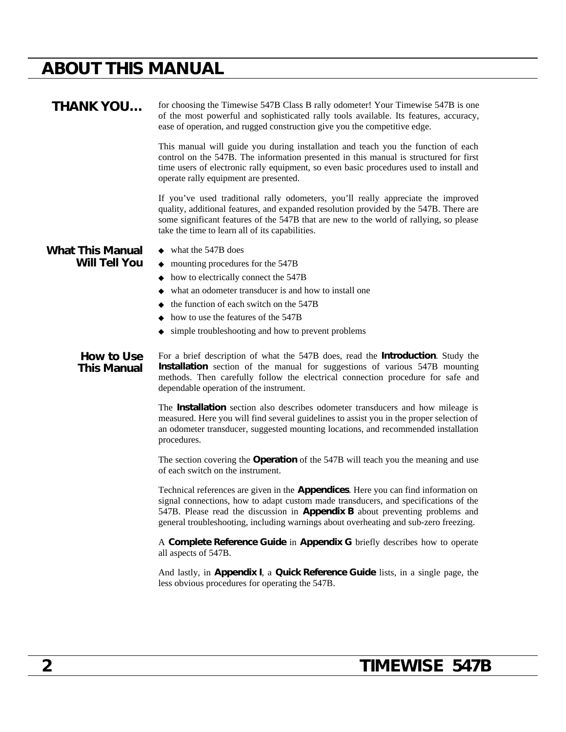# **ABOUT THIS MANUAL**

| <b>THANK YOU</b>                 | for choosing the Timewise 547B Class B rally odometer! Your Timewise 547B is one<br>of the most powerful and sophisticated rally tools available. Its features, accuracy,<br>ease of operation, and rugged construction give you the competitive edge.                                                                                                           |
|----------------------------------|------------------------------------------------------------------------------------------------------------------------------------------------------------------------------------------------------------------------------------------------------------------------------------------------------------------------------------------------------------------|
|                                  | This manual will guide you during installation and teach you the function of each<br>control on the 547B. The information presented in this manual is structured for first<br>time users of electronic rally equipment, so even basic procedures used to install and<br>operate rally equipment are presented.                                                   |
|                                  | If you've used traditional rally odometers, you'll really appreciate the improved<br>quality, additional features, and expanded resolution provided by the 547B. There are<br>some significant features of the 547B that are new to the world of rallying, so please<br>take the time to learn all of its capabilities.                                          |
| <b>What This Manual</b>          | $\bullet$ what the 547B does                                                                                                                                                                                                                                                                                                                                     |
| <b>Will Tell You</b>             | $\bullet$ mounting procedures for the 547B                                                                                                                                                                                                                                                                                                                       |
|                                  | $\bullet$ how to electrically connect the 547B                                                                                                                                                                                                                                                                                                                   |
|                                  | • what an odometer transducer is and how to install one                                                                                                                                                                                                                                                                                                          |
|                                  | $\bullet$ the function of each switch on the 547B                                                                                                                                                                                                                                                                                                                |
|                                  | • how to use the features of the 547B                                                                                                                                                                                                                                                                                                                            |
|                                  | • simple troubleshooting and how to prevent problems                                                                                                                                                                                                                                                                                                             |
| How to Use<br><b>This Manual</b> | For a brief description of what the 547B does, read the Introduction. Study the<br>Installation section of the manual for suggestions of various 547B mounting<br>methods. Then carefully follow the electrical connection procedure for safe and<br>dependable operation of the instrument.                                                                     |
|                                  | The Installation section also describes odometer transducers and how mileage is<br>measured. Here you will find several guidelines to assist you in the proper selection of<br>an odometer transducer, suggested mounting locations, and recommended installation<br>procedures.                                                                                 |
|                                  | The section covering the Operation of the 547B will teach you the meaning and use<br>of each switch on the instrument.                                                                                                                                                                                                                                           |
|                                  | Technical references are given in the <b>Appendices</b> . Here you can find information on<br>signal connections, how to adapt custom made transducers, and specifications of the<br>547B. Please read the discussion in <b>Appendix B</b> about preventing problems and<br>general troubleshooting, including warnings about overheating and sub-zero freezing. |
|                                  | A Complete Reference Guide in Appendix G briefly describes how to operate<br>all aspects of 547B.                                                                                                                                                                                                                                                                |
|                                  | And lastly, in Appendix I, a Quick Reference Guide lists, in a single page, the<br>less obvious procedures for operating the 547B.                                                                                                                                                                                                                               |
|                                  |                                                                                                                                                                                                                                                                                                                                                                  |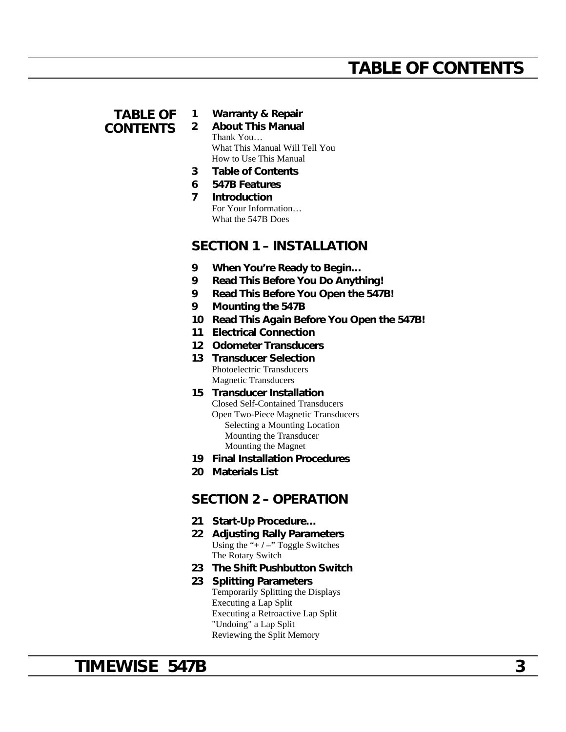### **TABLE OF CONTENTS**

#### **1 Warranty & Repair**

**2 About This Manual** Thank You… What This Manual Will Tell You How to Use This Manual

- **3 Table of Contents**
- **6 547B Features**
- **7 Introduction** For Your Information… What the 547B Does

### **SECTION 1 – INSTALLATION**

- **9 When You're Ready to Begin…**
- **9 Read This Before You Do Anything!**
- **9 Read This Before You Open the 547B!**
- **9 Mounting the 547B**
- **10 Read This Again Before You Open the 547B!**
- **11 Electrical Connection**
- **12 Odometer Transducers**
- **13 Transducer Selection** Photoelectric Transducers Magnetic Transducers
- **15 Transducer Installation** Closed Self-Contained Transducers Open Two-Piece Magnetic Transducers Selecting a Mounting Location Mounting the Transducer Mounting the Magnet
- **19 Final Installation Procedures**
- **20 Materials List**

### **SECTION 2 – OPERATION**

- **21 Start-Up Procedure…**
- **22 Adjusting Rally Parameters** Using the "**+ / –**" Toggle Switches The Rotary Switch
- **23 The Shift Pushbutton Switch**
- **23 Splitting Parameters** Temporarily Splitting the Displays Executing a Lap Split Executing a Retroactive Lap Split "Undoing" a Lap Split Reviewing the Split Memory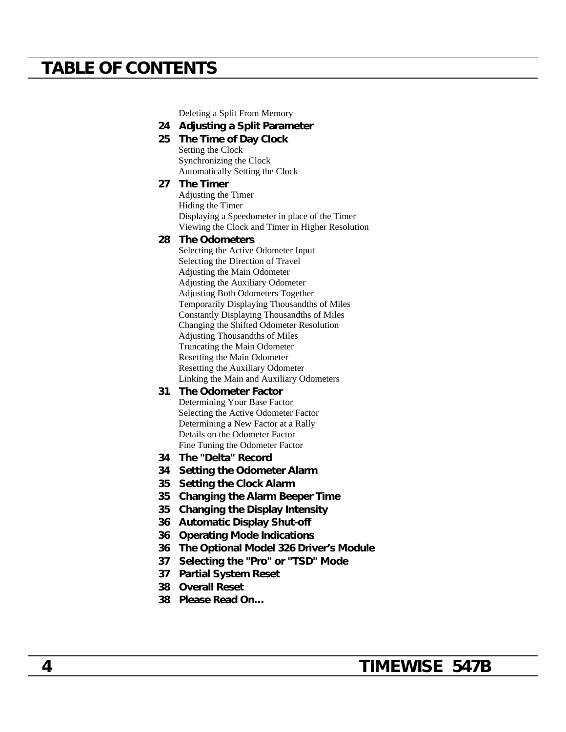## **TABLE OF CONTENTS**

Deleting a Split From Memory

#### **24 Adjusting a Split Parameter**

**25 The Time of Day Clock** Setting the Clock Synchronizing the Clock Automatically Setting the Clock

#### **27 The Timer**

Adjusting the Timer Hiding the Timer Displaying a Speedometer in place of the Timer Viewing the Clock and Timer in Higher Resolution

#### **28 The Odometers**

Selecting the Active Odometer Input Selecting the Direction of Travel Adjusting the Main Odometer Adjusting the Auxiliary Odometer Adjusting Both Odometers Together Temporarily Displaying Thousandths of Miles Constantly Displaying Thousandths of Miles Changing the Shifted Odometer Resolution Adjusting Thousandths of Miles Truncating the Main Odometer Resetting the Main Odometer Resetting the Auxiliary Odometer Linking the Main and Auxiliary Odometers

- **31 The Odometer Factor** Determining Your Base Factor Selecting the Active Odometer Factor Determining a New Factor at a Rally Details on the Odometer Factor Fine Tuning the Odometer Factor
- **34 The "Delta" Record**
- **34 Setting the Odometer Alarm**
- **35 Setting the Clock Alarm**
- **35 Changing the Alarm Beeper Time**
- **35 Changing the Display Intensity**
- **36 Automatic Display Shut-off**
- **36 Operating Mode Indications**
- **36 The Optional Model 326 Driver's Module**
- **37 Selecting the "Pro" or "TSD" Mode**
- **37 Partial System Reset**
- **38 Overall Reset**
- **38 Please Read On…**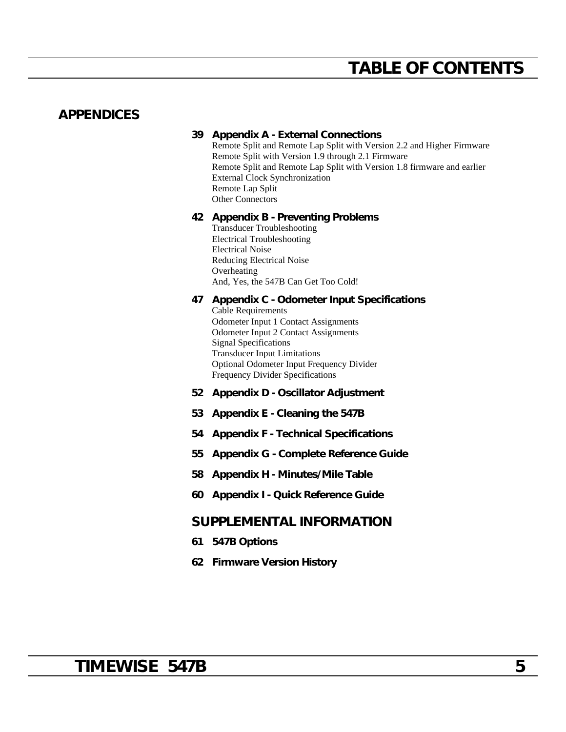## **TABLE OF CONTENTS**

### **APPENDICES**

#### **39 Appendix A - External Connections**

Remote Split and Remote Lap Split with Version 2.2 and Higher Firmware Remote Split with Version 1.9 through 2.1 Firmware Remote Split and Remote Lap Split with Version 1.8 firmware and earlier External Clock Synchronization Remote Lap Split Other Connectors

#### **42 Appendix B - Preventing Problems**

Transducer Troubleshooting Electrical Troubleshooting Electrical Noise Reducing Electrical Noise Overheating And, Yes, the 547B Can Get Too Cold!

#### **47 Appendix C - Odometer Input Specifications**

Cable Requirements Odometer Input 1 Contact Assignments Odometer Input 2 Contact Assignments Signal Specifications Transducer Input Limitations Optional Odometer Input Frequency Divider Frequency Divider Specifications

- **52 Appendix D Oscillator Adjustment**
- **53 Appendix E Cleaning the 547B**
- **54 Appendix F Technical Specifications**
- **55 Appendix G Complete Reference Guide**
- **58 Appendix H Minutes/Mile Table**
- **60 Appendix I Quick Reference Guide**

### **SUPPLEMENTAL INFORMATION**

- **61 547B Options**
- **62 Firmware Version History**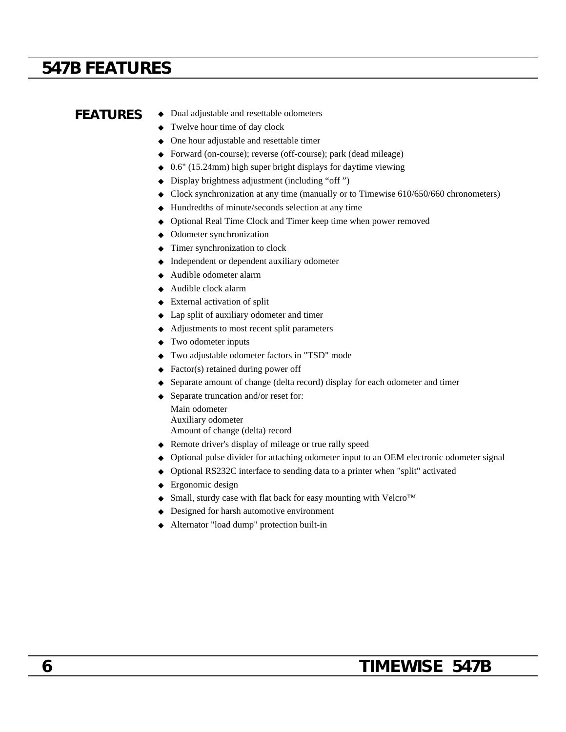## **547B FEATURES**

- **FEATURES** ◆ Dual adjustable and resettable odometers
	- ◆ Twelve hour time of day clock
	- ◆ One hour adjustable and resettable timer
	- ◆ Forward (on-course); reverse (off-course); park (dead mileage)
	- ◆ 0.6" (15.24mm) high super bright displays for daytime viewing
	- ◆ Display brightness adjustment (including "off ")
	- ◆ Clock synchronization at any time (manually or to Timewise 610/650/660 chronometers)
	- ◆ Hundredths of minute/seconds selection at any time
	- ◆ Optional Real Time Clock and Timer keep time when power removed
	- ◆ Odometer synchronization
	- ◆ Timer synchronization to clock
	- ◆ Independent or dependent auxiliary odometer
	- ◆ Audible odometer alarm
	- ◆ Audible clock alarm
	- ◆ External activation of split
	- ◆ Lap split of auxiliary odometer and timer
	- ◆ Adjustments to most recent split parameters
	- ◆ Two odometer inputs
	- ◆ Two adjustable odometer factors in "TSD" mode
	- ◆ Factor(s) retained during power off
	- ◆ Separate amount of change (delta record) display for each odometer and timer
	- ◆ Separate truncation and/or reset for:
		- Main odometer Auxiliary odometer Amount of change (delta) record
	- ◆ Remote driver's display of mileage or true rally speed
	- ◆ Optional pulse divider for attaching odometer input to an OEM electronic odometer signal
	- ◆ Optional RS232C interface to sending data to a printer when "split" activated
	- ◆ Ergonomic design
	- ◆ Small, sturdy case with flat back for easy mounting with Velcro<sup>™</sup>
	- ◆ Designed for harsh automotive environment
	- ◆ Alternator "load dump" protection built-in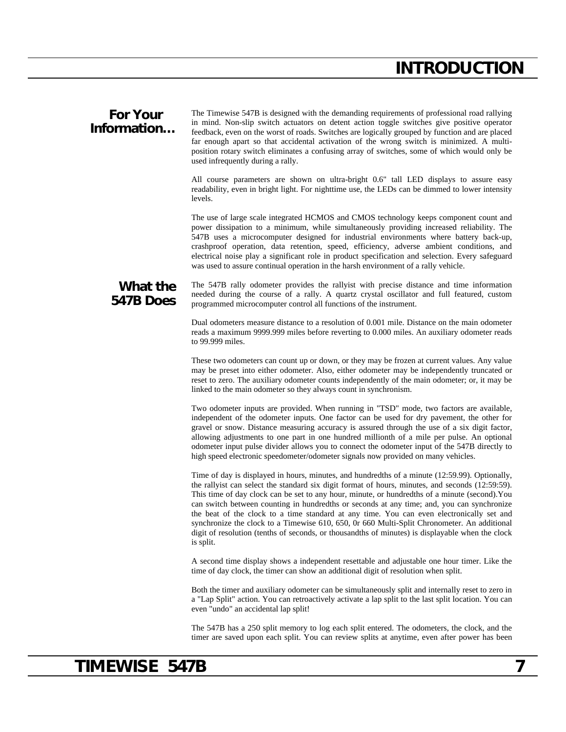## **INTRODUCTION**

#### **For Your Information…** The Timewise 547B is designed with the demanding requirements of professional road rallying in mind. Non-slip switch actuators on detent action toggle switches give positive operator feedback, even on the worst of roads. Switches are logically grouped by function and are placed far enough apart so that accidental activation of the wrong switch is minimized. A multiposition rotary switch eliminates a confusing array of switches, some of which would only be

used infrequently during a rally.

All course parameters are shown on ultra-bright 0.6" tall LED displays to assure easy readability, even in bright light. For nighttime use, the LEDs can be dimmed to lower intensity levels.

The use of large scale integrated HCMOS and CMOS technology keeps component count and power dissipation to a minimum, while simultaneously providing increased reliability. The 547B uses a microcomputer designed for industrial environments where battery back-up, crashproof operation, data retention, speed, efficiency, adverse ambient conditions, and electrical noise play a significant role in product specification and selection. Every safeguard was used to assure continual operation in the harsh environment of a rally vehicle.

### **What the 547B Does**

The 547B rally odometer provides the rallyist with precise distance and time information needed during the course of a rally. A quartz crystal oscillator and full featured, custom programmed microcomputer control all functions of the instrument.

Dual odometers measure distance to a resolution of 0.001 mile. Distance on the main odometer reads a maximum 9999.999 miles before reverting to 0.000 miles. An auxiliary odometer reads to 99.999 miles.

These two odometers can count up or down, or they may be frozen at current values. Any value may be preset into either odometer. Also, either odometer may be independently truncated or reset to zero. The auxiliary odometer counts independently of the main odometer; or, it may be linked to the main odometer so they always count in synchronism.

Two odometer inputs are provided. When running in "TSD" mode, two factors are available, independent of the odometer inputs. One factor can be used for dry pavement, the other for gravel or snow. Distance measuring accuracy is assured through the use of a six digit factor, allowing adjustments to one part in one hundred millionth of a mile per pulse. An optional odometer input pulse divider allows you to connect the odometer input of the 547B directly to high speed electronic speedometer/odometer signals now provided on many vehicles.

Time of day is displayed in hours, minutes, and hundredths of a minute (12:59.99). Optionally, the rallyist can select the standard six digit format of hours, minutes, and seconds (12:59:59). This time of day clock can be set to any hour, minute, or hundredths of a minute (second).You can switch between counting in hundredths or seconds at any time; and, you can synchronize the beat of the clock to a time standard at any time. You can even electronically set and synchronize the clock to a Timewise 610, 650, 0r 660 Multi-Split Chronometer. An additional digit of resolution (tenths of seconds, or thousandths of minutes) is displayable when the clock is split.

A second time display shows a independent resettable and adjustable one hour timer. Like the time of day clock, the timer can show an additional digit of resolution when split.

Both the timer and auxiliary odometer can be simultaneously split and internally reset to zero in a "Lap Split" action. You can retroactively activate a lap split to the last split location. You can even "undo" an accidental lap split!

The 547B has a 250 split memory to log each split entered. The odometers, the clock, and the timer are saved upon each split. You can review splits at anytime, even after power has been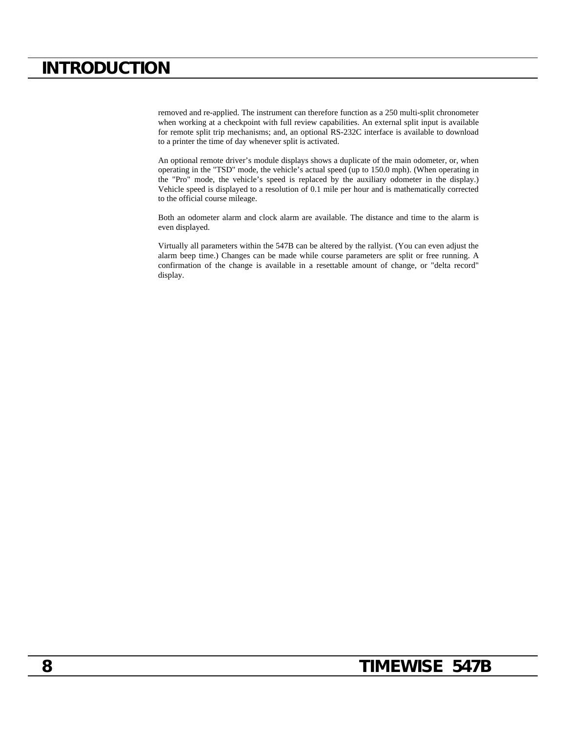## **INTRODUCTION**

removed and re-applied. The instrument can therefore function as a 250 multi-split chronometer when working at a checkpoint with full review capabilities. An external split input is available for remote split trip mechanisms; and, an optional RS-232C interface is available to download to a printer the time of day whenever split is activated.

An optional remote driver's module displays shows a duplicate of the main odometer, or, when operating in the "TSD" mode, the vehicle's actual speed (up to 150.0 mph). (When operating in the "Pro" mode, the vehicle's speed is replaced by the auxiliary odometer in the display.) Vehicle speed is displayed to a resolution of 0.1 mile per hour and is mathematically corrected to the official course mileage.

Both an odometer alarm and clock alarm are available. The distance and time to the alarm is even displayed.

Virtually all parameters within the 547B can be altered by the rallyist. (You can even adjust the alarm beep time.) Changes can be made while course parameters are split or free running. A confirmation of the change is available in a resettable amount of change, or "delta record" display.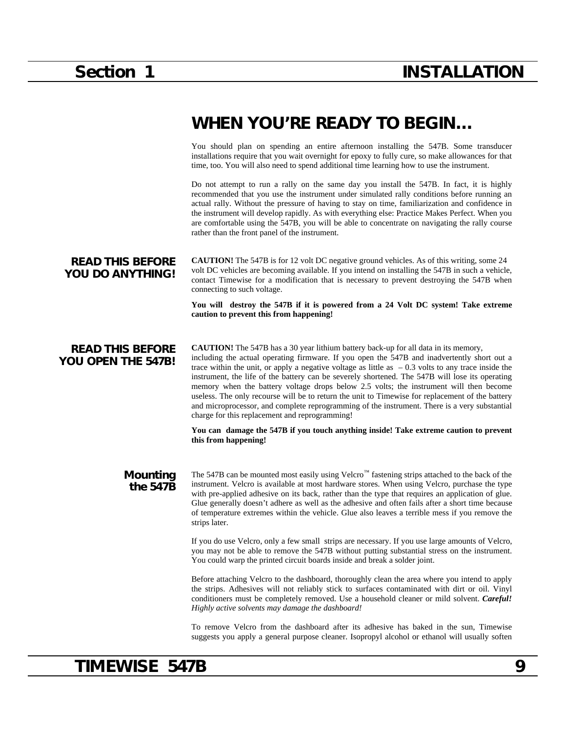## **WHEN YOU'RE READY TO BEGIN…**

You should plan on spending an entire afternoon installing the 547B. Some transducer installations require that you wait overnight for epoxy to fully cure, so make allowances for that time, too. You will also need to spend additional time learning how to use the instrument.

Do not attempt to run a rally on the same day you install the 547B. In fact, it is highly recommended that you use the instrument under simulated rally conditions before running an actual rally. Without the pressure of having to stay on time, familiarization and confidence in the instrument will develop rapidly. As with everything else: Practice Makes Perfect. When you are comfortable using the 547B, you will be able to concentrate on navigating the rally course rather than the front panel of the instrument.

#### **READ THIS BEFORE YOU DO ANYTHING! CAUTION!** The 547B is for 12 volt DC negative ground vehicles. As of this writing, some 24 volt DC vehicles are becoming available. If you intend on installing the 547B in such a vehicle, contact Timewise for a modification that is necessary to prevent destroying the 547B when connecting to such voltage.

**You will destroy the 547B if it is powered from a 24 Volt DC system! Take extreme caution to prevent this from happening!**

### **READ THIS BEFORE YOU OPEN THE 547B!**

**CAUTION!** The 547B has a 30 year lithium battery back-up for all data in its memory, including the actual operating firmware. If you open the 547B and inadvertently short out a trace within the unit, or apply a negative voltage as little as  $-0.3$  volts to any trace inside the instrument, the life of the battery can be severely shortened. The 547B will lose its operating memory when the battery voltage drops below 2.5 volts; the instrument will then become useless. The only recourse will be to return the unit to Timewise for replacement of the battery and microprocessor, and complete reprogramming of the instrument. There is a very substantial charge for this replacement and reprogramming!

**You can damage the 547B if you touch anything inside! Take extreme caution to prevent this from happening!**

**Mounting the 547B** The 547B can be mounted most easily using Velcro™ fastening strips attached to the back of the instrument. Velcro is available at most hardware stores. When using Velcro, purchase the type with pre-applied adhesive on its back, rather than the type that requires an application of glue. Glue generally doesn't adhere as well as the adhesive and often fails after a short time because of temperature extremes within the vehicle. Glue also leaves a terrible mess if you remove the strips later.

> If you do use Velcro, only a few small strips are necessary. If you use large amounts of Velcro, you may not be able to remove the 547B without putting substantial stress on the instrument. You could warp the printed circuit boards inside and break a solder joint.

> Before attaching Velcro to the dashboard, thoroughly clean the area where you intend to apply the strips. Adhesives will not reliably stick to surfaces contaminated with dirt or oil. Vinyl conditioners must be completely removed. Use a household cleaner or mild solvent. *Careful! Highly active solvents may damage the dashboard!*

> To remove Velcro from the dashboard after its adhesive has baked in the sun, Timewise suggests you apply a general purpose cleaner. Isopropyl alcohol or ethanol will usually soften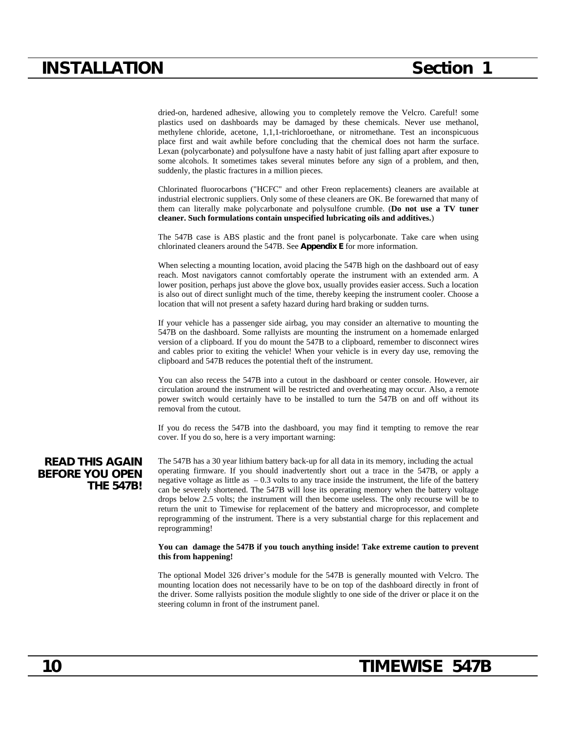dried-on, hardened adhesive, allowing you to completely remove the Velcro. Careful! some plastics used on dashboards may be damaged by these chemicals. Never use methanol, methylene chloride, acetone, 1,1,1-trichloroethane, or nitromethane. Test an inconspicuous place first and wait awhile before concluding that the chemical does not harm the surface. Lexan (polycarbonate) and polysulfone have a nasty habit of just falling apart after exposure to some alcohols. It sometimes takes several minutes before any sign of a problem, and then, suddenly, the plastic fractures in a million pieces.

Chlorinated fluorocarbons ("HCFC" and other Freon replacements) cleaners are available at industrial electronic suppliers. Only some of these cleaners are OK. Be forewarned that many of them can literally make polycarbonate and polysulfone crumble. (**Do not use a TV tuner cleaner. Such formulations contain unspecified lubricating oils and additives.**)

The 547B case is ABS plastic and the front panel is polycarbonate. Take care when using chlorinated cleaners around the 547B. See **Appendix E** for more information.

When selecting a mounting location, avoid placing the 547B high on the dashboard out of easy reach. Most navigators cannot comfortably operate the instrument with an extended arm. A lower position, perhaps just above the glove box, usually provides easier access. Such a location is also out of direct sunlight much of the time, thereby keeping the instrument cooler. Choose a location that will not present a safety hazard during hard braking or sudden turns.

If your vehicle has a passenger side airbag, you may consider an alternative to mounting the 547B on the dashboard. Some rallyists are mounting the instrument on a homemade enlarged version of a clipboard. If you do mount the 547B to a clipboard, remember to disconnect wires and cables prior to exiting the vehicle! When your vehicle is in every day use, removing the clipboard and 547B reduces the potential theft of the instrument.

You can also recess the 547B into a cutout in the dashboard or center console. However, air circulation around the instrument will be restricted and overheating may occur. Also, a remote power switch would certainly have to be installed to turn the 547B on and off without its removal from the cutout.

If you do recess the 547B into the dashboard, you may find it tempting to remove the rear cover. If you do so, here is a very important warning:

**READ THIS AGAIN BEFORE YOU OPEN THE 547B!** The 547B has a 30 year lithium battery back-up for all data in its memory, including the actual operating firmware. If you should inadvertently short out a trace in the 547B, or apply a negative voltage as little as  $-0.3$  volts to any trace inside the instrument, the life of the battery can be severely shortened. The 547B will lose its operating memory when the battery voltage drops below 2.5 volts; the instrument will then become useless. The only recourse will be to return the unit to Timewise for replacement of the battery and microprocessor, and complete reprogramming of the instrument. There is a very substantial charge for this replacement and reprogramming!

#### **You can damage the 547B if you touch anything inside! Take extreme caution to prevent this from happening!**

The optional Model 326 driver's module for the 547B is generally mounted with Velcro. The mounting location does not necessarily have to be on top of the dashboard directly in front of the driver. Some rallyists position the module slightly to one side of the driver or place it on the steering column in front of the instrument panel.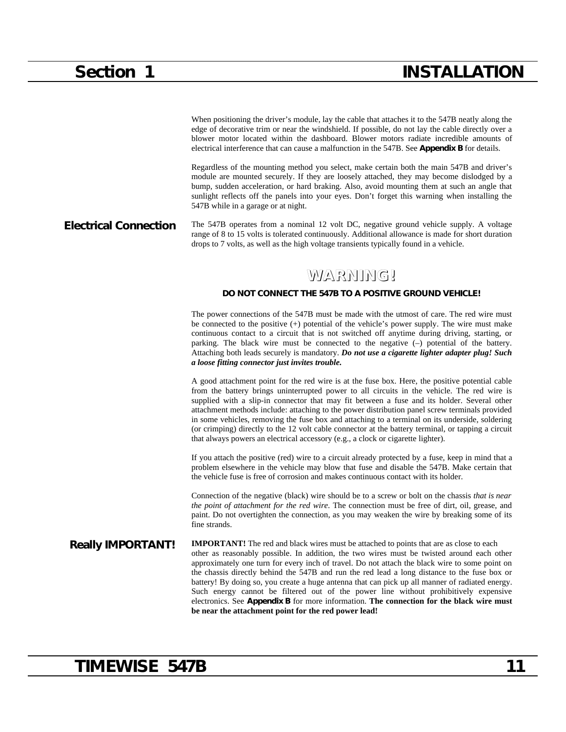## **Section 1 INSTALLATION**

When positioning the driver's module, lay the cable that attaches it to the 547B neatly along the edge of decorative trim or near the windshield. If possible, do not lay the cable directly over a blower motor located within the dashboard. Blower motors radiate incredible amounts of electrical interference that can cause a malfunction in the 547B. See **Appendix B** for details.

Regardless of the mounting method you select, make certain both the main 547B and driver's module are mounted securely. If they are loosely attached, they may become dislodged by a bump, sudden acceleration, or hard braking. Also, avoid mounting them at such an angle that sunlight reflects off the panels into your eyes. Don't forget this warning when installing the 547B while in a garage or at night.

#### **Electrical Connection** The 547B operates from a nominal 12 volt DC, negative ground vehicle supply. A voltage range of 8 to 15 volts is tolerated continuously. Additional allowance is made for short duration drops to 7 volts, as well as the high voltage transients typically found in a vehicle.

## **WARNING!**

#### **DO NOT CONNECT THE 547B TO A POSITIVE GROUND VEHICLE!**

The power connections of the 547B must be made with the utmost of care. The red wire must be connected to the positive (+) potential of the vehicle's power supply. The wire must make continuous contact to a circuit that is not switched off anytime during driving, starting, or parking. The black wire must be connected to the negative (–) potential of the battery. Attaching both leads securely is mandatory. *Do not use a cigarette lighter adapter plug! Such a loose fitting connector just invites trouble.*

A good attachment point for the red wire is at the fuse box. Here, the positive potential cable from the battery brings uninterrupted power to all circuits in the vehicle. The red wire is supplied with a slip-in connector that may fit between a fuse and its holder. Several other attachment methods include: attaching to the power distribution panel screw terminals provided in some vehicles, removing the fuse box and attaching to a terminal on its underside, soldering (or crimping) directly to the 12 volt cable connector at the battery terminal, or tapping a circuit that always powers an electrical accessory (e.g., a clock or cigarette lighter).

If you attach the positive (red) wire to a circuit already protected by a fuse, keep in mind that a problem elsewhere in the vehicle may blow that fuse and disable the 547B. Make certain that the vehicle fuse is free of corrosion and makes continuous contact with its holder.

Connection of the negative (black) wire should be to a screw or bolt on the chassis *that is near the point of attachment for the red wire*. The connection must be free of dirt, oil, grease, and paint. Do not overtighten the connection, as you may weaken the wire by breaking some of its fine strands.

**Really IMPORTANT!** IMPORTANT! The red and black wires must be attached to points that are as close to each other as reasonably possible. In addition, the two wires must be twisted around each other approximately one turn for every inch of travel. Do not attach the black wire to some point on the chassis directly behind the 547B and run the red lead a long distance to the fuse box or battery! By doing so, you create a huge antenna that can pick up all manner of radiated energy. Such energy cannot be filtered out of the power line without prohibitively expensive electronics. See **Appendix B** for more information. **The connection for the black wire must be near the attachment point for the red power lead!**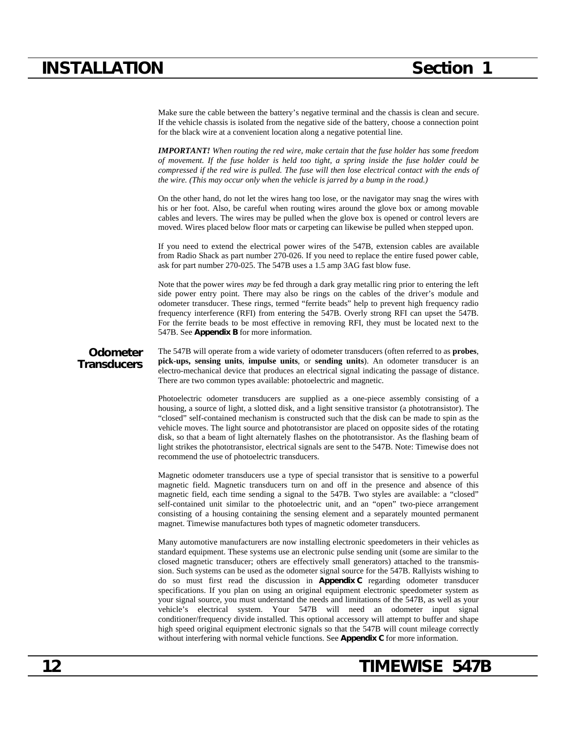## **INSTALLATION Section 1**

Make sure the cable between the battery's negative terminal and the chassis is clean and secure. If the vehicle chassis is isolated from the negative side of the battery, choose a connection point for the black wire at a convenient location along a negative potential line.

*IMPORTANT! When routing the red wire, make certain that the fuse holder has some freedom of movement. If the fuse holder is held too tight, a spring inside the fuse holder could be compressed if the red wire is pulled. The fuse will then lose electrical contact with the ends of the wire. (This may occur only when the vehicle is jarred by a bump in the road.)*

On the other hand, do not let the wires hang too lose, or the navigator may snag the wires with his or her foot. Also, be careful when routing wires around the glove box or among movable cables and levers. The wires may be pulled when the glove box is opened or control levers are moved. Wires placed below floor mats or carpeting can likewise be pulled when stepped upon.

If you need to extend the electrical power wires of the 547B, extension cables are available from Radio Shack as part number 270-026. If you need to replace the entire fused power cable, ask for part number 270-025. The 547B uses a 1.5 amp 3AG fast blow fuse.

Note that the power wires *may* be fed through a dark gray metallic ring prior to entering the left side power entry point. There may also be rings on the cables of the driver's module and odometer transducer. These rings, termed "ferrite beads" help to prevent high frequency radio frequency interference (RFI) from entering the 547B. Overly strong RFI can upset the 547B. For the ferrite beads to be most effective in removing RFI, they must be located next to the 547B. See **Appendix B** for more information.

**Odometer Transducers** The 547B will operate from a wide variety of odometer transducers (often referred to as **probes**, **pick-ups, sensing units**, **impulse units**, or **sending units**). An odometer transducer is an electro-mechanical device that produces an electrical signal indicating the passage of distance. There are two common types available: photoelectric and magnetic.

Photoelectric odometer transducers are supplied as a one-piece assembly consisting of a housing, a source of light, a slotted disk, and a light sensitive transistor (a phototransistor). The "closed" self-contained mechanism is constructed such that the disk can be made to spin as the vehicle moves. The light source and phototransistor are placed on opposite sides of the rotating disk, so that a beam of light alternately flashes on the phototransistor. As the flashing beam of light strikes the phototransistor, electrical signals are sent to the 547B. Note: Timewise does not recommend the use of photoelectric transducers.

Magnetic odometer transducers use a type of special transistor that is sensitive to a powerful magnetic field. Magnetic transducers turn on and off in the presence and absence of this magnetic field, each time sending a signal to the 547B. Two styles are available: a "closed" self-contained unit similar to the photoelectric unit, and an "open" two-piece arrangement consisting of a housing containing the sensing element and a separately mounted permanent magnet. Timewise manufactures both types of magnetic odometer transducers.

Many automotive manufacturers are now installing electronic speedometers in their vehicles as standard equipment. These systems use an electronic pulse sending unit (some are similar to the closed magnetic transducer; others are effectively small generators) attached to the transmission. Such systems can be used as the odometer signal source for the 547B. Rallyists wishing to do so must first read the discussion in **Appendix C** regarding odometer transducer specifications. If you plan on using an original equipment electronic speedometer system as your signal source, you must understand the needs and limitations of the 547B, as well as your vehicle's electrical system. Your 547B will need an odometer input signal conditioner/frequency divide installed. This optional accessory will attempt to buffer and shape high speed original equipment electronic signals so that the 547B will count mileage correctly without interfering with normal vehicle functions. See **Appendix C** for more information.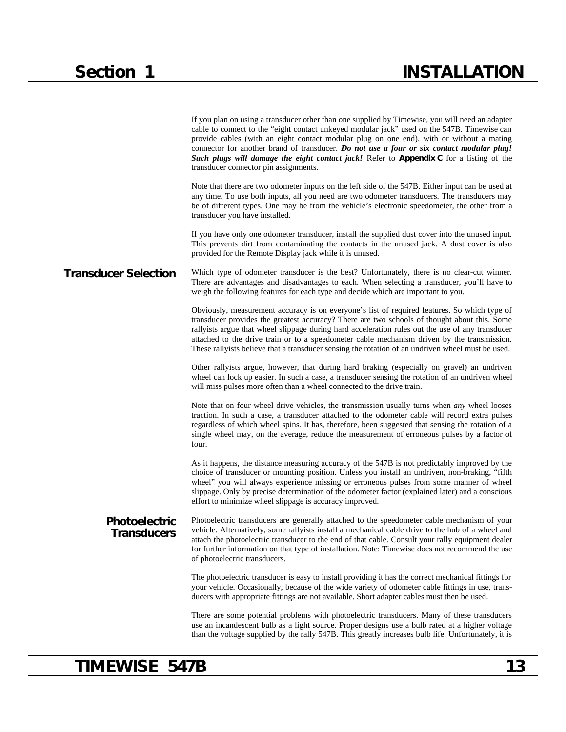|                                            | If you plan on using a transducer other than one supplied by Timewise, you will need an adapter<br>cable to connect to the "eight contact unkeyed modular jack" used on the 547B. Timewise can<br>provide cables (with an eight contact modular plug on one end), with or without a mating<br>connector for another brand of transducer. Do not use a four or six contact modular plug!<br>Such plugs will damage the eight contact jack! Refer to Appendix C for a listing of the<br>transducer connector pin assignments. |
|--------------------------------------------|-----------------------------------------------------------------------------------------------------------------------------------------------------------------------------------------------------------------------------------------------------------------------------------------------------------------------------------------------------------------------------------------------------------------------------------------------------------------------------------------------------------------------------|
|                                            | Note that there are two odometer inputs on the left side of the 547B. Either input can be used at<br>any time. To use both inputs, all you need are two odometer transducers. The transducers may<br>be of different types. One may be from the vehicle's electronic speedometer, the other from a<br>transducer you have installed.                                                                                                                                                                                        |
|                                            | If you have only one odometer transducer, install the supplied dust cover into the unused input.<br>This prevents dirt from contaminating the contacts in the unused jack. A dust cover is also<br>provided for the Remote Display jack while it is unused.                                                                                                                                                                                                                                                                 |
| <b>Transducer Selection</b>                | Which type of odometer transducer is the best? Unfortunately, there is no clear-cut winner.<br>There are advantages and disadvantages to each. When selecting a transducer, you'll have to<br>weigh the following features for each type and decide which are important to you.                                                                                                                                                                                                                                             |
|                                            | Obviously, measurement accuracy is on everyone's list of required features. So which type of<br>transducer provides the greatest accuracy? There are two schools of thought about this. Some<br>rallyists argue that wheel slippage during hard acceleration rules out the use of any transducer<br>attached to the drive train or to a speedometer cable mechanism driven by the transmission.<br>These rallyists believe that a transducer sensing the rotation of an undriven wheel must be used.                        |
|                                            | Other rallyists argue, however, that during hard braking (especially on gravel) an undriven<br>wheel can lock up easier. In such a case, a transducer sensing the rotation of an undriven wheel<br>will miss pulses more often than a wheel connected to the drive train.                                                                                                                                                                                                                                                   |
|                                            | Note that on four wheel drive vehicles, the transmission usually turns when <i>any</i> wheel looses<br>traction. In such a case, a transducer attached to the odometer cable will record extra pulses<br>regardless of which wheel spins. It has, therefore, been suggested that sensing the rotation of a<br>single wheel may, on the average, reduce the measurement of erroneous pulses by a factor of<br>four.                                                                                                          |
|                                            | As it happens, the distance measuring accuracy of the 547B is not predictably improved by the<br>choice of transducer or mounting position. Unless you install an undriven, non-braking, "fifth<br>wheel" you will always experience missing or erroneous pulses from some manner of wheel<br>slippage. Only by precise determination of the odometer factor (explained later) and a conscious<br>effort to minimize wheel slippage is accuracy improved.                                                                   |
| <b>Photoelectric</b><br><b>Transducers</b> | Photoelectric transducers are generally attached to the speedometer cable mechanism of your<br>vehicle. Alternatively, some rallyists install a mechanical cable drive to the hub of a wheel and<br>attach the photoelectric transducer to the end of that cable. Consult your rally equipment dealer<br>for further information on that type of installation. Note: Timewise does not recommend the use<br>of photoelectric transducers.                                                                                   |
|                                            | The photoelectric transducer is easy to install providing it has the correct mechanical fittings for<br>your vehicle. Occasionally, because of the wide variety of odometer cable fittings in use, trans-<br>ducers with appropriate fittings are not available. Short adapter cables must then be used.                                                                                                                                                                                                                    |
|                                            | There are some potential problems with photoelectric transducers. Many of these transducers<br>use an incandescent bulb as a light source. Proper designs use a bulb rated at a higher voltage<br>than the voltage supplied by the rally 547B. This greatly increases bulb life. Unfortunately, it is                                                                                                                                                                                                                       |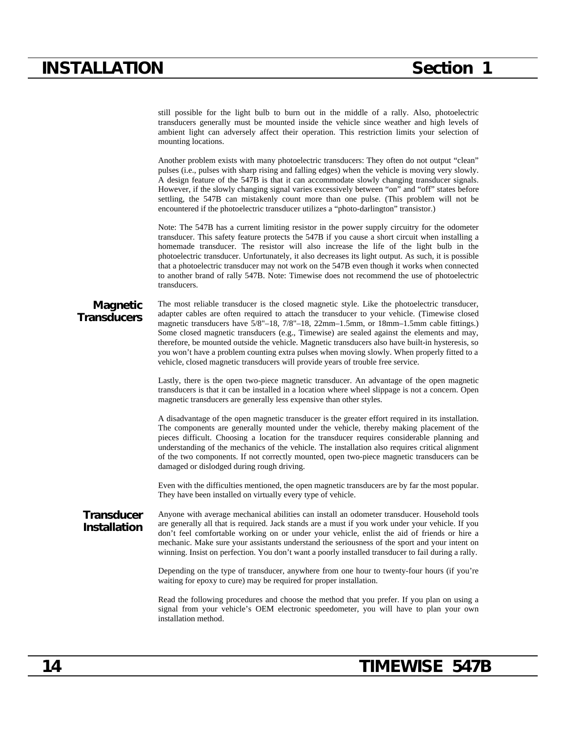## **INSTALLATION Section 1**

still possible for the light bulb to burn out in the middle of a rally. Also, photoelectric transducers generally must be mounted inside the vehicle since weather and high levels of ambient light can adversely affect their operation. This restriction limits your selection of mounting locations.

Another problem exists with many photoelectric transducers: They often do not output "clean" pulses (i.e., pulses with sharp rising and falling edges) when the vehicle is moving very slowly. A design feature of the 547B is that it can accommodate slowly changing transducer signals. However, if the slowly changing signal varies excessively between "on" and "off" states before settling, the 547B can mistakenly count more than one pulse. (This problem will not be encountered if the photoelectric transducer utilizes a "photo-darlington" transistor.)

Note: The 547B has a current limiting resistor in the power supply circuitry for the odometer transducer. This safety feature protects the 547B if you cause a short circuit when installing a homemade transducer. The resistor will also increase the life of the light bulb in the photoelectric transducer. Unfortunately, it also decreases its light output. As such, it is possible that a photoelectric transducer may not work on the 547B even though it works when connected to another brand of rally 547B. Note: Timewise does not recommend the use of photoelectric transducers.

### **Magnetic Transducers**

The most reliable transducer is the closed magnetic style. Like the photoelectric transducer, adapter cables are often required to attach the transducer to your vehicle. (Timewise closed magnetic transducers have  $5/8$ "-18,  $7/8$ "-18,  $22$ mm-1.5mm, or 18mm-1.5mm cable fittings.) Some closed magnetic transducers (e.g., Timewise) are sealed against the elements and may, therefore, be mounted outside the vehicle. Magnetic transducers also have built-in hysteresis, so you won't have a problem counting extra pulses when moving slowly. When properly fitted to a vehicle, closed magnetic transducers will provide years of trouble free service.

Lastly, there is the open two-piece magnetic transducer. An advantage of the open magnetic transducers is that it can be installed in a location where wheel slippage is not a concern. Open magnetic transducers are generally less expensive than other styles.

A disadvantage of the open magnetic transducer is the greater effort required in its installation. The components are generally mounted under the vehicle, thereby making placement of the pieces difficult. Choosing a location for the transducer requires considerable planning and understanding of the mechanics of the vehicle. The installation also requires critical alignment of the two components. If not correctly mounted, open two-piece magnetic transducers can be damaged or dislodged during rough driving.

Even with the difficulties mentioned, the open magnetic transducers are by far the most popular. They have been installed on virtually every type of vehicle.

**Transducer Installation** Anyone with average mechanical abilities can install an odometer transducer. Household tools are generally all that is required. Jack stands are a must if you work under your vehicle. If you don't feel comfortable working on or under your vehicle, enlist the aid of friends or hire a mechanic. Make sure your assistants understand the seriousness of the sport and your intent on winning. Insist on perfection. You don't want a poorly installed transducer to fail during a rally.

> Depending on the type of transducer, anywhere from one hour to twenty-four hours (if you're waiting for epoxy to cure) may be required for proper installation.

> Read the following procedures and choose the method that you prefer. If you plan on using a signal from your vehicle's OEM electronic speedometer, you will have to plan your own installation method.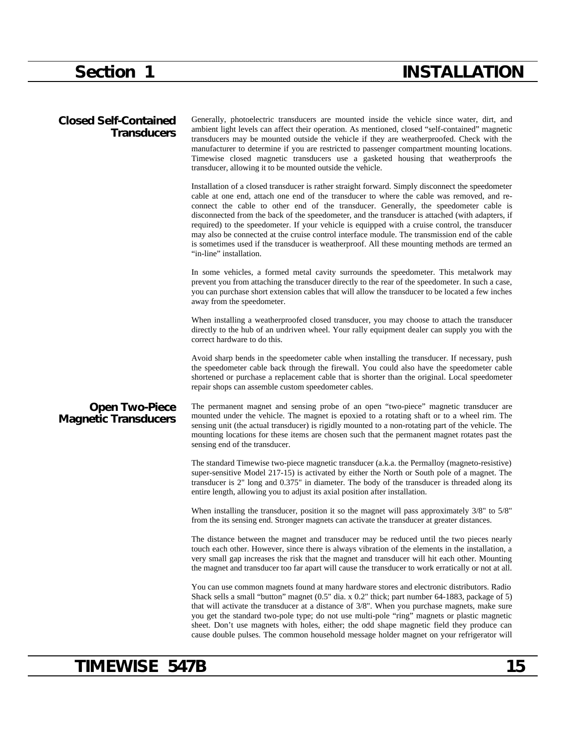# **Section 1 INSTALLATION**

| <b>Closed Self-Contained</b><br><b>Transducers</b>   | Generally, photoelectric transducers are mounted inside the vehicle since water, dirt, and<br>ambient light levels can affect their operation. As mentioned, closed "self-contained" magnetic<br>transducers may be mounted outside the vehicle if they are weatherproofed. Check with the<br>manufacturer to determine if you are restricted to passenger compartment mounting locations.<br>Timewise closed magnetic transducers use a gasketed housing that weatherproofs the<br>transducer, allowing it to be mounted outside the vehicle.                                                                                                                                                                                 |
|------------------------------------------------------|--------------------------------------------------------------------------------------------------------------------------------------------------------------------------------------------------------------------------------------------------------------------------------------------------------------------------------------------------------------------------------------------------------------------------------------------------------------------------------------------------------------------------------------------------------------------------------------------------------------------------------------------------------------------------------------------------------------------------------|
|                                                      | Installation of a closed transducer is rather straight forward. Simply disconnect the speedometer<br>cable at one end, attach one end of the transducer to where the cable was removed, and re-<br>connect the cable to other end of the transducer. Generally, the speedometer cable is<br>disconnected from the back of the speedometer, and the transducer is attached (with adapters, if<br>required) to the speedometer. If your vehicle is equipped with a cruise control, the transducer<br>may also be connected at the cruise control interface module. The transmission end of the cable<br>is sometimes used if the transducer is weatherproof. All these mounting methods are termed an<br>"in-line" installation. |
|                                                      | In some vehicles, a formed metal cavity surrounds the speedometer. This metalwork may<br>prevent you from attaching the transducer directly to the rear of the speedometer. In such a case,<br>you can purchase short extension cables that will allow the transducer to be located a few inches<br>away from the speedometer.                                                                                                                                                                                                                                                                                                                                                                                                 |
|                                                      | When installing a weatherproofed closed transducer, you may choose to attach the transducer<br>directly to the hub of an undriven wheel. Your rally equipment dealer can supply you with the<br>correct hardware to do this.                                                                                                                                                                                                                                                                                                                                                                                                                                                                                                   |
|                                                      | Avoid sharp bends in the speedometer cable when installing the transducer. If necessary, push<br>the speedometer cable back through the firewall. You could also have the speedometer cable<br>shortened or purchase a replacement cable that is shorter than the original. Local speedometer<br>repair shops can assemble custom speedometer cables.                                                                                                                                                                                                                                                                                                                                                                          |
| <b>Open Two-Piece</b><br><b>Magnetic Transducers</b> | The permanent magnet and sensing probe of an open "two-piece" magnetic transducer are<br>mounted under the vehicle. The magnet is epoxied to a rotating shaft or to a wheel rim. The<br>sensing unit (the actual transducer) is rigidly mounted to a non-rotating part of the vehicle. The<br>mounting locations for these items are chosen such that the permanent magnet rotates past the<br>sensing end of the transducer.                                                                                                                                                                                                                                                                                                  |
|                                                      | The standard Timewise two-piece magnetic transducer (a.k.a. the Permalloy (magneto-resistive)<br>super-sensitive Model 217-15) is activated by either the North or South pole of a magnet. The<br>transducer is 2" long and 0.375" in diameter. The body of the transducer is threaded along its<br>entire length, allowing you to adjust its axial position after installation.                                                                                                                                                                                                                                                                                                                                               |
|                                                      | When installing the transducer, position it so the magnet will pass approximately $3/8$ " to $5/8$ "<br>from the its sensing end. Stronger magnets can activate the transducer at greater distances.                                                                                                                                                                                                                                                                                                                                                                                                                                                                                                                           |
|                                                      | The distance between the magnet and transducer may be reduced until the two pieces nearly<br>touch each other. However, since there is always vibration of the elements in the installation, a<br>very small gap increases the risk that the magnet and transducer will hit each other. Mounting<br>the magnet and transducer too far apart will cause the transducer to work erratically or not at all.                                                                                                                                                                                                                                                                                                                       |
|                                                      | You can use common magnets found at many hardware stores and electronic distributors. Radio<br>Shack sells a small "button" magnet (0.5" dia. x 0.2" thick; part number 64-1883, package of 5)<br>that will activate the transducer at a distance of 3/8". When you purchase magnets, make sure<br>you get the standard two-pole type; do not use multi-pole "ring" magnets or plastic magnetic<br>sheet. Don't use magnets with holes, either; the odd shape magnetic field they produce can<br>cause double pulses. The common household message holder magnet on your refrigerator will                                                                                                                                     |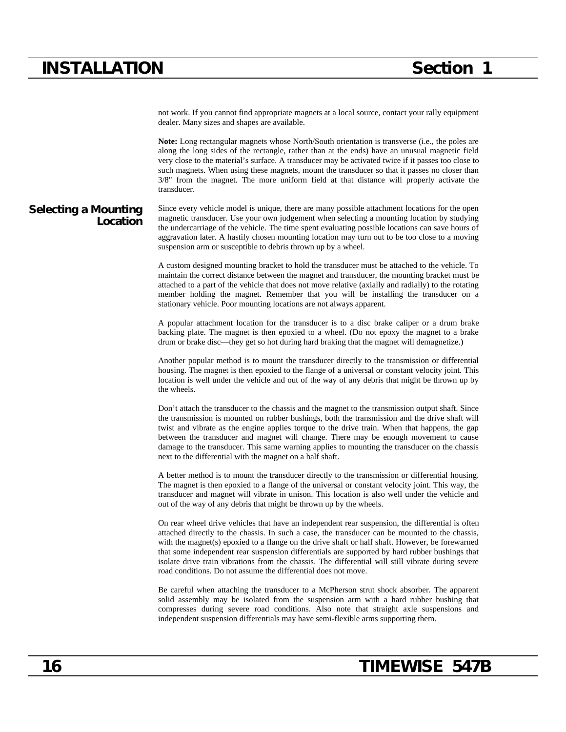## **INSTALLATION Section 1**

not work. If you cannot find appropriate magnets at a local source, contact your rally equipment dealer. Many sizes and shapes are available.

**Note:** Long rectangular magnets whose North/South orientation is transverse (i.e., the poles are along the long sides of the rectangle, rather than at the ends) have an unusual magnetic field very close to the material's surface. A transducer may be activated twice if it passes too close to such magnets. When using these magnets, mount the transducer so that it passes no closer than 3/8" from the magnet. The more uniform field at that distance will properly activate the transducer.

#### **Selecting a Mounting Location** Since every vehicle model is unique, there are many possible attachment locations for the open magnetic transducer. Use your own judgement when selecting a mounting location by studying the undercarriage of the vehicle. The time spent evaluating possible locations can save hours of aggravation later. A hastily chosen mounting location may turn out to be too close to a moving suspension arm or susceptible to debris thrown up by a wheel.

A custom designed mounting bracket to hold the transducer must be attached to the vehicle. To maintain the correct distance between the magnet and transducer, the mounting bracket must be attached to a part of the vehicle that does not move relative (axially and radially) to the rotating member holding the magnet. Remember that you will be installing the transducer on a stationary vehicle. Poor mounting locations are not always apparent.

A popular attachment location for the transducer is to a disc brake caliper or a drum brake backing plate. The magnet is then epoxied to a wheel. (Do not epoxy the magnet to a brake drum or brake disc—they get so hot during hard braking that the magnet will demagnetize.)

Another popular method is to mount the transducer directly to the transmission or differential housing. The magnet is then epoxied to the flange of a universal or constant velocity joint. This location is well under the vehicle and out of the way of any debris that might be thrown up by the wheels.

Don't attach the transducer to the chassis and the magnet to the transmission output shaft. Since the transmission is mounted on rubber bushings, both the transmission and the drive shaft will twist and vibrate as the engine applies torque to the drive train. When that happens, the gap between the transducer and magnet will change. There may be enough movement to cause damage to the transducer. This same warning applies to mounting the transducer on the chassis next to the differential with the magnet on a half shaft.

A better method is to mount the transducer directly to the transmission or differential housing. The magnet is then epoxied to a flange of the universal or constant velocity joint. This way, the transducer and magnet will vibrate in unison. This location is also well under the vehicle and out of the way of any debris that might be thrown up by the wheels.

On rear wheel drive vehicles that have an independent rear suspension, the differential is often attached directly to the chassis. In such a case, the transducer can be mounted to the chassis, with the magnet(s) epoxied to a flange on the drive shaft or half shaft. However, be forewarned that some independent rear suspension differentials are supported by hard rubber bushings that isolate drive train vibrations from the chassis. The differential will still vibrate during severe road conditions. Do not assume the differential does not move.

Be careful when attaching the transducer to a McPherson strut shock absorber. The apparent solid assembly may be isolated from the suspension arm with a hard rubber bushing that compresses during severe road conditions. Also note that straight axle suspensions and independent suspension differentials may have semi-flexible arms supporting them.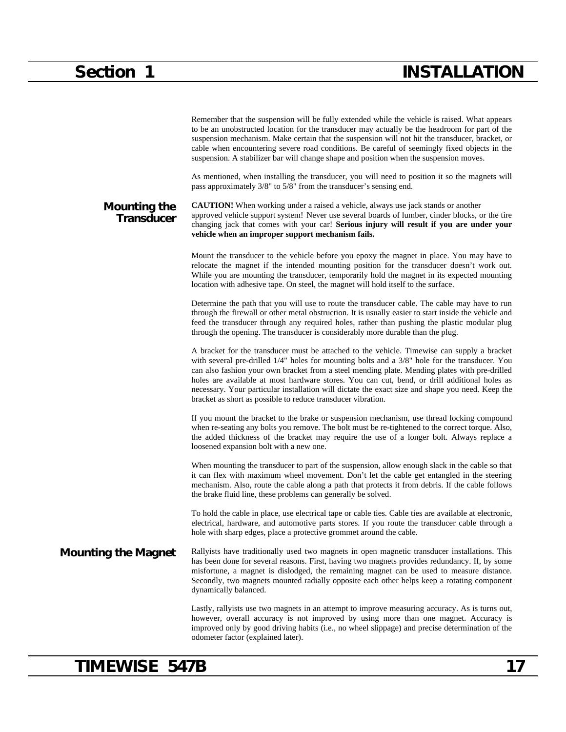|                                   | Remember that the suspension will be fully extended while the vehicle is raised. What appears<br>to be an unobstructed location for the transducer may actually be the headroom for part of the<br>suspension mechanism. Make certain that the suspension will not hit the transducer, bracket, or<br>cable when encountering severe road conditions. Be careful of seemingly fixed objects in the<br>suspension. A stabilizer bar will change shape and position when the suspension moves.                                                                             |
|-----------------------------------|--------------------------------------------------------------------------------------------------------------------------------------------------------------------------------------------------------------------------------------------------------------------------------------------------------------------------------------------------------------------------------------------------------------------------------------------------------------------------------------------------------------------------------------------------------------------------|
|                                   | As mentioned, when installing the transducer, you will need to position it so the magnets will<br>pass approximately 3/8" to 5/8" from the transducer's sensing end.                                                                                                                                                                                                                                                                                                                                                                                                     |
| Mounting the<br><b>Transducer</b> | <b>CAUTION!</b> When working under a raised a vehicle, always use jack stands or another<br>approved vehicle support system! Never use several boards of lumber, cinder blocks, or the tire<br>changing jack that comes with your car! Serious injury will result if you are under your<br>vehicle when an improper support mechanism fails.                                                                                                                                                                                                                             |
|                                   | Mount the transducer to the vehicle before you epoxy the magnet in place. You may have to<br>relocate the magnet if the intended mounting position for the transducer doesn't work out.<br>While you are mounting the transducer, temporarily hold the magnet in its expected mounting<br>location with adhesive tape. On steel, the magnet will hold itself to the surface.                                                                                                                                                                                             |
|                                   | Determine the path that you will use to route the transducer cable. The cable may have to run<br>through the firewall or other metal obstruction. It is usually easier to start inside the vehicle and<br>feed the transducer through any required holes, rather than pushing the plastic modular plug<br>through the opening. The transducer is considerably more durable than the plug.                                                                                                                                                                                |
|                                   | A bracket for the transducer must be attached to the vehicle. Timewise can supply a bracket<br>with several pre-drilled $1/4$ " holes for mounting bolts and a $3/8$ " hole for the transducer. You<br>can also fashion your own bracket from a steel mending plate. Mending plates with pre-drilled<br>holes are available at most hardware stores. You can cut, bend, or drill additional holes as<br>necessary. Your particular installation will dictate the exact size and shape you need. Keep the<br>bracket as short as possible to reduce transducer vibration. |
|                                   | If you mount the bracket to the brake or suspension mechanism, use thread locking compound<br>when re-seating any bolts you remove. The bolt must be re-tightened to the correct torque. Also,<br>the added thickness of the bracket may require the use of a longer bolt. Always replace a<br>loosened expansion bolt with a new one.                                                                                                                                                                                                                                   |
|                                   | When mounting the transducer to part of the suspension, allow enough slack in the cable so that<br>it can flex with maximum wheel movement. Don't let the cable get entangled in the steering<br>mechanism. Also, route the cable along a path that protects it from debris. If the cable follows<br>the brake fluid line, these problems can generally be solved.                                                                                                                                                                                                       |
|                                   | To hold the cable in place, use electrical tape or cable ties. Cable ties are available at electronic,<br>electrical, hardware, and automotive parts stores. If you route the transducer cable through a<br>hole with sharp edges, place a protective grommet around the cable.                                                                                                                                                                                                                                                                                          |
| <b>Mounting the Magnet</b>        | Rallyists have traditionally used two magnets in open magnetic transducer installations. This<br>has been done for several reasons. First, having two magnets provides redundancy. If, by some<br>misfortune, a magnet is dislodged, the remaining magnet can be used to measure distance.<br>Secondly, two magnets mounted radially opposite each other helps keep a rotating component<br>dynamically balanced.                                                                                                                                                        |
|                                   | Lastly, rallyists use two magnets in an attempt to improve measuring accuracy. As is turns out,<br>however, overall accuracy is not improved by using more than one magnet. Accuracy is<br>improved only by good driving habits (i.e., no wheel slippage) and precise determination of the<br>odometer factor (explained later).                                                                                                                                                                                                                                         |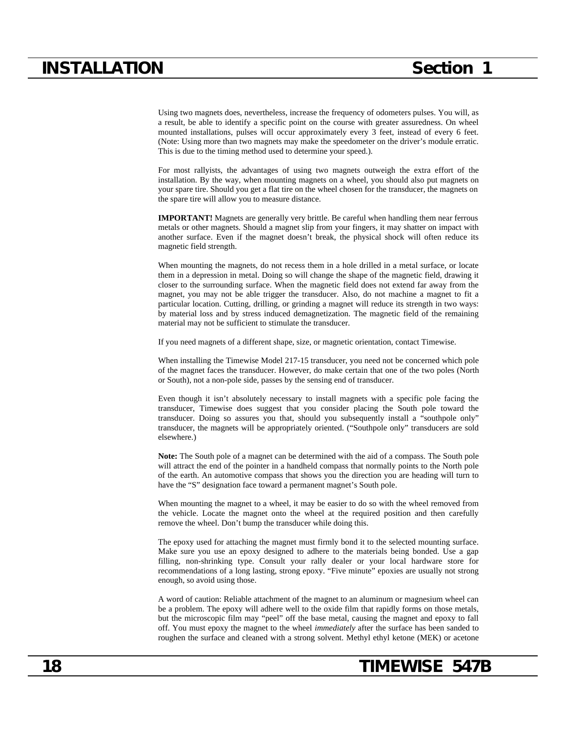Using two magnets does, nevertheless, increase the frequency of odometers pulses. You will, as a result, be able to identify a specific point on the course with greater assuredness. On wheel mounted installations, pulses will occur approximately every 3 feet, instead of every 6 feet. (Note: Using more than two magnets may make the speedometer on the driver's module erratic. This is due to the timing method used to determine your speed.).

For most rallyists, the advantages of using two magnets outweigh the extra effort of the installation. By the way, when mounting magnets on a wheel, you should also put magnets on your spare tire. Should you get a flat tire on the wheel chosen for the transducer, the magnets on the spare tire will allow you to measure distance.

**IMPORTANT!** Magnets are generally very brittle. Be careful when handling them near ferrous metals or other magnets. Should a magnet slip from your fingers, it may shatter on impact with another surface. Even if the magnet doesn't break, the physical shock will often reduce its magnetic field strength.

When mounting the magnets, do not recess them in a hole drilled in a metal surface, or locate them in a depression in metal. Doing so will change the shape of the magnetic field, drawing it closer to the surrounding surface. When the magnetic field does not extend far away from the magnet, you may not be able trigger the transducer. Also, do not machine a magnet to fit a particular location. Cutting, drilling, or grinding a magnet will reduce its strength in two ways: by material loss and by stress induced demagnetization. The magnetic field of the remaining material may not be sufficient to stimulate the transducer.

If you need magnets of a different shape, size, or magnetic orientation, contact Timewise.

When installing the Timewise Model 217-15 transducer, you need not be concerned which pole of the magnet faces the transducer. However, do make certain that one of the two poles (North or South), not a non-pole side, passes by the sensing end of transducer.

Even though it isn't absolutely necessary to install magnets with a specific pole facing the transducer, Timewise does suggest that you consider placing the South pole toward the transducer. Doing so assures you that, should you subsequently install a "southpole only" transducer, the magnets will be appropriately oriented. ("Southpole only" transducers are sold elsewhere.)

**Note:** The South pole of a magnet can be determined with the aid of a compass. The South pole will attract the end of the pointer in a handheld compass that normally points to the North pole of the earth. An automotive compass that shows you the direction you are heading will turn to have the "S" designation face toward a permanent magnet's South pole.

When mounting the magnet to a wheel, it may be easier to do so with the wheel removed from the vehicle. Locate the magnet onto the wheel at the required position and then carefully remove the wheel. Don't bump the transducer while doing this.

The epoxy used for attaching the magnet must firmly bond it to the selected mounting surface. Make sure you use an epoxy designed to adhere to the materials being bonded. Use a gap filling, non-shrinking type. Consult your rally dealer or your local hardware store for recommendations of a long lasting, strong epoxy. "Five minute" epoxies are usually not strong enough, so avoid using those.

A word of caution: Reliable attachment of the magnet to an aluminum or magnesium wheel can be a problem. The epoxy will adhere well to the oxide film that rapidly forms on those metals, but the microscopic film may "peel" off the base metal, causing the magnet and epoxy to fall off. You must epoxy the magnet to the wheel *immediately* after the surface has been sanded to roughen the surface and cleaned with a strong solvent. Methyl ethyl ketone (MEK) or acetone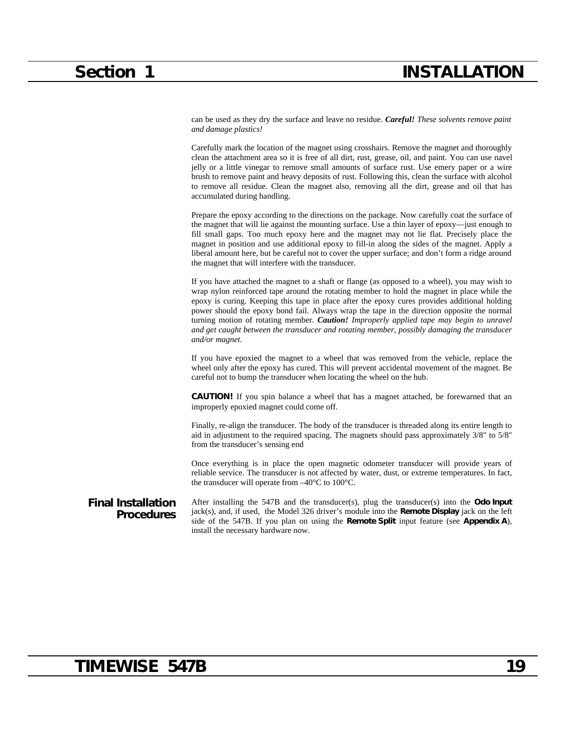can be used as they dry the surface and leave no residue. *Careful! These solvents remove paint and damage plastics!*

Carefully mark the location of the magnet using crosshairs. Remove the magnet and thoroughly clean the attachment area so it is free of all dirt, rust, grease, oil, and paint. You can use navel jelly or a little vinegar to remove small amounts of surface rust. Use emery paper or a wire brush to remove paint and heavy deposits of rust. Following this, clean the surface with alcohol to remove all residue. Clean the magnet also, removing all the dirt, grease and oil that has accumulated during handling.

Prepare the epoxy according to the directions on the package. Now carefully coat the surface of the magnet that will lie against the mounting surface. Use a thin layer of epoxy—just enough to fill small gaps. Too much epoxy here and the magnet may not lie flat. Precisely place the magnet in position and use additional epoxy to fill-in along the sides of the magnet. Apply a liberal amount here, but be careful not to cover the upper surface; and don't form a ridge around the magnet that will interfere with the transducer.

If you have attached the magnet to a shaft or flange (as opposed to a wheel), you may wish to wrap nylon reinforced tape around the rotating member to hold the magnet in place while the epoxy is curing. Keeping this tape in place after the epoxy cures provides additional holding power should the epoxy bond fail. Always wrap the tape in the direction opposite the normal turning motion of rotating member. *Caution! Improperly applied tape may begin to unravel and get caught between the transducer and rotating member, possibly damaging the transducer and/or magnet.*

If you have epoxied the magnet to a wheel that was removed from the vehicle, replace the wheel only after the epoxy has cured. This will prevent accidental movement of the magnet. Be careful not to bump the transducer when locating the wheel on the hub.

**CAUTION!** If you spin balance a wheel that has a magnet attached, be forewarned that an improperly epoxied magnet could come off.

Finally, re-align the transducer. The body of the transducer is threaded along its entire length to aid in adjustment to the required spacing. The magnets should pass approximately 3/8" to 5/8" from the transducer's sensing end

Once everything is in place the open magnetic odometer transducer will provide years of reliable service. The transducer is not affected by water, dust, or extreme temperatures. In fact, the transducer will operate from –40°C to 100°C.

#### **Final Installation Procedures** After installing the 547B and the transducer(s), plug the transducer(s) into the **Odo Input** jack(s), and, if used, the Model 326 driver's module into the **Remote Display** jack on the left side of the 547B. If you plan on using the **Remote Split** input feature (see **Appendix A**), install the necessary hardware now.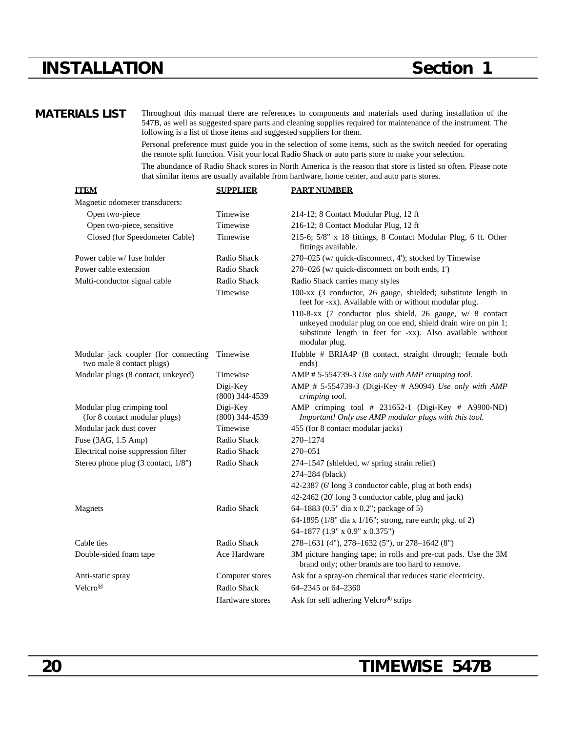## **INSTALLATION Section 1**

**MATERIALS LIST** Throughout this manual there are references to components and materials used during installation of the 547B, as well as suggested spare parts and cleaning supplies required for maintenance of the instrument. The following is a list of those items and suggested suppliers for them.

> Personal preference must guide you in the selection of some items, such as the switch needed for operating the remote split function. Visit your local Radio Shack or auto parts store to make your selection.

> The abundance of Radio Shack stores in North America is the reason that store is listed so often. Please note that similar items are usually available from hardware, home center, and auto parts stores.

| <b>ITEM</b>                                                       | <b>SUPPLIER</b>              | <b>PART NUMBER</b>                                                                                                                                                                                       |
|-------------------------------------------------------------------|------------------------------|----------------------------------------------------------------------------------------------------------------------------------------------------------------------------------------------------------|
| Magnetic odometer transducers:                                    |                              |                                                                                                                                                                                                          |
| Open two-piece                                                    | Timewise                     | 214-12; 8 Contact Modular Plug, 12 ft                                                                                                                                                                    |
| Open two-piece, sensitive                                         | Timewise                     | 216-12; 8 Contact Modular Plug, 12 ft                                                                                                                                                                    |
| Closed (for Speedometer Cable)                                    | Timewise                     | 215-6; 5/8" x 18 fittings, 8 Contact Modular Plug, 6 ft. Other<br>fittings available.                                                                                                                    |
| Power cable w/ fuse holder                                        | Radio Shack                  | 270-025 (w/ quick-disconnect, 4'); stocked by Timewise                                                                                                                                                   |
| Power cable extension                                             | Radio Shack                  | 270-026 (w/ quick-disconnect on both ends, 1')                                                                                                                                                           |
| Multi-conductor signal cable                                      | Radio Shack                  | Radio Shack carries many styles                                                                                                                                                                          |
|                                                                   | Timewise                     | 100-xx (3 conductor, 26 gauge, shielded; substitute length in<br>feet for -xx). Available with or without modular plug.                                                                                  |
|                                                                   |                              | 110-8-xx (7 conductor plus shield, 26 gauge, w/ 8 contact<br>unkeyed modular plug on one end, shield drain wire on pin 1;<br>substitute length in feet for -xx). Also available without<br>modular plug. |
| Modular jack coupler (for connecting<br>two male 8 contact plugs) | Timewise                     | Hubble # BRIA4P (8 contact, straight through; female both<br>ends)                                                                                                                                       |
| Modular plugs (8 contact, unkeyed)                                | Timewise                     | AMP # 5-554739-3 Use only with AMP crimping tool.                                                                                                                                                        |
|                                                                   | Digi-Key<br>$(800)$ 344-4539 | AMP # 5-554739-3 (Digi-Key # A9094) Use only with AMP<br>crimping tool.                                                                                                                                  |
| Modular plug crimping tool<br>(for 8 contact modular plugs)       | Digi-Key<br>$(800)$ 344-4539 | AMP crimping tool # 231652-1 (Digi-Key # A9900-ND)<br>Important! Only use AMP modular plugs with this tool.                                                                                              |
| Modular jack dust cover                                           | Timewise                     | 455 (for 8 contact modular jacks)                                                                                                                                                                        |
| Fuse (3AG, 1.5 Amp)                                               | Radio Shack                  | 270-1274                                                                                                                                                                                                 |
| Electrical noise suppression filter                               | Radio Shack                  | 270-051                                                                                                                                                                                                  |
| Stereo phone plug (3 contact, 1/8")                               | Radio Shack                  | 274-1547 (shielded, w/ spring strain relief)                                                                                                                                                             |
|                                                                   |                              | 274-284 (black)                                                                                                                                                                                          |
|                                                                   |                              | 42-2387 (6' long 3 conductor cable, plug at both ends)                                                                                                                                                   |
|                                                                   |                              | 42-2462 (20' long 3 conductor cable, plug and jack)                                                                                                                                                      |
| Magnets                                                           | Radio Shack                  | 64-1883 (0.5" dia x 0.2"; package of 5)                                                                                                                                                                  |
|                                                                   |                              | 64-1895 (1/8" dia x 1/16"; strong, rare earth; pkg. of 2)                                                                                                                                                |
|                                                                   |                              | 64-1877 (1.9" x 0.9" x 0.375")                                                                                                                                                                           |
| Cable ties                                                        | Radio Shack                  | 278-1631 (4"), 278-1632 (5"), or 278-1642 (8")                                                                                                                                                           |
| Double-sided foam tape                                            | Ace Hardware                 | 3M picture hanging tape; in rolls and pre-cut pads. Use the 3M<br>brand only; other brands are too hard to remove.                                                                                       |
| Anti-static spray                                                 | Computer stores              | Ask for a spray-on chemical that reduces static electricity.                                                                                                                                             |
| Velcro <sup>®</sup>                                               | Radio Shack                  | 64-2345 or 64-2360                                                                                                                                                                                       |
|                                                                   | Hardware stores              | Ask for self adhering Velcro <sup>®</sup> strips                                                                                                                                                         |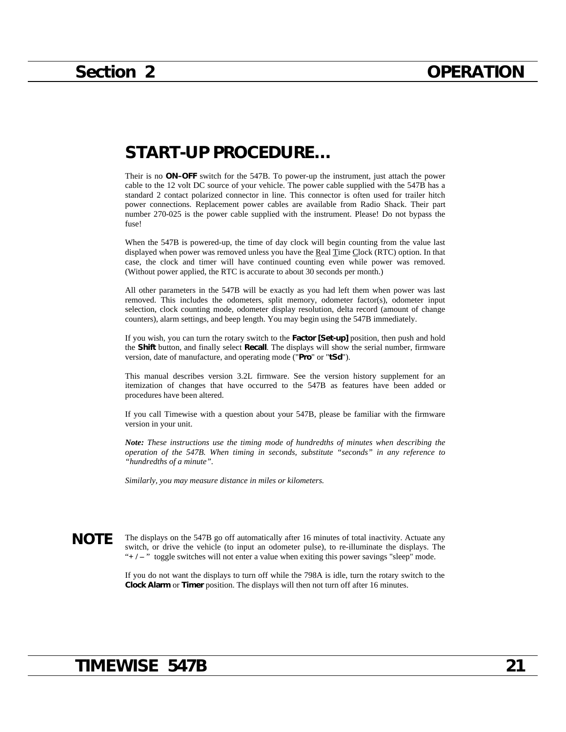## **START-UP PROCEDURE…**

Their is no **ON–OFF** switch for the 547B. To power-up the instrument, just attach the power cable to the 12 volt DC source of your vehicle. The power cable supplied with the 547B has a standard 2 contact polarized connector in line. This connector is often used for trailer hitch power connections. Replacement power cables are available from Radio Shack. Their part number 270-025 is the power cable supplied with the instrument. Please! Do not bypass the fuse!

When the 547B is powered-up, the time of day clock will begin counting from the value last displayed when power was removed unless you have the Real Time Clock (RTC) option. In that case, the clock and timer will have continued counting even while power was removed. (Without power applied, the RTC is accurate to about 30 seconds per month.)

All other parameters in the 547B will be exactly as you had left them when power was last removed. This includes the odometers, split memory, odometer factor(s), odometer input selection, clock counting mode, odometer display resolution, delta record (amount of change counters), alarm settings, and beep length. You may begin using the 547B immediately.

If you wish, you can turn the rotary switch to the **Factor [Set-up]** position, then push and hold the **Shift** button, and finally select **Recall**. The displays will show the serial number, firmware version, date of manufacture, and operating mode ("**Pro**" or "**tSd**").

This manual describes version 3.2L firmware. See the version history supplement for an itemization of changes that have occurred to the 547B as features have been added or procedures have been altered.

If you call Timewise with a question about your 547B, please be familiar with the firmware version in your unit.

*Note: These instructions use the timing mode of hundredths of minutes when describing the operation of the 547B. When timing in seconds, substitute "seconds" in any reference to "hundredths of a minute".*

*Similarly, you may measure distance in miles or kilometers.*

**NOTE** The displays on the 547B go off automatically after 16 minutes of total inactivity. Actuate any switch, or drive the vehicle (to input an odometer pulse), to re-illuminate the displays. The "**+ / –** " toggle switches will not enter a value when exiting this power savings "sleep" mode.

> If you do not want the displays to turn off while the 798A is idle, turn the rotary switch to the **Clock Alarm** or **Timer** position. The displays will then not turn off after 16 minutes.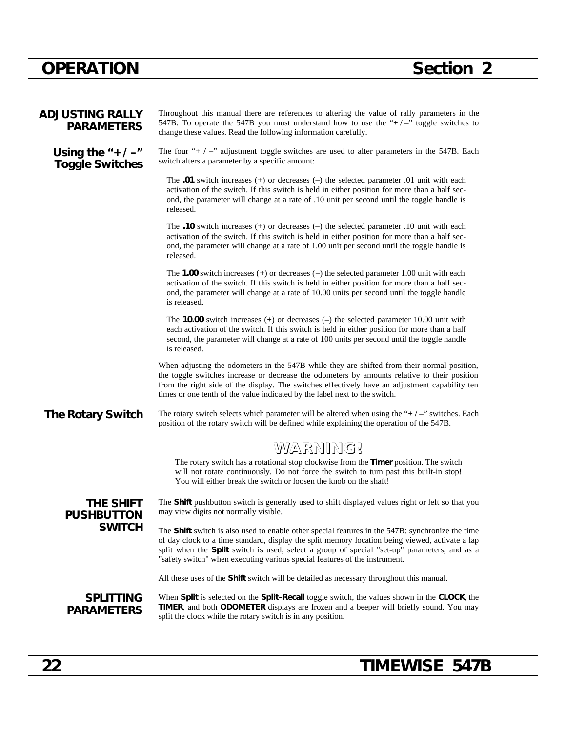| <b>ADJUSTING RALLY</b><br><b>PARAMETERS</b>     | Throughout this manual there are references to altering the value of rally parameters in the<br>547B. To operate the 547B you must understand how to use the " $+/-$ " toggle switches to<br>change these values. Read the following information carefully.                                                                                                                              |
|-------------------------------------------------|------------------------------------------------------------------------------------------------------------------------------------------------------------------------------------------------------------------------------------------------------------------------------------------------------------------------------------------------------------------------------------------|
| Using the $4 + 1 - 4$<br><b>Toggle Switches</b> | The four " $+$ $/$ -" adjustment toggle switches are used to alter parameters in the 547B. Each<br>switch alters a parameter by a specific amount:                                                                                                                                                                                                                                       |
|                                                 | The .01 switch increases $(+)$ or decreases $(-)$ the selected parameter .01 unit with each<br>activation of the switch. If this switch is held in either position for more than a half sec-<br>ond, the parameter will change at a rate of .10 unit per second until the toggle handle is<br>released.                                                                                  |
|                                                 | The .10 switch increases $(+)$ or decreases $(-)$ the selected parameter .10 unit with each<br>activation of the switch. If this switch is held in either position for more than a half sec-<br>ond, the parameter will change at a rate of 1.00 unit per second until the toggle handle is<br>released.                                                                                 |
|                                                 | The 1.00 switch increases $(+)$ or decreases $(-)$ the selected parameter 1.00 unit with each<br>activation of the switch. If this switch is held in either position for more than a half sec-<br>ond, the parameter will change at a rate of 10.00 units per second until the toggle handle<br>is released.                                                                             |
|                                                 | The <b>10.00</b> switch increases $(+)$ or decreases $(-)$ the selected parameter 10.00 unit with<br>each activation of the switch. If this switch is held in either position for more than a half<br>second, the parameter will change at a rate of 100 units per second until the toggle handle<br>is released.                                                                        |
|                                                 | When adjusting the odometers in the 547B while they are shifted from their normal position,<br>the toggle switches increase or decrease the odometers by amounts relative to their position<br>from the right side of the display. The switches effectively have an adjustment capability ten<br>times or one tenth of the value indicated by the label next to the switch.              |
| <b>The Rotary Switch</b>                        | The rotary switch selects which parameter will be altered when using the " $+$ / $-$ " switches. Each<br>position of the rotary switch will be defined while explaining the operation of the 547B.                                                                                                                                                                                       |
|                                                 | WARNING!                                                                                                                                                                                                                                                                                                                                                                                 |
|                                                 | The rotary switch has a rotational stop clockwise from the Timer position. The switch<br>will not rotate continuously. Do not force the switch to turn past this built-in stop!<br>You will either break the switch or loosen the knob on the shaft!                                                                                                                                     |
| THE SHIFT<br><b>PUSHBUTTON</b>                  | The Shift pushbutton switch is generally used to shift displayed values right or left so that you<br>may view digits not normally visible.                                                                                                                                                                                                                                               |
| <b>SWITCH</b>                                   | The <b>Shift</b> switch is also used to enable other special features in the 547B: synchronize the time<br>of day clock to a time standard, display the split memory location being viewed, activate a lap<br>split when the Split switch is used, select a group of special "set-up" parameters, and as a<br>"safety switch" when executing various special features of the instrument. |
|                                                 | All these uses of the <b>Shift</b> switch will be detailed as necessary throughout this manual.                                                                                                                                                                                                                                                                                          |
| <b>SPLITTING</b><br><b>PARAMETERS</b>           | When Split is selected on the Split-Recall toggle switch, the values shown in the CLOCK, the<br>TIMER, and both ODOMETER displays are frozen and a beeper will briefly sound. You may<br>split the clock while the rotary switch is in any position.                                                                                                                                     |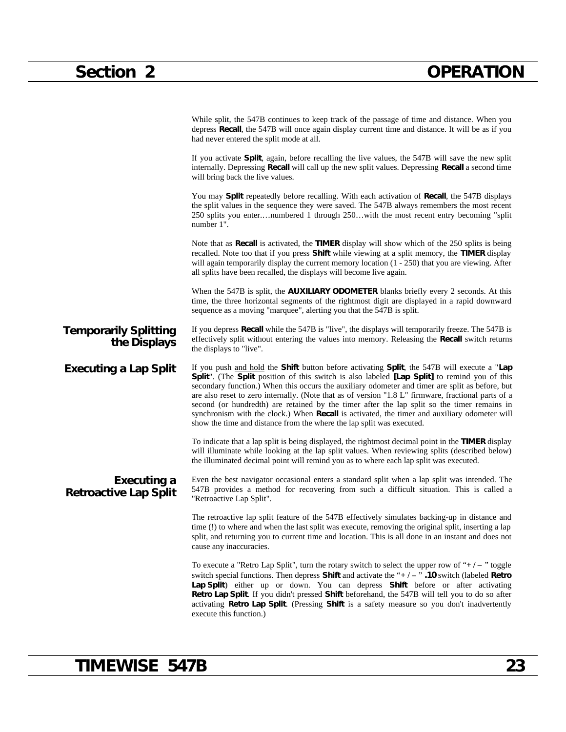|                                              | While split, the 547B continues to keep track of the passage of time and distance. When you<br>depress Recall, the 547B will once again display current time and distance. It will be as if you<br>had never entered the split mode at all.                                                                                                                                                                                                                                                                                                                                                                                                                                   |
|----------------------------------------------|-------------------------------------------------------------------------------------------------------------------------------------------------------------------------------------------------------------------------------------------------------------------------------------------------------------------------------------------------------------------------------------------------------------------------------------------------------------------------------------------------------------------------------------------------------------------------------------------------------------------------------------------------------------------------------|
|                                              | If you activate <b>Split</b> , again, before recalling the live values, the 547B will save the new split<br>internally. Depressing <b>Recall</b> will call up the new split values. Depressing <b>Recall</b> a second time<br>will bring back the live values.                                                                                                                                                                                                                                                                                                                                                                                                                |
|                                              | You may Split repeatedly before recalling. With each activation of Recall, the 547B displays<br>the split values in the sequence they were saved. The 547B always remembers the most recent<br>250 splits you enternumbered 1 through 250with the most recent entry becoming "split<br>number 1".                                                                                                                                                                                                                                                                                                                                                                             |
|                                              | Note that as <b>Recall</b> is activated, the <b>TIMER</b> display will show which of the 250 splits is being<br>recalled. Note too that if you press Shift while viewing at a split memory, the TIMER display<br>will again temporarily display the current memory location $(1 - 250)$ that you are viewing. After<br>all splits have been recalled, the displays will become live again.                                                                                                                                                                                                                                                                                    |
|                                              | When the 547B is split, the <b>AUXILIARY ODOMETER</b> blanks briefly every 2 seconds. At this<br>time, the three horizontal segments of the rightmost digit are displayed in a rapid downward<br>sequence as a moving "marquee", alerting you that the 547B is split.                                                                                                                                                                                                                                                                                                                                                                                                         |
| <b>Temporarily Splitting</b><br>the Displays | If you depress <b>Recall</b> while the 547B is "live", the displays will temporarily freeze. The 547B is<br>effectively split without entering the values into memory. Releasing the <b>Recall</b> switch returns<br>the displays to "live".                                                                                                                                                                                                                                                                                                                                                                                                                                  |
| <b>Executing a Lap Split</b>                 | If you push and hold the Shift button before activating Split, the 547B will execute a "Lap<br>Split". (The Split position of this switch is also labeled [Lap Split] to remind you of this<br>secondary function.) When this occurs the auxiliary odometer and timer are split as before, but<br>are also reset to zero internally. (Note that as of version "1.8 L" firmware, fractional parts of a<br>second (or hundredth) are retained by the timer after the lap split so the timer remains in<br>synchronism with the clock.) When Recall is activated, the timer and auxiliary odometer will<br>show the time and distance from the where the lap split was executed. |
|                                              | To indicate that a lap split is being displayed, the rightmost decimal point in the TIMER display<br>will illuminate while looking at the lap split values. When reviewing splits (described below)<br>the illuminated decimal point will remind you as to where each lap split was executed.                                                                                                                                                                                                                                                                                                                                                                                 |
| Executing a<br><b>Retroactive Lap Split</b>  | Even the best navigator occasional enters a standard split when a lap split was intended. The<br>547B provides a method for recovering from such a difficult situation. This is called a<br>"Retroactive Lap Split".                                                                                                                                                                                                                                                                                                                                                                                                                                                          |
|                                              | The retroactive lap split feature of the 547B effectively simulates backing-up in distance and<br>time (!) to where and when the last split was execute, removing the original split, inserting a lap<br>split, and returning you to current time and location. This is all done in an instant and does not<br>cause any inaccuracies.                                                                                                                                                                                                                                                                                                                                        |
|                                              | To execute a "Retro Lap Split", turn the rotary switch to select the upper row of " $+/-$ " toggle<br>switch special functions. Then depress Shift and activate the " $+/-$ ". 10 switch (labeled Retro<br>Lap Split) either up or down. You can depress Shift before or after activating<br>Retro Lap Split. If you didn't pressed Shift beforehand, the 547B will tell you to do so after<br>activating Retro Lap Split. (Pressing Shift is a safety measure so you don't inadvertently<br>execute this function.)                                                                                                                                                          |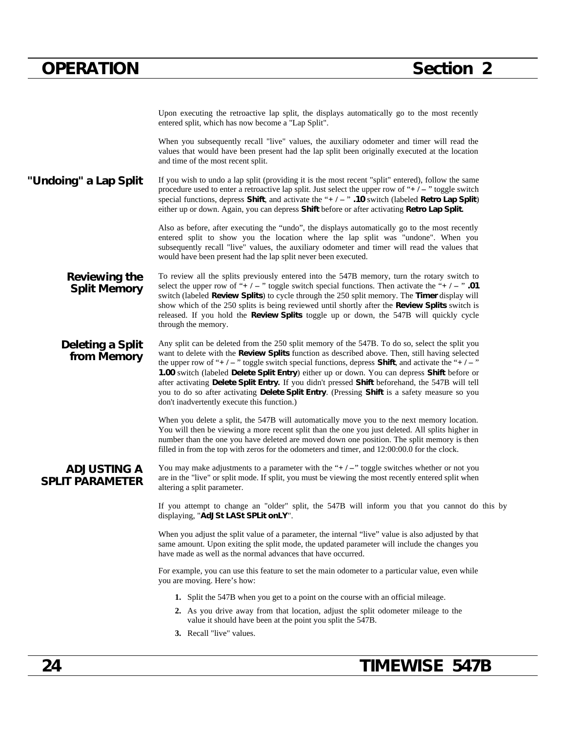Upon executing the retroactive lap split, the displays automatically go to the most recently entered split, which has now become a "Lap Split".

When you subsequently recall "live" values, the auxiliary odometer and timer will read the values that would have been present had the lap split been originally executed at the location and time of the most recent split.

"Undoing" a Lap Split If you wish to undo a lap split (providing it is the most recent "split" entered), follow the same procedure used to enter a retroactive lap split. Just select the upper row of "**+ / –** " toggle switch special functions, depress **Shift**, and activate the "**+ / –** " **.10** switch (labeled **Retro Lap Split**) either up or down. Again, you can depress **Shift** before or after activating **Retro Lap Split.**

> Also as before, after executing the "undo", the displays automatically go to the most recently entered split to show you the location where the lap split was "undone". When you subsequently recall "live" values, the auxiliary odometer and timer will read the values that would have been present had the lap split never been executed.

**Reviewing the Split Memory** To review all the splits previously entered into the 547B memory, turn the rotary switch to select the upper row of " $+$  /  $-$  " toggle switch special functions. Then activate the " $+$  /  $-$  "  $.01$ switch (labeled **Review Splits**) to cycle through the 250 split memory. The **Timer** display will show which of the 250 splits is being reviewed until shortly after the **Review Splits** switch is released. If you hold the **Review Splits** toggle up or down, the 547B will quickly cycle through the memory.

**Deleting a Split from Memory** Any split can be deleted from the 250 split memory of the 547B. To do so, select the split you want to delete with the **Review Splits** function as described above. Then, still having selected the upper row of "**+ / –** " toggle switch special functions, depress **Shift**, and activate the "**+ / –** " **1.00** switch (labeled **Delete Split Entry**) either up or down. You can depress **Shift** before or after activating **Delete Split Entry.** If you didn't pressed **Shift** beforehand, the 547B will tell you to do so after activating **Delete Split Entry**. (Pressing **Shift** is a safety measure so you don't inadvertently execute this function.)

> When you delete a split, the 547B will automatically move you to the next memory location. You will then be viewing a more recent split than the one you just deleted. All splits higher in number than the one you have deleted are moved down one position. The split memory is then filled in from the top with zeros for the odometers and timer, and 12:00:00.0 for the clock.

**ADJUSTING A SPLIT PARAMETER**

You may make adjustments to a parameter with the "**+** / -" toggle switches whether or not you are in the "live" or split mode. If split, you must be viewing the most recently entered split when altering a split parameter.

If you attempt to change an "older" split, the 547B will inform you that you cannot do this by displaying, "**AdJSt LASt SPLit onLY**".

When you adjust the split value of a parameter, the internal "live" value is also adjusted by that same amount. Upon exiting the split mode, the updated parameter will include the changes you have made as well as the normal advances that have occurred.

For example, you can use this feature to set the main odometer to a particular value, even while you are moving. Here's how:

- **1.** Split the 547B when you get to a point on the course with an official mileage.
- **2.** As you drive away from that location, adjust the split odometer mileage to the value it should have been at the point you split the 547B.
- **3.** Recall "live" values.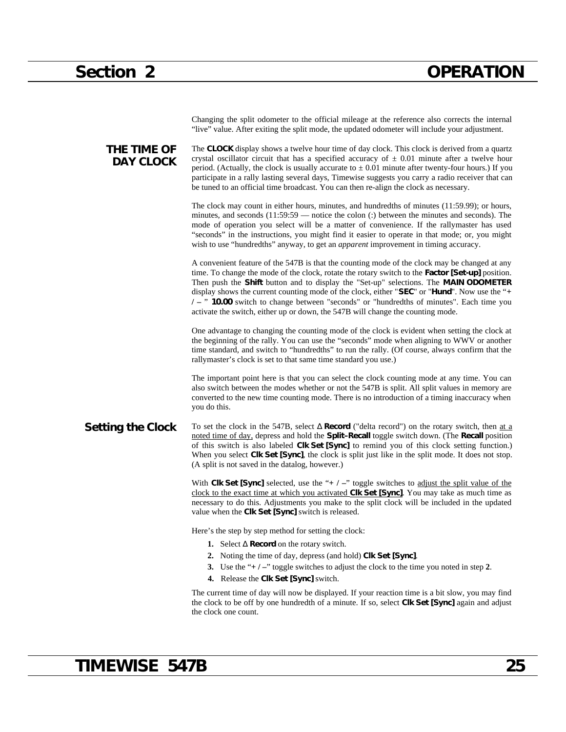|                                 | Changing the split odometer to the official mileage at the reference also corrects the internal<br>"live" value. After exiting the split mode, the updated odometer will include your adjustment.                                                                                                                                                                                                                                                                                                                                                                        |
|---------------------------------|--------------------------------------------------------------------------------------------------------------------------------------------------------------------------------------------------------------------------------------------------------------------------------------------------------------------------------------------------------------------------------------------------------------------------------------------------------------------------------------------------------------------------------------------------------------------------|
| THE TIME OF<br><b>DAY CLOCK</b> | The <b>CLOCK</b> display shows a twelve hour time of day clock. This clock is derived from a quartz<br>crystal oscillator circuit that has a specified accuracy of $\pm$ 0.01 minute after a twelve hour<br>period. (Actually, the clock is usually accurate to $\pm$ 0.01 minute after twenty-four hours.) If you<br>participate in a rally lasting several days, Timewise suggests you carry a radio receiver that can<br>be tuned to an official time broadcast. You can then re-align the clock as necessary.                                                        |
|                                 | The clock may count in either hours, minutes, and hundredths of minutes (11:59.99); or hours,<br>minutes, and seconds $(11:59:59$ — notice the colon $(:)$ between the minutes and seconds). The<br>mode of operation you select will be a matter of convenience. If the rallymaster has used<br>"seconds" in the instructions, you might find it easier to operate in that mode; or, you might<br>wish to use "hundredths" anyway, to get an <i>apparent</i> improvement in timing accuracy.                                                                            |
|                                 | A convenient feature of the 547B is that the counting mode of the clock may be changed at any<br>time. To change the mode of the clock, rotate the rotary switch to the Factor [Set-up] position.<br>Then push the Shift button and to display the "Set-up" selections. The MAIN ODOMETER<br>display shows the current counting mode of the clock, either "SEC" or "Hund". Now use the "+<br>/ - " 10.00 switch to change between "seconds" or "hundredths of minutes". Each time you<br>activate the switch, either up or down, the 547B will change the counting mode. |
|                                 | One advantage to changing the counting mode of the clock is evident when setting the clock at<br>the beginning of the rally. You can use the "seconds" mode when aligning to WWV or another<br>time standard, and switch to "hundredths" to run the rally. (Of course, always confirm that the<br>rallymaster's clock is set to that same time standard you use.)                                                                                                                                                                                                        |
|                                 | The important point here is that you can select the clock counting mode at any time. You can<br>also switch between the modes whether or not the 547B is split. All split values in memory are<br>converted to the new time counting mode. There is no introduction of a timing inaccuracy when<br>you do this.                                                                                                                                                                                                                                                          |
| <b>Setting the Clock</b>        | To set the clock in the 547B, select Record ("delta record") on the rotary switch, then at a<br>noted time of day, depress and hold the Split-Recall toggle switch down. (The Recall position<br>of this switch is also labeled CIk Set [Sync] to remind you of this clock setting function.)<br>When you select Clk Set [Sync], the clock is split just like in the split mode. It does not stop.<br>(A split is not saved in the datalog, however.)                                                                                                                    |
|                                 | With Clk Set [Sync] selected, use the "+ $/$ -" toggle switches to adjust the split value of the<br>clock to the exact time at which you activated Clk Set [Sync]. You may take as much time as<br>necessary to do this. Adjustments you make to the split clock will be included in the updated<br>value when the Clk Set [Sync] switch is released.                                                                                                                                                                                                                    |
|                                 | Here's the step by step method for setting the clock:                                                                                                                                                                                                                                                                                                                                                                                                                                                                                                                    |
|                                 | 1. Select Record on the rotary switch.                                                                                                                                                                                                                                                                                                                                                                                                                                                                                                                                   |
|                                 | 2. Noting the time of day, depress (and hold) Clk Set [Sync].                                                                                                                                                                                                                                                                                                                                                                                                                                                                                                            |
|                                 | 3. Use the " $+/-$ " toggle switches to adjust the clock to the time you noted in step 2.                                                                                                                                                                                                                                                                                                                                                                                                                                                                                |
|                                 | 4. Release the Clk Set [Sync] switch.                                                                                                                                                                                                                                                                                                                                                                                                                                                                                                                                    |
|                                 | The current time of day will now be displayed. If your reaction time is a bit slow, you may find<br>the clock to be off by one hundredth of a minute. If so, select Clk Set [Sync] again and adjust                                                                                                                                                                                                                                                                                                                                                                      |

# **TIMEWISE 547B 25**

the clock one count.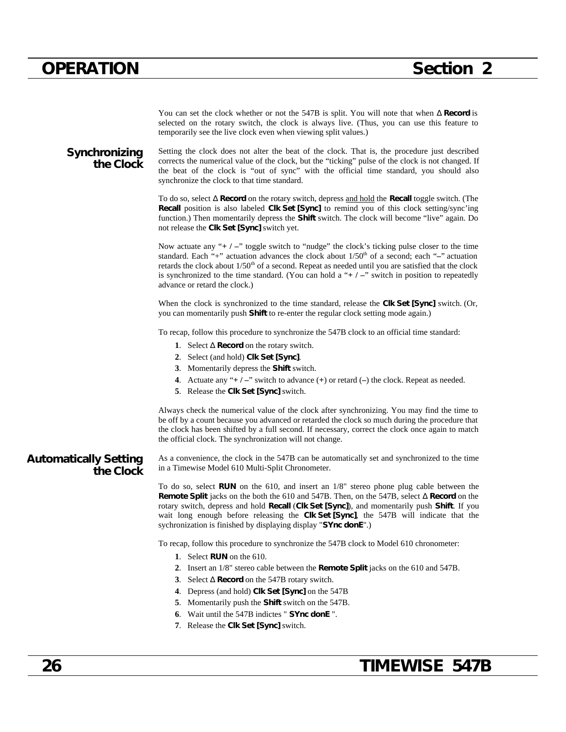You can set the clock whether or not the 547B is split. You will note that when **Record** is selected on the rotary switch, the clock is always live. (Thus, you can use this feature to temporarily see the live clock even when viewing split values.)

### **Synchronizing the Clock**

Setting the clock does not alter the beat of the clock. That is, the procedure just described corrects the numerical value of the clock, but the "ticking" pulse of the clock is not changed. If the beat of the clock is "out of sync" with the official time standard, you should also synchronize the clock to that time standard.

To do so, select **Record** on the rotary switch, depress and hold the **Recall** toggle switch. (The **Recall** position is also labeled **Clk Set [Sync]** to remind you of this clock setting/sync'ing function.) Then momentarily depress the **Shift** switch. The clock will become "live" again. Do not release the **Clk Set [Sync]** switch yet.

Now actuate any "**+ / –**" toggle switch to "nudge" the clock's ticking pulse closer to the time standard. Each "+" actuation advances the clock about  $1/50<sup>th</sup>$  of a second; each "-" actuation retards the clock about  $1/50<sup>th</sup>$  of a second. Repeat as needed until you are satisfied that the clock is synchronized to the time standard. (You can hold a "**+ / –**" switch in position to repeatedly advance or retard the clock.)

When the clock is synchronized to the time standard, release the **Clk Set [Sync]** switch. (Or, you can momentarily push **Shift** to re-enter the regular clock setting mode again.)

To recap, follow this procedure to synchronize the 547B clock to an official time standard:

- **1**. Select **Record** on the rotary switch.
- **2**. Select (and hold) **Clk Set [Sync]**.
- **3**. Momentarily depress the **Shift** switch.
- **4**. Actuate any "**+ / –**" switch to advance (**+**) or retard (**–**) the clock. Repeat as needed.
- **5**. Release the **Clk Set [Sync]** switch.

Always check the numerical value of the clock after synchronizing. You may find the time to be off by a count because you advanced or retarded the clock so much during the procedure that the clock has been shifted by a full second. If necessary, correct the clock once again to match the official clock. The synchronization will not change.

**Automatically Setting the Clock**

As a convenience, the clock in the 547B can be automatically set and synchronized to the time in a Timewise Model 610 Multi-Split Chronometer.

To do so, select **RUN** on the 610, and insert an 1/8" stereo phone plug cable between the **Remote Split** jacks on the both the 610 and 547B. Then, on the 547B, select **Record** on the rotary switch, depress and hold **Recall** (**Clk Set [Sync]**), and momentarily push **Shift**. If you wait long enough before releasing the **Clk Set [Sync]**, the 547B will indicate that the sychronization is finished by displaying display "**SYnc donE**".)

To recap, follow this procedure to synchronize the 547B clock to Model 610 chronometer:

- **1**. Select **RUN** on the 610.
- **2**. Insert an 1/8" stereo cable between the **Remote Split** jacks on the 610 and 547B.
- **3**. Select **Record** on the 547B rotary switch.
- **4**. Depress (and hold) **Clk Set [Sync]** on the 547B
- **5**. Momentarily push the **Shift** switch on the 547B.
- **6**. Wait until the 547B indictes " **SYnc donE** ".
- **7**. Release the **Clk Set [Sync]** switch.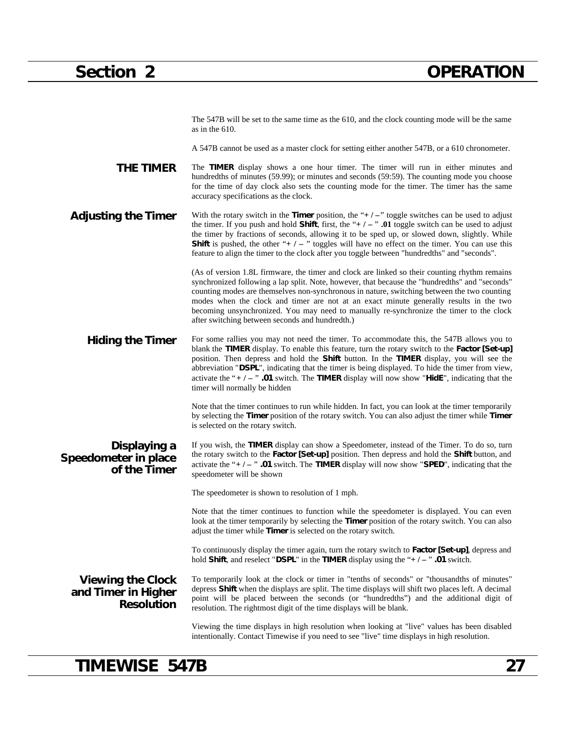The 547B will be set to the same time as the 610, and the clock counting mode will be the same as in the 610.

A 547B cannot be used as a master clock for setting either another 547B, or a 610 chronometer.

**THE TIMER** The **TIMER** display shows a one hour timer. The timer will run in either minutes and hundredths of minutes (59.99); or minutes and seconds (59:59). The counting mode you choose for the time of day clock also sets the counting mode for the timer. The timer has the same accuracy specifications as the clock.

Adjusting the Timer With the rotary switch in the Timer position, the "+/-" toggle switches can be used to adjust the timer. If you push and hold **Shift**, first, the "**+ / –** " **.01** toggle switch can be used to adjust the timer by fractions of seconds, allowing it to be sped up, or slowed down, slightly. While **Shift** is pushed, the other "**+ / –** " toggles will have no effect on the timer. You can use this feature to align the timer to the clock after you toggle between "hundredths" and "seconds".

> (As of version 1.8L firmware, the timer and clock are linked so their counting rhythm remains synchronized following a lap split. Note, however, that because the "hundredths" and "seconds" counting modes are themselves non-synchronous in nature, switching between the two counting modes when the clock and timer are not at an exact minute generally results in the two becoming unsynchronized. You may need to manually re-synchronize the timer to the clock after switching between seconds and hundredth.)

Hiding the Timer For some rallies you may not need the timer. To accommodate this, the 547B allows you to blank the **TIMER** display. To enable this feature, turn the rotary switch to the **Factor [Set-up]** position. Then depress and hold the **Shift** button. In the **TIMER** display, you will see the abbreviation "**DSPL**", indicating that the timer is being displayed. To hide the timer from view, activate the "**+ / –** " **.01** switch. The **TIMER** display will now show "**HidE**", indicating that the timer will normally be hidden

> Note that the timer continues to run while hidden. In fact, you can look at the timer temporarily by selecting the **Timer** position of the rotary switch. You can also adjust the timer while **Timer** is selected on the rotary switch.

#### **Displaying a Speedometer in place of the Timer** If you wish, the **TIMER** display can show a Speedometer, instead of the Timer. To do so, turn the rotary switch to the **Factor [Set-up]** position. Then depress and hold the **Shift** button, and activate the "**+ / –** " **.01** switch. The **TIMER** display will now show "**SPED**", indicating that the speedometer will be shown

The speedometer is shown to resolution of 1 mph.

Note that the timer continues to function while the speedometer is displayed. You can even look at the timer temporarily by selecting the **Timer** position of the rotary switch. You can also adjust the timer while **Timer** is selected on the rotary switch.

To continuously display the timer again, turn the rotary switch to **Factor [Set-up]**, depress and hold **Shift**, and reselect "**DSPL**" in the **TIMER** display using the "**+ / –** " **.01** switch.

#### **Viewing the Clock and Timer in Higher Resolution**

To temporarily look at the clock or timer in "tenths of seconds" or "thousandths of minutes" depress **Shift** when the displays are split. The time displays will shift two places left. A decimal point will be placed between the seconds (or "hundredths") and the additional digit of resolution. The rightmost digit of the time displays will be blank.

Viewing the time displays in high resolution when looking at "live" values has been disabled intentionally. Contact Timewise if you need to see "live" time displays in high resolution.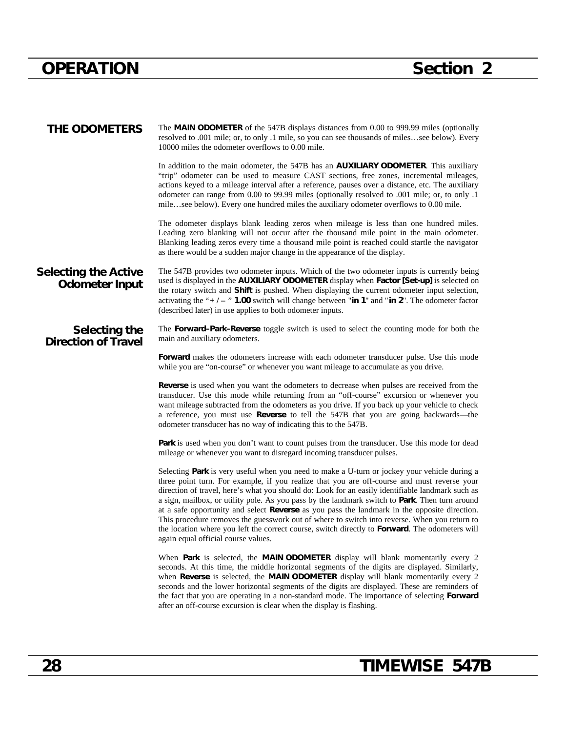| THE ODOMETERS                                        | The MAIN ODOMETER of the 547B displays distances from 0.00 to 999.99 miles (optionally<br>resolved to .001 mile; or, to only .1 mile, so you can see thousands of milessee below). Every<br>10000 miles the odometer overflows to 0.00 mile.                                                                                                                                                                                                                                                                                                                                                                                                                                                                                                       |
|------------------------------------------------------|----------------------------------------------------------------------------------------------------------------------------------------------------------------------------------------------------------------------------------------------------------------------------------------------------------------------------------------------------------------------------------------------------------------------------------------------------------------------------------------------------------------------------------------------------------------------------------------------------------------------------------------------------------------------------------------------------------------------------------------------------|
|                                                      | In addition to the main odometer, the 547B has an <b>AUXILIARY ODOMETER</b> . This auxiliary<br>"trip" odometer can be used to measure CAST sections, free zones, incremental mileages,<br>actions keyed to a mileage interval after a reference, pauses over a distance, etc. The auxiliary<br>odometer can range from 0.00 to 99.99 miles (optionally resolved to .001 mile; or, to only .1<br>milesee below). Every one hundred miles the auxiliary odometer overflows to 0.00 mile.                                                                                                                                                                                                                                                            |
|                                                      | The odometer displays blank leading zeros when mileage is less than one hundred miles.<br>Leading zero blanking will not occur after the thousand mile point in the main odometer.<br>Blanking leading zeros every time a thousand mile point is reached could startle the navigator<br>as there would be a sudden major change in the appearance of the display.                                                                                                                                                                                                                                                                                                                                                                                  |
| <b>Selecting the Active</b><br><b>Odometer Input</b> | The 547B provides two odometer inputs. Which of the two odometer inputs is currently being<br>used is displayed in the AUXILIARY ODOMETER display when Factor [Set-up] is selected on<br>the rotary switch and Shift is pushed. When displaying the current odometer input selection,<br>activating the "+/-" 1.00 switch will change between "in 1" and "in 2". The odometer factor<br>(described later) in use applies to both odometer inputs.                                                                                                                                                                                                                                                                                                  |
| Selecting the<br><b>Direction of Travel</b>          | The Forward–Park–Reverse toggle switch is used to select the counting mode for both the<br>main and auxiliary odometers.                                                                                                                                                                                                                                                                                                                                                                                                                                                                                                                                                                                                                           |
|                                                      | Forward makes the odometers increase with each odometer transducer pulse. Use this mode<br>while you are "on-course" or whenever you want mileage to accumulate as you drive.                                                                                                                                                                                                                                                                                                                                                                                                                                                                                                                                                                      |
|                                                      | <b>Reverse</b> is used when you want the odometers to decrease when pulses are received from the<br>transducer. Use this mode while returning from an "off-course" excursion or whenever you<br>want mileage subtracted from the odometers as you drive. If you back up your vehicle to check<br>a reference, you must use <b>Reverse</b> to tell the 547B that you are going backwards—the<br>odometer transducer has no way of indicating this to the 547B.                                                                                                                                                                                                                                                                                      |
|                                                      | Park is used when you don't want to count pulses from the transducer. Use this mode for dead<br>mileage or whenever you want to disregard incoming transducer pulses.                                                                                                                                                                                                                                                                                                                                                                                                                                                                                                                                                                              |
|                                                      | Selecting Park is very useful when you need to make a U-turn or jockey your vehicle during a<br>three point turn. For example, if you realize that you are off-course and must reverse your<br>direction of travel, here's what you should do: Look for an easily identifiable landmark such as<br>a sign, mailbox, or utility pole. As you pass by the landmark switch to Park. Then turn around<br>at a safe opportunity and select Reverse as you pass the landmark in the opposite direction.<br>This procedure removes the guesswork out of where to switch into reverse. When you return to<br>the location where you left the correct course, switch directly to <b>Forward</b> . The odometers will<br>again equal official course values. |
|                                                      | When Park is selected, the MAIN ODOMETER display will blank momentarily every 2<br>seconds. At this time, the middle horizontal segments of the digits are displayed. Similarly,<br>when Reverse is selected, the MAIN ODOMETER display will blank momentarily every 2<br>seconds and the lower horizontal segments of the digits are displayed. These are reminders of<br>the fact that you are operating in a non-standard mode. The importance of selecting Forward<br>after an off-course excursion is clear when the display is flashing.                                                                                                                                                                                                     |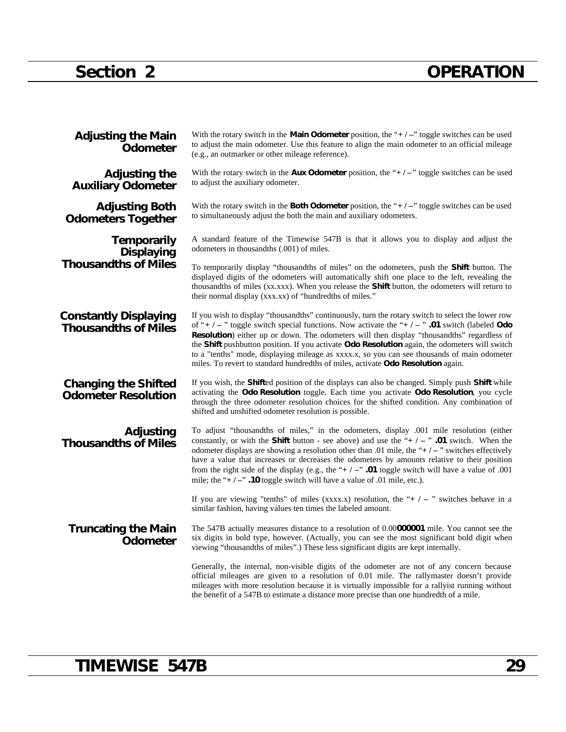# **Section 2 OPERATION**

| <b>Adjusting the Main</b><br><b>Odometer</b>                           | With the rotary switch in the <b>Main Odometer</b> position, the " $+/-$ " toggle switches can be used<br>to adjust the main odometer. Use this feature to align the main odometer to an official mileage<br>(e.g., an outmarker or other mileage reference).                                                                                                                                                                                                                                                                                                                                             |
|------------------------------------------------------------------------|-----------------------------------------------------------------------------------------------------------------------------------------------------------------------------------------------------------------------------------------------------------------------------------------------------------------------------------------------------------------------------------------------------------------------------------------------------------------------------------------------------------------------------------------------------------------------------------------------------------|
| <b>Adjusting the</b><br><b>Auxiliary Odometer</b>                      | With the rotary switch in the <b>Aux Odometer</b> position, the " $+/-$ " toggle switches can be used<br>to adjust the auxiliary odometer.                                                                                                                                                                                                                                                                                                                                                                                                                                                                |
| <b>Adjusting Both</b><br><b>Odometers Together</b>                     | With the rotary switch in the <b>Both Odometer</b> position, the " $+/-$ " toggle switches can be used<br>to simultaneously adjust the both the main and auxiliary odometers.                                                                                                                                                                                                                                                                                                                                                                                                                             |
| <b>Temporarily</b><br><b>Displaying</b><br><b>Thousandths of Miles</b> | A standard feature of the Timewise 547B is that it allows you to display and adjust the<br>odometers in thousandths (.001) of miles.                                                                                                                                                                                                                                                                                                                                                                                                                                                                      |
|                                                                        | To temporarily display "thousandths of miles" on the odometers, push the Shift button. The<br>displayed digits of the odometers will automatically shift one place to the left, revealing the<br>thousandths of miles (xx.xxx). When you release the <b>Shift</b> button, the odometers will return to<br>their normal display (xxx.xx) of "hundredths of miles."                                                                                                                                                                                                                                         |
| <b>Constantly Displaying</b><br><b>Thousandths of Miles</b>            | If you wish to display "thousandths" continuously, turn the rotary switch to select the lower row<br>of "+ $/ -$ " toggle switch special functions. Now activate the "+ $/ -$ " .01 switch (labeled Odo<br><b>Resolution</b> ) either up or down. The odometers will then display "thousandths" regardless of<br>the Shift pushbutton position. If you activate Odo Resolution again, the odometers will switch<br>to a "tenths" mode, displaying mileage as xxxx.x, so you can see thousands of main odometer<br>miles. To revert to standard hundredths of miles, activate <b>Odo Resolution</b> again. |
| <b>Changing the Shifted</b><br><b>Odometer Resolution</b>              | If you wish, the <b>Shifted</b> position of the displays can also be changed. Simply push <b>Shift</b> while<br>activating the Odo Resolution toggle. Each time you activate Odo Resolution, you cycle<br>through the three odometer resolution choices for the shifted condition. Any combination of<br>shifted and unshifted odometer resolution is possible.                                                                                                                                                                                                                                           |
| Adjusting<br><b>Thousandths of Miles</b>                               | To adjust "thousand the of miles," in the odometers, display .001 mile resolution (either<br>constantly, or with the <b>Shift</b> button - see above) and use the "+ $/ -$ " .01 switch. When the<br>odometer displays are showing a resolution other than .01 mile, the " $+/-$ " switches effectively<br>have a value that increases or decreases the odometers by amounts relative to their position<br>from the right side of the display (e.g., the "+ $/$ -" .01 toggle switch will have a value of .001<br>mile; the "+ $/ -$ ". 10 toggle switch will have a value of .01 mile, etc.).            |
|                                                                        | If you are viewing "tenths" of miles (xxxx.x) resolution, the "+ $\ell$ - " switches behave in a<br>similar fashion, having values ten times the labeled amount.                                                                                                                                                                                                                                                                                                                                                                                                                                          |
| <b>Truncating the Main</b><br><b>Odometer</b>                          | The 547B actually measures distance to a resolution of 0.00 <b>000001</b> mile. You cannot see the<br>six digits in bold type, however. (Actually, you can see the most significant bold digit when<br>viewing "thousandths of miles".) These less significant digits are kept internally.                                                                                                                                                                                                                                                                                                                |
|                                                                        | Generally, the internal, non-visible digits of the odometer are not of any concern because<br>official mileages are given to a resolution of 0.01 mile. The rallymaster doesn't provide<br>mileages with more resolution because it is virtually impossible for a rally is running without<br>the benefit of a 547B to estimate a distance more precise than one hundredth of a mile.                                                                                                                                                                                                                     |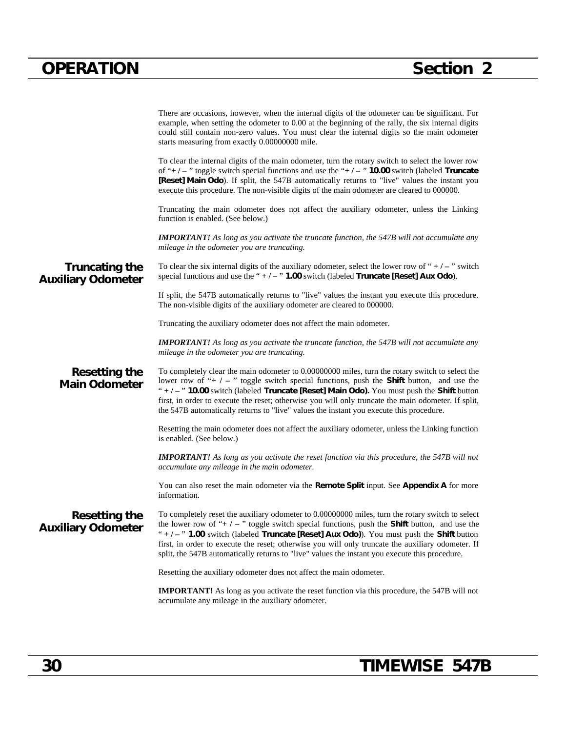|                                                    | There are occasions, however, when the internal digits of the odometer can be significant. For<br>example, when setting the odometer to 0.00 at the beginning of the rally, the six internal digits<br>could still contain non-zero values. You must clear the internal digits so the main odometer<br>starts measuring from exactly 0.00000000 mile.                                                                                                                                                          |
|----------------------------------------------------|----------------------------------------------------------------------------------------------------------------------------------------------------------------------------------------------------------------------------------------------------------------------------------------------------------------------------------------------------------------------------------------------------------------------------------------------------------------------------------------------------------------|
|                                                    | To clear the internal digits of the main odometer, turn the rotary switch to select the lower row<br>of "+/-" toggle switch special functions and use the "+/-" <b>10.00</b> switch (labeled <b>Truncate</b><br>[Reset] Main Odo). If split, the 547B automatically returns to "live" values the instant you<br>execute this procedure. The non-visible digits of the main odometer are cleared to 000000.                                                                                                     |
|                                                    | Truncating the main odometer does not affect the auxiliary odometer, unless the Linking<br>function is enabled. (See below.)                                                                                                                                                                                                                                                                                                                                                                                   |
|                                                    | <b>IMPORTANT!</b> As long as you activate the truncate function, the 547B will not accumulate any<br>mileage in the odometer you are truncating.                                                                                                                                                                                                                                                                                                                                                               |
| <b>Truncating the</b><br><b>Auxiliary Odometer</b> | To clear the six internal digits of the auxiliary odometer, select the lower row of " $+/-$ " switch<br>special functions and use the " $+/-$ " 1.00 switch (labeled Truncate [Reset] Aux Odo).                                                                                                                                                                                                                                                                                                                |
|                                                    | If split, the 547B automatically returns to "live" values the instant you execute this procedure.<br>The non-visible digits of the auxiliary odometer are cleared to 000000.                                                                                                                                                                                                                                                                                                                                   |
|                                                    | Truncating the auxiliary odometer does not affect the main odometer.                                                                                                                                                                                                                                                                                                                                                                                                                                           |
|                                                    | <b>IMPORTANT!</b> As long as you activate the truncate function, the 547B will not accumulate any<br>mileage in the odometer you are truncating.                                                                                                                                                                                                                                                                                                                                                               |
| <b>Resetting the</b><br><b>Main Odometer</b>       | To completely clear the main odometer to 0.00000000 miles, turn the rotary switch to select the<br>lower row of "+ $/ -$ " toggle switch special functions, push the <b>Shift</b> button, and use the<br>" $+/-$ " 10.00 switch (labeled Truncate [Reset] Main Odo). You must push the Shift button<br>first, in order to execute the reset; otherwise you will only truncate the main odometer. If split,<br>the 547B automatically returns to "live" values the instant you execute this procedure.          |
|                                                    | Resetting the main odometer does not affect the auxiliary odometer, unless the Linking function<br>is enabled. (See below.)                                                                                                                                                                                                                                                                                                                                                                                    |
|                                                    | <b>IMPORTANT!</b> As long as you activate the reset function via this procedure, the 547B will not<br>accumulate any mileage in the main odometer.                                                                                                                                                                                                                                                                                                                                                             |
|                                                    | You can also reset the main odometer via the Remote Split input. See Appendix A for more<br>information.                                                                                                                                                                                                                                                                                                                                                                                                       |
| Resetting the<br><b>Auxiliary Odometer</b>         | To completely reset the auxiliary odometer to 0.00000000 miles, turn the rotary switch to select<br>the lower row of "+ $/ -$ " toggle switch special functions, push the <b>Shift</b> button, and use the<br>" $+/-$ " 1.00 switch (labeled Truncate [Reset] Aux Odo)). You must push the Shift button<br>first, in order to execute the reset; otherwise you will only truncate the auxiliary odometer. If<br>split, the 547B automatically returns to "live" values the instant you execute this procedure. |
|                                                    | Resetting the auxiliary odometer does not affect the main odometer.                                                                                                                                                                                                                                                                                                                                                                                                                                            |
|                                                    | <b>IMPORTANT!</b> As long as you activate the reset function via this procedure, the 547B will not<br>accumulate any mileage in the auxiliary odometer.                                                                                                                                                                                                                                                                                                                                                        |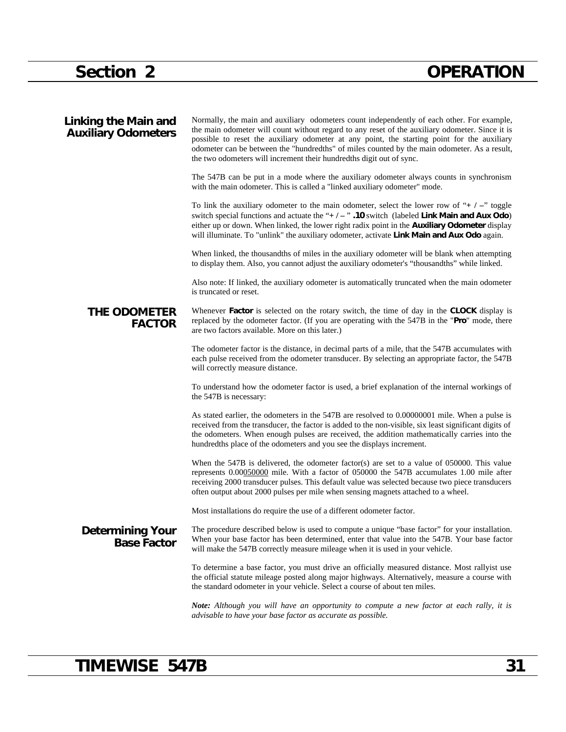| <b>Linking the Main and</b><br><b>Auxiliary Odometers</b> | Normally, the main and auxiliary odometers count independently of each other. For example,<br>the main odometer will count without regard to any reset of the auxiliary odometer. Since it is<br>possible to reset the auxiliary odometer at any point, the starting point for the auxiliary<br>odometer can be between the "hundredths" of miles counted by the main odometer. As a result,<br>the two odometers will increment their hundredths digit out of sync. |
|-----------------------------------------------------------|----------------------------------------------------------------------------------------------------------------------------------------------------------------------------------------------------------------------------------------------------------------------------------------------------------------------------------------------------------------------------------------------------------------------------------------------------------------------|
|                                                           | The 547B can be put in a mode where the auxiliary odometer always counts in synchronism<br>with the main odometer. This is called a "linked auxiliary odometer" mode.                                                                                                                                                                                                                                                                                                |
|                                                           | To link the auxiliary odometer to the main odometer, select the lower row of "+ $/ -$ " toggle<br>switch special functions and actuate the "+ $/ -$ ". 10 switch (labeled Link Main and Aux Odo)<br>either up or down. When linked, the lower right radix point in the <b>Auxiliary Odometer</b> display<br>will illuminate. To "unlink" the auxiliary odometer, activate Link Main and Aux Odo again.                                                               |
|                                                           | When linked, the thousandths of miles in the auxiliary odometer will be blank when attempting<br>to display them. Also, you cannot adjust the auxiliary odometer's "thousandths" while linked.                                                                                                                                                                                                                                                                       |
|                                                           | Also note: If linked, the auxiliary odometer is automatically truncated when the main odometer<br>is truncated or reset.                                                                                                                                                                                                                                                                                                                                             |
| <b>THE ODOMETER</b><br><b>FACTOR</b>                      | Whenever <b>Factor</b> is selected on the rotary switch, the time of day in the <b>CLOCK</b> display is<br>replaced by the odometer factor. (If you are operating with the 547B in the "Pro" mode, there<br>are two factors available. More on this later.)                                                                                                                                                                                                          |
|                                                           | The odometer factor is the distance, in decimal parts of a mile, that the 547B accumulates with<br>each pulse received from the odometer transducer. By selecting an appropriate factor, the 547B<br>will correctly measure distance.                                                                                                                                                                                                                                |
|                                                           | To understand how the odometer factor is used, a brief explanation of the internal workings of<br>the 547B is necessary:                                                                                                                                                                                                                                                                                                                                             |
|                                                           | As stated earlier, the odometers in the 547B are resolved to 0.00000001 mile. When a pulse is<br>received from the transducer, the factor is added to the non-visible, six least significant digits of<br>the odometers. When enough pulses are received, the addition mathematically carries into the<br>hundredths place of the odometers and you see the displays increment.                                                                                      |
|                                                           | When the 547B is delivered, the odometer factor(s) are set to a value of 050000. This value<br>represents 0.00050000 mile. With a factor of 050000 the 547B accumulates 1.00 mile after<br>receiving 2000 transducer pulses. This default value was selected because two piece transducers<br>often output about 2000 pulses per mile when sensing magnets attached to a wheel.                                                                                      |
|                                                           | Most installations do require the use of a different odometer factor.                                                                                                                                                                                                                                                                                                                                                                                                |
| <b>Determining Your</b><br><b>Base Factor</b>             | The procedure described below is used to compute a unique "base factor" for your installation.<br>When your base factor has been determined, enter that value into the 547B. Your base factor<br>will make the 547B correctly measure mileage when it is used in your vehicle.                                                                                                                                                                                       |
|                                                           | To determine a base factor, you must drive an officially measured distance. Most rallyist use<br>the official statute mileage posted along major highways. Alternatively, measure a course with<br>the standard odometer in your vehicle. Select a course of about ten miles.                                                                                                                                                                                        |
|                                                           | Note: Although you will have an opportunity to compute a new factor at each rally, it is<br>advisable to have your base factor as accurate as possible.                                                                                                                                                                                                                                                                                                              |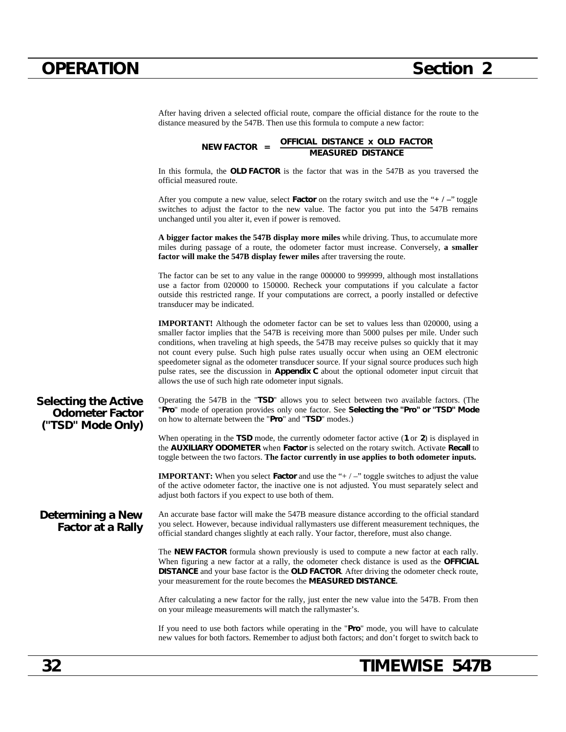|                                                                            | OFFICIAL DISTANCE x OLD FACTOR<br>NEW FACTOR =<br><b>MEASURED DISTANCE</b>                                                                                                                                                                                                                                                                                                                                                                                                                                                                                                                                                                              |
|----------------------------------------------------------------------------|---------------------------------------------------------------------------------------------------------------------------------------------------------------------------------------------------------------------------------------------------------------------------------------------------------------------------------------------------------------------------------------------------------------------------------------------------------------------------------------------------------------------------------------------------------------------------------------------------------------------------------------------------------|
|                                                                            | In this formula, the OLD FACTOR is the factor that was in the 547B as you traversed the<br>official measured route.                                                                                                                                                                                                                                                                                                                                                                                                                                                                                                                                     |
|                                                                            | After you compute a new value, select <b>Factor</b> on the rotary switch and use the "+ $\ell$ -" toggle<br>switches to adjust the factor to the new value. The factor you put into the 547B remains<br>unchanged until you alter it, even if power is removed.                                                                                                                                                                                                                                                                                                                                                                                         |
|                                                                            | A bigger factor makes the 547B display more miles while driving. Thus, to accumulate more<br>miles during passage of a route, the odometer factor must increase. Conversely, a smaller<br>factor will make the 547B display fewer miles after traversing the route.                                                                                                                                                                                                                                                                                                                                                                                     |
|                                                                            | The factor can be set to any value in the range 000000 to 999999, although most installations<br>use a factor from 020000 to 150000. Recheck your computations if you calculate a factor<br>outside this restricted range. If your computations are correct, a poorly installed or defective<br>transducer may be indicated.                                                                                                                                                                                                                                                                                                                            |
|                                                                            | <b>IMPORTANT!</b> Although the odometer factor can be set to values less than 020000, using a<br>smaller factor implies that the 547B is receiving more than 5000 pulses per mile. Under such<br>conditions, when traveling at high speeds, the 547B may receive pulses so quickly that it may<br>not count every pulse. Such high pulse rates usually occur when using an OEM electronic<br>speedometer signal as the odometer transducer source. If your signal source produces such high<br>pulse rates, see the discussion in Appendix C about the optional odometer input circuit that<br>allows the use of such high rate odometer input signals. |
| <b>Selecting the Active</b><br><b>Odometer Factor</b><br>("TSD" Mode Only) | Operating the 547B in the "TSD" allows you to select between two available factors. (The<br>"Pro" mode of operation provides only one factor. See Selecting the "Pro" or "TSD" Mode<br>on how to alternate between the "Pro" and "TSD" modes.)                                                                                                                                                                                                                                                                                                                                                                                                          |
|                                                                            | When operating in the TSD mode, the currently odometer factor active $(1 \text{ or } 2)$ is displayed in<br>the AUXILIARY ODOMETER when Factor is selected on the rotary switch. Activate Recall to<br>toggle between the two factors. The factor currently in use applies to both odometer inputs.                                                                                                                                                                                                                                                                                                                                                     |
|                                                                            | <b>IMPORTANT:</b> When you select <b>Factor</b> and use the " $+/-$ " toggle switches to adjust the value<br>of the active odometer factor, the inactive one is not adjusted. You must separately select and<br>adjust both factors if you expect to use both of them.                                                                                                                                                                                                                                                                                                                                                                                  |
| Determining a New<br><b>Factor at a Rally</b>                              | An accurate base factor will make the 547B measure distance according to the official standard<br>you select. However, because individual rallymasters use different measurement techniques, the<br>official standard changes slightly at each rally. Your factor, therefore, must also change.                                                                                                                                                                                                                                                                                                                                                         |
|                                                                            | The NEW FACTOR formula shown previously is used to compute a new factor at each rally.<br>When figuring a new factor at a rally, the odometer check distance is used as the OFFICIAL<br>DISTANCE and your base factor is the OLD FACTOR. After driving the odometer check route,<br>your measurement for the route becomes the MEASURED DISTANCE.                                                                                                                                                                                                                                                                                                       |
|                                                                            | After calculating a new factor for the rally, just enter the new value into the 547B. From then<br>on your mileage measurements will match the rallymaster's.                                                                                                                                                                                                                                                                                                                                                                                                                                                                                           |
|                                                                            | If you need to use both factors while operating in the "Pro" mode, you will have to calculate<br>new values for both factors. Remember to adjust both factors; and don't forget to switch back to                                                                                                                                                                                                                                                                                                                                                                                                                                                       |

After having driven a selected official route, compare the official distance for the route to the

distance measured by the 547B. Then use this formula to compute a new factor: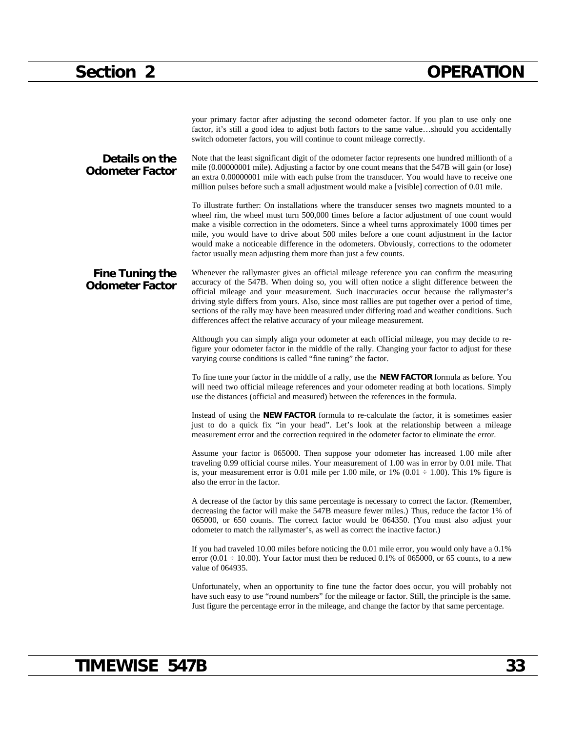|                                                  | your primary factor after adjusting the second odometer factor. If you plan to use only one<br>factor, it's still a good idea to adjust both factors to the same valueshould you accidentally<br>switch odometer factors, you will continue to count mileage correctly.                                                                                                                                                                                                                                                                                               |
|--------------------------------------------------|-----------------------------------------------------------------------------------------------------------------------------------------------------------------------------------------------------------------------------------------------------------------------------------------------------------------------------------------------------------------------------------------------------------------------------------------------------------------------------------------------------------------------------------------------------------------------|
| Details on the<br><b>Odometer Factor</b>         | Note that the least significant digit of the odometer factor represents one hundred millionth of a<br>mile (0.00000001 mile). Adjusting a factor by one count means that the 547B will gain (or lose)<br>an extra 0.00000001 mile with each pulse from the transducer. You would have to receive one<br>million pulses before such a small adjustment would make a [visible] correction of 0.01 mile.                                                                                                                                                                 |
|                                                  | To illustrate further: On installations where the transducer senses two magnets mounted to a<br>wheel rim, the wheel must turn 500,000 times before a factor adjustment of one count would<br>make a visible correction in the odometers. Since a wheel turns approximately 1000 times per<br>mile, you would have to drive about 500 miles before a one count adjustment in the factor<br>would make a noticeable difference in the odometers. Obviously, corrections to the odometer<br>factor usually mean adjusting them more than just a few counts.             |
| <b>Fine Tuning the</b><br><b>Odometer Factor</b> | Whenever the rallymaster gives an official mileage reference you can confirm the measuring<br>accuracy of the 547B. When doing so, you will often notice a slight difference between the<br>official mileage and your measurement. Such inaccuracies occur because the rallymaster's<br>driving style differs from yours. Also, since most rallies are put together over a period of time,<br>sections of the rally may have been measured under differing road and weather conditions. Such<br>differences affect the relative accuracy of your mileage measurement. |
|                                                  | Although you can simply align your odometer at each official mileage, you may decide to re-<br>figure your odometer factor in the middle of the rally. Changing your factor to adjust for these<br>varying course conditions is called "fine tuning" the factor.                                                                                                                                                                                                                                                                                                      |
|                                                  | To fine tune your factor in the middle of a rally, use the <b>NEW FACTOR</b> formula as before. You<br>will need two official mileage references and your odometer reading at both locations. Simply<br>use the distances (official and measured) between the references in the formula.                                                                                                                                                                                                                                                                              |
|                                                  | Instead of using the NEW FACTOR formula to re-calculate the factor, it is sometimes easier<br>just to do a quick fix "in your head". Let's look at the relationship between a mileage<br>measurement error and the correction required in the odometer factor to eliminate the error.                                                                                                                                                                                                                                                                                 |
|                                                  | Assume your factor is 065000. Then suppose your odometer has increased 1.00 mile after<br>traveling 0.99 official course miles. Your measurement of 1.00 was in error by 0.01 mile. That<br>is, your measurement error is 0.01 mile per 1.00 mile, or 1% (0.01 $\div$ 1.00). This 1% figure is<br>also the error in the factor.                                                                                                                                                                                                                                       |
|                                                  | A decrease of the factor by this same percentage is necessary to correct the factor. (Remember,<br>decreasing the factor will make the 547B measure fewer miles.) Thus, reduce the factor 1% of<br>065000, or 650 counts. The correct factor would be 064350. (You must also adjust your<br>odometer to match the rallymaster's, as well as correct the inactive factor.)                                                                                                                                                                                             |
|                                                  | If you had traveled 10.00 miles before noticing the 0.01 mile error, you would only have a 0.1%<br>error (0.01 $\div$ 10.00). Your factor must then be reduced 0.1% of 065000, or 65 counts, to a new<br>value of 064935.                                                                                                                                                                                                                                                                                                                                             |
|                                                  | Unfortunately, when an opportunity to fine tune the factor does occur, you will probably not<br>have such easy to use "round numbers" for the mileage or factor. Still, the principle is the same.<br>Just figure the percentage error in the mileage, and change the factor by that same percentage.                                                                                                                                                                                                                                                                 |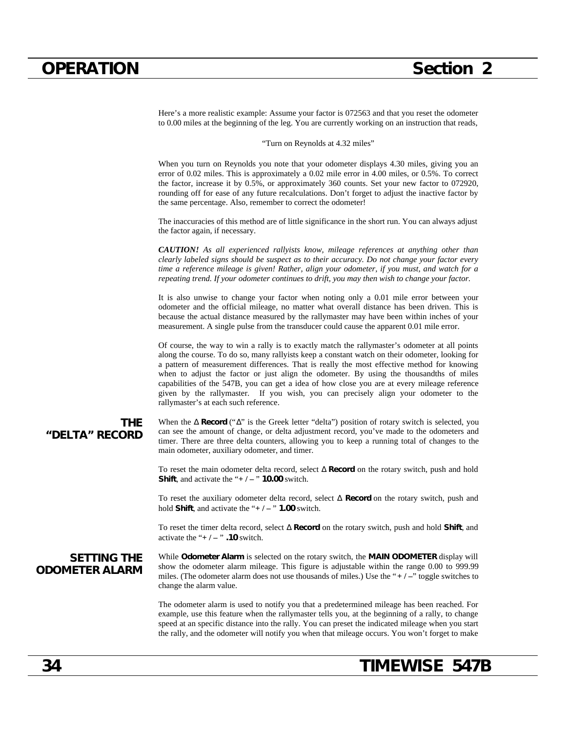Here's a more realistic example: Assume your factor is 072563 and that you reset the odometer to 0.00 miles at the beginning of the leg. You are currently working on an instruction that reads,

"Turn on Reynolds at 4.32 miles"

When you turn on Reynolds you note that your odometer displays 4.30 miles, giving you an error of 0.02 miles. This is approximately a 0.02 mile error in 4.00 miles, or 0.5%. To correct the factor, increase it by 0.5%, or approximately 360 counts. Set your new factor to 072920, rounding off for ease of any future recalculations. Don't forget to adjust the inactive factor by the same percentage. Also, remember to correct the odometer!

The inaccuracies of this method are of little significance in the short run. You can always adjust the factor again, if necessary.

*CAUTION! As all experienced rallyists know, mileage references at anything other than clearly labeled signs should be suspect as to their accuracy. Do not change your factor every time a reference mileage is given! Rather, align your odometer, if you must, and watch for a repeating trend. If your odometer continues to drift, you may then wish to change your factor.*

It is also unwise to change your factor when noting only a 0.01 mile error between your odometer and the official mileage, no matter what overall distance has been driven. This is because the actual distance measured by the rallymaster may have been within inches of your measurement. A single pulse from the transducer could cause the apparent 0.01 mile error.

Of course, the way to win a rally is to exactly match the rallymaster's odometer at all points along the course. To do so, many rallyists keep a constant watch on their odometer, looking for a pattern of measurement differences. That is really the most effective method for knowing when to adjust the factor or just align the odometer. By using the thousandths of miles capabilities of the 547B, you can get a idea of how close you are at every mileage reference given by the rallymaster. If you wish, you can precisely align your odometer to the rallymaster's at each such reference.

#### **THE "DELTA" RECORD**

When the **Record** (" " is the Greek letter "delta") position of rotary switch is selected, you can see the amount of change, or delta adjustment record, you've made to the odometers and timer. There are three delta counters, allowing you to keep a running total of changes to the main odometer, auxiliary odometer, and timer.

To reset the main odometer delta record, select **Record** on the rotary switch, push and hold **Shift**, and activate the " $+/-$ " **10.00** switch.

To reset the auxiliary odometer delta record, select **Record** on the rotary switch, push and hold **Shift**, and activate the "**+ / –** " **1.00** switch.

To reset the timer delta record, select **Record** on the rotary switch, push and hold **Shift**, and activate the " $+/-$ " .10 switch.

### **SETTING THE ODOMETER ALARM**

While **Odometer Alarm** is selected on the rotary switch, the **MAIN ODOMETER** display will show the odometer alarm mileage. This figure is adjustable within the range 0.00 to 999.99 miles. (The odometer alarm does not use thousands of miles.) Use the "**+ / –**" toggle switches to change the alarm value.

The odometer alarm is used to notify you that a predetermined mileage has been reached. For example, use this feature when the rallymaster tells you, at the beginning of a rally, to change speed at an specific distance into the rally. You can preset the indicated mileage when you start the rally, and the odometer will notify you when that mileage occurs. You won't forget to make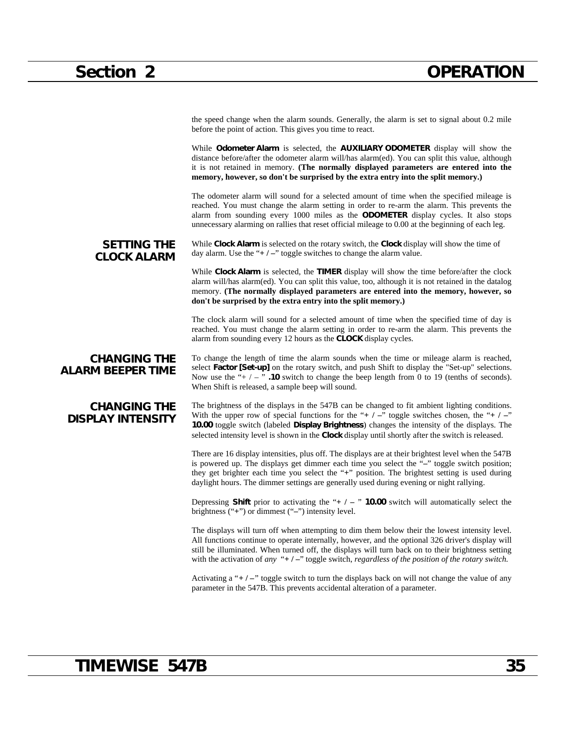the speed change when the alarm sounds. Generally, the alarm is set to signal about 0.2 mile before the point of action. This gives you time to react.

While **Odometer Alarm** is selected, the **AUXILIARY ODOMETER** display will show the distance before/after the odometer alarm will/has alarm(ed). You can split this value, although it is not retained in memory. **(The normally displayed parameters are entered into the memory, however, so don't be surprised by the extra entry into the split memory.)**

The odometer alarm will sound for a selected amount of time when the specified mileage is reached. You must change the alarm setting in order to re-arm the alarm. This prevents the alarm from sounding every 1000 miles as the **ODOMETER** display cycles. It also stops unnecessary alarming on rallies that reset official mileage to 0.00 at the beginning of each leg.

**SETTING THE CLOCK ALARM** While **Clock Alarm** is selected on the rotary switch, the **Clock** display will show the time of day alarm. Use the "**+ / –**" toggle switches to change the alarm value.

> While **Clock Alarm** is selected, the **TIMER** display will show the time before/after the clock alarm will/has alarm(ed). You can split this value, too, although it is not retained in the datalog memory. **(The normally displayed parameters are entered into the memory, however, so don't be surprised by the extra entry into the split memory.)**

> The clock alarm will sound for a selected amount of time when the specified time of day is reached. You must change the alarm setting in order to re-arm the alarm. This prevents the alarm from sounding every 12 hours as the **CLOCK** display cycles.

**CHANGING THE ALARM BEEPER TIME** To change the length of time the alarm sounds when the time or mileage alarm is reached, select **Factor [Set-up]** on the rotary switch, and push Shift to display the "Set-up" selections. Now use the " $+$   $/$   $-$  "  $\cdot$  **.10** switch to change the beep length from 0 to 19 (tenths of seconds). When Shift is released, a sample beep will sound.

### **CHANGING THE DISPLAY INTENSITY**

The brightness of the displays in the 547B can be changed to fit ambient lighting conditions. With the upper row of special functions for the "**+** / –" toggle switches chosen, the "**+** / –" **10.00** toggle switch (labeled **Display Brightness**) changes the intensity of the displays. The selected intensity level is shown in the **Clock** display until shortly after the switch is released.

There are 16 display intensities, plus off. The displays are at their brightest level when the 547B is powered up. The displays get dimmer each time you select the "**–**" toggle switch position; they get brighter each time you select the "**+**" position. The brightest setting is used during daylight hours. The dimmer settings are generally used during evening or night rallying.

Depressing **Shift** prior to activating the "**+ / –** " **10.00** switch will automatically select the brightness ("**+**") or dimmest ("**–**") intensity level.

The displays will turn off when attempting to dim them below their the lowest intensity level. All functions continue to operate internally, however, and the optional 326 driver's display will still be illuminated. When turned off, the displays will turn back on to their brightness setting with the activation of *any* "**+ / –**" toggle switch, *regardless of the position of the rotary switch.*

Activating a "**+** / –" toggle switch to turn the displays back on will not change the value of any parameter in the 547B. This prevents accidental alteration of a parameter.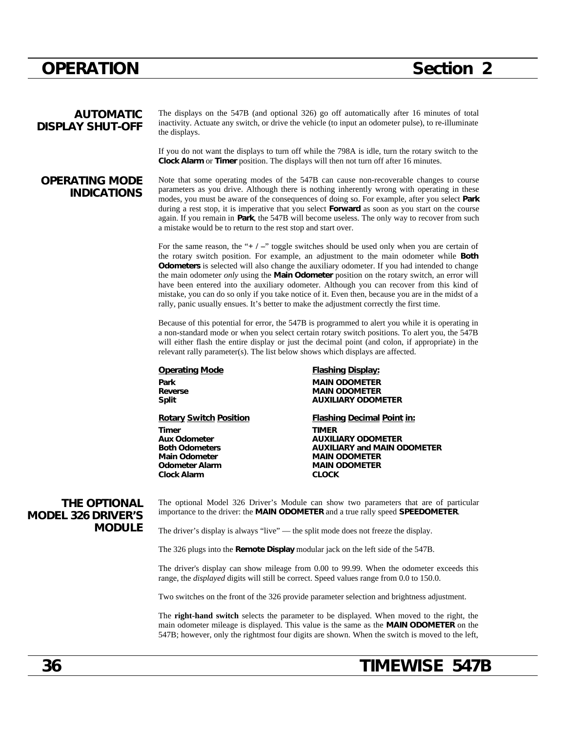### **AUTOMATIC DISPLAY SHUT-OFF**

The displays on the 547B (and optional 326) go off automatically after 16 minutes of total inactivity. Actuate any switch, or drive the vehicle (to input an odometer pulse), to re-illuminate the displays.

If you do not want the displays to turn off while the 798A is idle, turn the rotary switch to the **Clock Alarm** or **Timer** position. The displays will then not turn off after 16 minutes.

### **OPERATING MODE INDICATIONS**

Note that some operating modes of the 547B can cause non-recoverable changes to course parameters as you drive. Although there is nothing inherently wrong with operating in these modes, you must be aware of the consequences of doing so. For example, after you select **Park** during a rest stop, it is imperative that you select **Forward** as soon as you start on the course again. If you remain in **Park**, the 547B will become useless. The only way to recover from such a mistake would be to return to the rest stop and start over.

For the same reason, the "**+ / –**" toggle switches should be used only when you are certain of the rotary switch position. For example, an adjustment to the main odometer while **Both Odometers** is selected will also change the auxiliary odometer. If you had intended to change the main odometer *only* using the **Main Odometer** position on the rotary switch, an error will have been entered into the auxiliary odometer. Although you can recover from this kind of mistake, you can do so only if you take notice of it. Even then, because you are in the midst of a rally, panic usually ensues. It's better to make the adjustment correctly the first time.

Because of this potential for error, the 547B is programmed to alert you while it is operating in a non-standard mode or when you select certain rotary switch positions. To alert you, the 547B will either flash the entire display or just the decimal point (and colon, if appropriate) in the relevant rally parameter(s). The list below shows which displays are affected.

**Operating Mode** Flashing Display: **Park MAIN ODOMETER Reverse MAIN ODOMETER Split AUXILIARY ODOMETER Rotary Switch Position Flashing Decimal Point in: Timer TIMER Aux Odometer AUXILIARY ODOMETER Both Odometers AUXILIARY and MAIN ODOMETER Main Odometer MAIN ODOMETER Odometer Alarm MAIN ODOMETER Clock Alarm CLOCK**

### **THE OPTIONAL MODEL 326 DRIVER'S MODULE**

The optional Model 326 Driver's Module can show two parameters that are of particular importance to the driver: the **MAIN ODOMETER** and a true rally speed **SPEEDOMETER**.

The driver's display is always "live" — the split mode does not freeze the display.

The 326 plugs into the **Remote Display** modular jack on the left side of the 547B.

The driver's display can show mileage from 0.00 to 99.99. When the odometer exceeds this range, the *displayed* digits will still be correct. Speed values range from 0.0 to 150.0.

Two switches on the front of the 326 provide parameter selection and brightness adjustment.

The **right-hand switch** selects the parameter to be displayed. When moved to the right, the main odometer mileage is displayed. This value is the same as the **MAIN ODOMETER** on the 547B; however, only the rightmost four digits are shown. When the switch is moved to the left,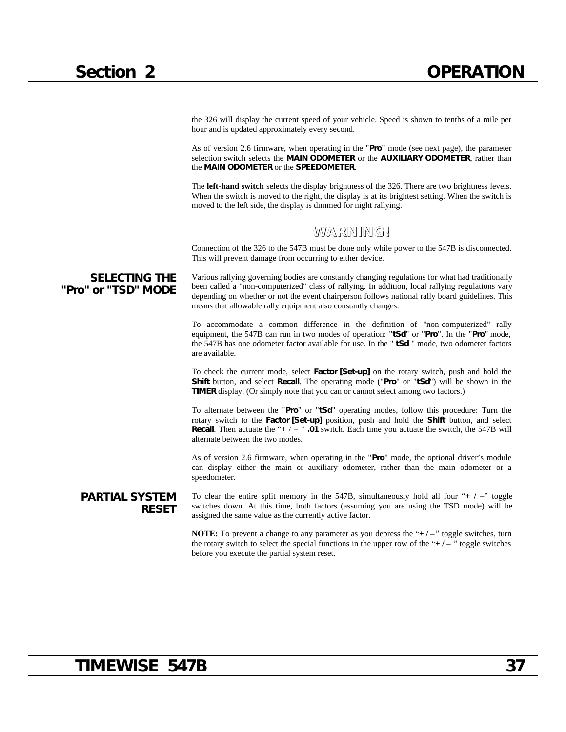the 326 will display the current speed of your vehicle. Speed is shown to tenths of a mile per hour and is updated approximately every second.

As of version 2.6 firmware, when operating in the "**Pro**" mode (see next page), the parameter selection switch selects the **MAIN ODOMETER** or the **AUXILIARY ODOMETER**, rather than the **MAIN ODOMETER** or the **SPEEDOMETER**.

The **left-hand switch** selects the display brightness of the 326. There are two brightness levels. When the switch is moved to the right, the display is at its brightest setting. When the switch is moved to the left side, the display is dimmed for night rallying.

### **WARNING!**

Connection of the 326 to the 547B must be done only while power to the 547B is disconnected. This will prevent damage from occurring to either device.

**SELECTING THE "Pro" or "TSD" MODE** Various rallying governing bodies are constantly changing regulations for what had traditionally been called a "non-computerized" class of rallying. In addition, local rallying regulations vary depending on whether or not the event chairperson follows national rally board guidelines. This means that allowable rally equipment also constantly changes.

> To accommodate a common difference in the definition of "non-computerized" rally equipment, the 547B can run in two modes of operation: "**tSd**" or "**Pro**". In the "**Pro**" mode, the 547B has one odometer factor available for use. In the " **tSd** " mode, two odometer factors are available.

> To check the current mode, select **Factor [Set-up]** on the rotary switch, push and hold the **Shift** button, and select **Recall**. The operating mode ("**Pro**" or "**tSd**") will be shown in the **TIMER** display. (Or simply note that you can or cannot select among two factors.)

> To alternate between the "**Pro**" or "**tSd**" operating modes, follow this procedure: Turn the rotary switch to the **Factor [Set-up]** position, push and hold the **Shift** button, and select **Recall.** Then actuate the "+ / – " **.01** switch. Each time you actuate the switch, the 547B will alternate between the two modes.

> As of version 2.6 firmware, when operating in the "**Pro**" mode, the optional driver's module can display either the main or auxiliary odometer, rather than the main odometer or a speedometer.

**PARTIAL SYSTEM RESET** To clear the entire split memory in the 547B, simultaneously hold all four "**+ / –**" toggle switches down. At this time, both factors (assuming you are using the TSD mode) will be assigned the same value as the currently active factor.

> **NOTE:** To prevent a change to any parameter as you depress the "**+** / – " toggle switches, turn the rotary switch to select the special functions in the upper row of the " $+/-$ " toggle switches before you execute the partial system reset.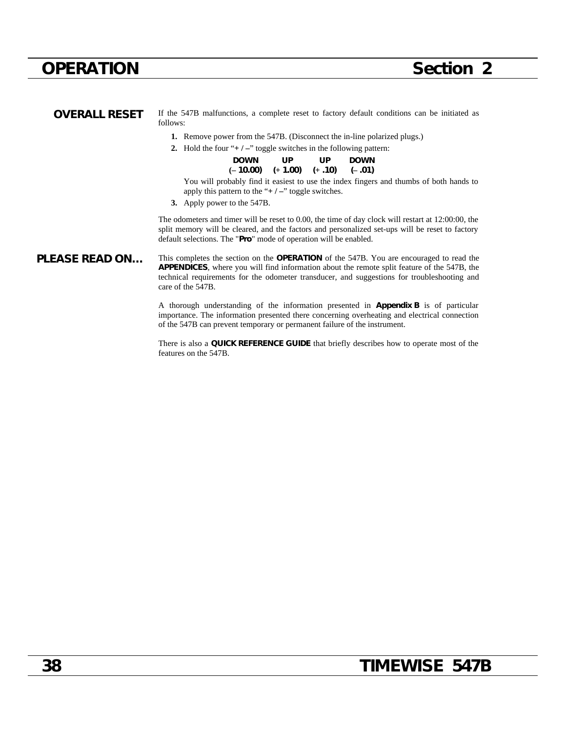| <b>OVERALL RESET</b>  | If the 547B malfunctions, a complete reset to factory default conditions can be initiated as<br>follows:                                                                                                                                                                                                                  |
|-----------------------|---------------------------------------------------------------------------------------------------------------------------------------------------------------------------------------------------------------------------------------------------------------------------------------------------------------------------|
|                       | <b>1.</b> Remove power from the 547B. (Disconnect the in-line polarized plugs.)                                                                                                                                                                                                                                           |
|                       | 2. Hold the four " $+/-$ " toggle switches in the following pattern:                                                                                                                                                                                                                                                      |
|                       | <b>DOWN</b><br>UP.<br>UP.<br><b>DOWN</b><br>$(-10.00)$ $(+1.00)$ $(+.10)$ $(-.01)$                                                                                                                                                                                                                                        |
|                       | You will probably find it easiest to use the index fingers and thumbs of both hands to<br>apply this pattern to the " $+/-$ " toggle switches.<br>3. Apply power to the 547B.                                                                                                                                             |
|                       | The odometers and timer will be reset to 0.00, the time of day clock will restart at 12:00:00, the<br>split memory will be cleared, and the factors and personalized set-ups will be reset to factory<br>default selections. The " <b>Pro</b> " mode of operation will be enabled.                                        |
| <b>PLEASE READ ON</b> | This completes the section on the <b>OPERATION</b> of the 547B. You are encouraged to read the<br><b>APPENDICES</b> , where you will find information about the remote split feature of the 547B, the<br>technical requirements for the odometer transducer, and suggestions for troubleshooting and<br>care of the 547B. |

A thorough understanding of the information presented in **Appendix B** is of particular importance. The information presented there concerning overheating and electrical connection of the 547B can prevent temporary or permanent failure of the instrument.

There is also a **QUICK REFERENCE GUIDE** that briefly describes how to operate most of the features on the 547B.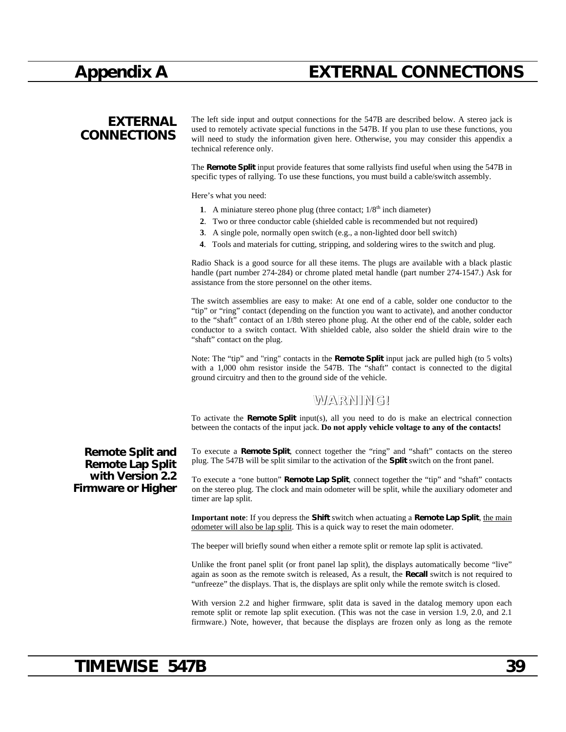## **Appendix A EXTERNAL CONNECTIONS**

## **EXTERNAL CONNECTIONS**

The left side input and output connections for the 547B are described below. A stereo jack is used to remotely activate special functions in the 547B. If you plan to use these functions, you will need to study the information given here. Otherwise, you may consider this appendix a technical reference only.

The **Remote Split** input provide features that some rallyists find useful when using the 547B in specific types of rallying. To use these functions, you must build a cable/switch assembly.

Here's what you need:

- **1**. A miniature stereo phone plug (three contact;  $1/8<sup>th</sup>$  inch diameter)
- **2**. Two or three conductor cable (shielded cable is recommended but not required)
- **3**. A single pole, normally open switch (e.g., a non-lighted door bell switch)
- **4**. Tools and materials for cutting, stripping, and soldering wires to the switch and plug.

Radio Shack is a good source for all these items. The plugs are available with a black plastic handle (part number 274-284) or chrome plated metal handle (part number 274-1547.) Ask for assistance from the store personnel on the other items.

The switch assemblies are easy to make: At one end of a cable, solder one conductor to the "tip" or "ring" contact (depending on the function you want to activate), and another conductor to the "shaft" contact of an 1/8th stereo phone plug. At the other end of the cable, solder each conductor to a switch contact. With shielded cable, also solder the shield drain wire to the "shaft" contact on the plug.

Note: The "tip" and "ring" contacts in the **Remote Split** input jack are pulled high (to 5 volts) with a 1,000 ohm resistor inside the 547B. The "shaft" contact is connected to the digital ground circuitry and then to the ground side of the vehicle.

### **WARNING!**

To activate the **Remote Split** input(s), all you need to do is make an electrical connection between the contacts of the input jack. **Do not apply vehicle voltage to any of the contacts!**

To execute a **Remote Split**, connect together the "ring" and "shaft" contacts on the stereo plug. The 547B will be split similar to the activation of the **Split** switch on the front panel.

To execute a "one button" **Remote Lap Split**, connect together the "tip" and "shaft" contacts on the stereo plug. The clock and main odometer will be split, while the auxiliary odometer and timer are lap split.

**Important note**: If you depress the **Shift** switch when actuating a **Remote Lap Split**, the main odometer will also be lap split. This is a quick way to reset the main odometer.

The beeper will briefly sound when either a remote split or remote lap split is activated.

Unlike the front panel split (or front panel lap split), the displays automatically become "live" again as soon as the remote switch is released, As a result, the **Recall** switch is not required to "unfreeze" the displays. That is, the displays are split only while the remote switch is closed.

With version 2.2 and higher firmware, split data is saved in the datalog memory upon each remote split or remote lap split execution. (This was not the case in version 1.9, 2.0, and 2.1 firmware.) Note, however, that because the displays are frozen only as long as the remote

### **Remote Split and Remote Lap Split with Version 2.2 Firmware or Higher**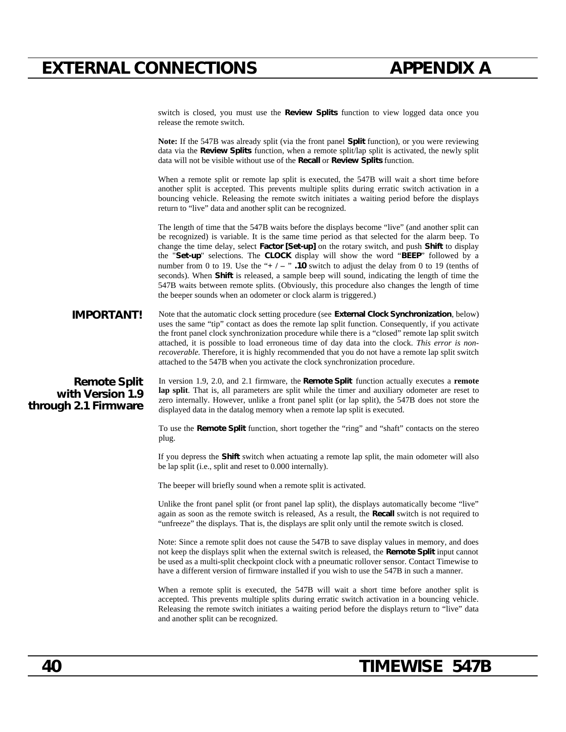## **EXTERNAL CONNECTIONS APPENDIX A**

switch is closed, you must use the **Review Splits** function to view logged data once you release the remote switch. **Note:** If the 547B was already split (via the front panel **Split** function), or you were reviewing data via the **Review Splits** function, when a remote split/lap split is activated, the newly split data will not be visible without use of the **Recall** or **Review Splits** function. When a remote split or remote lap split is executed, the 547B will wait a short time before another split is accepted. This prevents multiple splits during erratic switch activation in a bouncing vehicle. Releasing the remote switch initiates a waiting period before the displays return to "live" data and another split can be recognized. The length of time that the 547B waits before the displays become "live" (and another split can be recognized) is variable. It is the same time period as that selected for the alarm beep. To change the time delay, select **Factor [Set-up]** on the rotary switch, and push **Shift** to display the "**Set-up**" selections. The **CLOCK** display will show the word "**BEEP**" followed by a number from 0 to 19. Use the " $+/-$ " **.10** switch to adjust the delay from 0 to 19 (tenths of seconds). When **Shift** is released, a sample beep will sound, indicating the length of time the 547B waits between remote splits. (Obviously, this procedure also changes the length of time the beeper sounds when an odometer or clock alarm is triggered.) **IMPORTANT!** Note that the automatic clock setting procedure (see **External Clock Synchronization**, below) uses the same "tip" contact as does the remote lap split function. Consequently, if you activate the front panel clock synchronization procedure while there is a "closed" remote lap split switch attached, it is possible to load erroneous time of day data into the clock. *This error is nonrecoverable*. Therefore, it is highly recommended that you do not have a remote lap split switch attached to the 547B when you activate the clock synchronization procedure. **Remote Split with Version 1.9 through 2.1 Firmware** In version 1.9, 2.0, and 2.1 firmware, the **Remote Split** function actually executes a **remote lap split**. That is, all parameters are split while the timer and auxiliary odometer are reset to zero internally. However, unlike a front panel split (or lap split), the 547B does not store the displayed data in the datalog memory when a remote lap split is executed. To use the **Remote Split** function, short together the "ring" and "shaft" contacts on the stereo plug. If you depress the **Shift** switch when actuating a remote lap split, the main odometer will also be lap split (i.e., split and reset to 0.000 internally). The beeper will briefly sound when a remote split is activated. Unlike the front panel split (or front panel lap split), the displays automatically become "live" again as soon as the remote switch is released, As a result, the **Recall** switch is not required to "unfreeze" the displays. That is, the displays are split only until the remote switch is closed. Note: Since a remote split does not cause the 547B to save display values in memory, and does not keep the displays split when the external switch is released, the **Remote Split** input cannot be used as a multi-split checkpoint clock with a pneumatic rollover sensor. Contact Timewise to have a different version of firmware installed if you wish to use the 547B in such a manner. When a remote split is executed, the 547B will wait a short time before another split is accepted. This prevents multiple splits during erratic switch activation in a bouncing vehicle. Releasing the remote switch initiates a waiting period before the displays return to "live" data and another split can be recognized.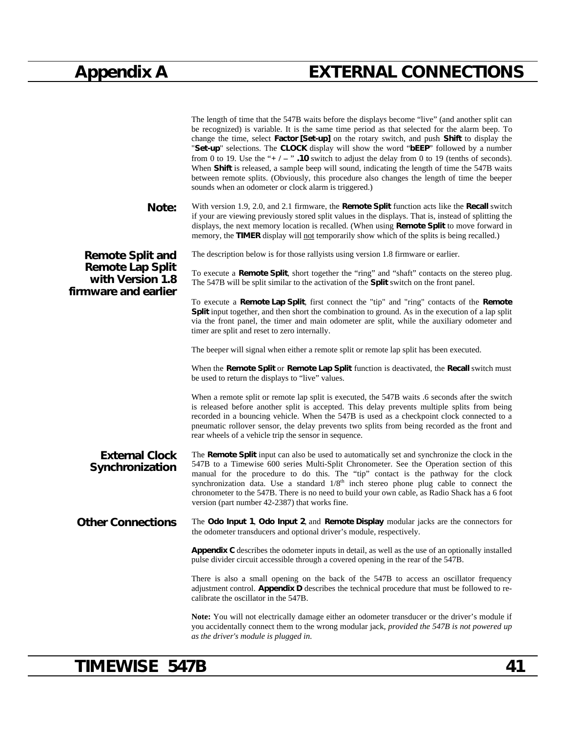# **Appendix A EXTERNAL CONNECTIONS**

|                                                                     | The length of time that the 547B waits before the displays become "live" (and another split can<br>be recognized) is variable. It is the same time period as that selected for the alarm beep. To<br>change the time, select Factor [Set-up] on the rotary switch, and push Shift to display the<br>"Set-up" selections. The CLOCK display will show the word "bEEP" followed by a number<br>from 0 to 19. Use the "+ $/ -$ ". 10 switch to adjust the delay from 0 to 19 (tenths of seconds).<br>When Shift is released, a sample beep will sound, indicating the length of time the 547B waits<br>between remote splits. (Obviously, this procedure also changes the length of time the beeper<br>sounds when an odometer or clock alarm is triggered.) |
|---------------------------------------------------------------------|-----------------------------------------------------------------------------------------------------------------------------------------------------------------------------------------------------------------------------------------------------------------------------------------------------------------------------------------------------------------------------------------------------------------------------------------------------------------------------------------------------------------------------------------------------------------------------------------------------------------------------------------------------------------------------------------------------------------------------------------------------------|
| Note:                                                               | With version 1.9, 2.0, and 2.1 firmware, the <b>Remote Split</b> function acts like the <b>Recall</b> switch<br>if your are viewing previously stored split values in the displays. That is, instead of splitting the<br>displays, the next memory location is recalled. (When using <b>Remote Split</b> to move forward in<br>memory, the TIMER display will not temporarily show which of the splits is being recalled.)                                                                                                                                                                                                                                                                                                                                |
| <b>Remote Split and</b>                                             | The description below is for those rallyists using version 1.8 firmware or earlier.                                                                                                                                                                                                                                                                                                                                                                                                                                                                                                                                                                                                                                                                       |
| <b>Remote Lap Split</b><br>with Version 1.8<br>firmware and earlier | To execute a Remote Split, short together the "ring" and "shaft" contacts on the stereo plug.<br>The 547B will be split similar to the activation of the Split switch on the front panel.                                                                                                                                                                                                                                                                                                                                                                                                                                                                                                                                                                 |
|                                                                     | To execute a <b>Remote Lap Split</b> , first connect the "tip" and "ring" contacts of the <b>Remote</b><br>Split input together, and then short the combination to ground. As in the execution of a lap split<br>via the front panel, the timer and main odometer are split, while the auxiliary odometer and<br>timer are split and reset to zero internally.                                                                                                                                                                                                                                                                                                                                                                                            |
|                                                                     | The beeper will signal when either a remote split or remote lap split has been executed.                                                                                                                                                                                                                                                                                                                                                                                                                                                                                                                                                                                                                                                                  |
|                                                                     | When the Remote Split or Remote Lap Split function is deactivated, the Recall switch must<br>be used to return the displays to "live" values.                                                                                                                                                                                                                                                                                                                                                                                                                                                                                                                                                                                                             |
|                                                                     | When a remote split or remote lap split is executed, the 547B waits .6 seconds after the switch<br>is released before another split is accepted. This delay prevents multiple splits from being<br>recorded in a bouncing vehicle. When the 547B is used as a checkpoint clock connected to a<br>pneumatic rollover sensor, the delay prevents two splits from being recorded as the front and<br>rear wheels of a vehicle trip the sensor in sequence.                                                                                                                                                                                                                                                                                                   |
| <b>External Clock</b><br>Synchronization                            | The Remote Split input can also be used to automatically set and synchronize the clock in the<br>547B to a Timewise 600 series Multi-Split Chronometer. See the Operation section of this<br>manual for the procedure to do this. The "tip" contact is the pathway for the clock<br>synchronization data. Use a standard $1/8th$ inch stereo phone plug cable to connect the<br>chronometer to the 547B. There is no need to build your own cable, as Radio Shack has a 6 foot<br>version (part number 42-2387) that works fine.                                                                                                                                                                                                                          |
| <b>Other Connections</b>                                            | The Odo Input 1, Odo Input 2, and Remote Display modular jacks are the connectors for<br>the odometer transducers and optional driver's module, respectively.                                                                                                                                                                                                                                                                                                                                                                                                                                                                                                                                                                                             |
|                                                                     | <b>Appendix C</b> describes the odometer inputs in detail, as well as the use of an optionally installed<br>pulse divider circuit accessible through a covered opening in the rear of the 547B.                                                                                                                                                                                                                                                                                                                                                                                                                                                                                                                                                           |
|                                                                     | There is also a small opening on the back of the 547B to access an oscillator frequency<br>adjustment control. Appendix D describes the technical procedure that must be followed to re-<br>calibrate the oscillator in the 547B.                                                                                                                                                                                                                                                                                                                                                                                                                                                                                                                         |
|                                                                     | Note: You will not electrically damage either an odometer transducer or the driver's module if<br>you accidentally connect them to the wrong modular jack, provided the 547B is not powered up<br>as the driver's module is plugged in.                                                                                                                                                                                                                                                                                                                                                                                                                                                                                                                   |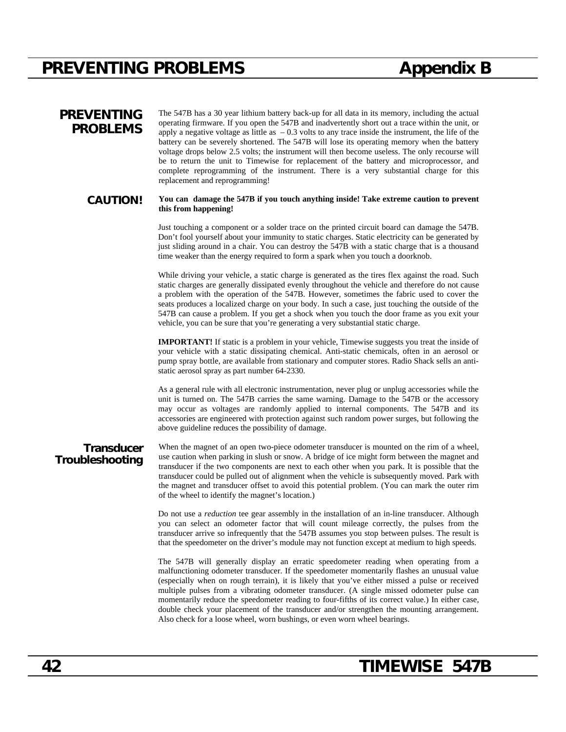## **PREVENTING PROBLEMS Appendix B**

### **PREVENTING PROBLEMS**

The 547B has a 30 year lithium battery back-up for all data in its memory, including the actual operating firmware. If you open the 547B and inadvertently short out a trace within the unit, or apply a negative voltage as little as  $-0.3$  volts to any trace inside the instrument, the life of the battery can be severely shortened. The 547B will lose its operating memory when the battery voltage drops below 2.5 volts; the instrument will then become useless. The only recourse will be to return the unit to Timewise for replacement of the battery and microprocessor, and complete reprogramming of the instrument. There is a very substantial charge for this replacement and reprogramming!

#### **CAUTION! You can damage the 547B if you touch anything inside! Take extreme caution to prevent this from happening!**

Just touching a component or a solder trace on the printed circuit board can damage the 547B. Don't fool yourself about your immunity to static charges. Static electricity can be generated by just sliding around in a chair. You can destroy the 547B with a static charge that is a thousand time weaker than the energy required to form a spark when you touch a doorknob.

While driving your vehicle, a static charge is generated as the tires flex against the road. Such static charges are generally dissipated evenly throughout the vehicle and therefore do not cause a problem with the operation of the 547B. However, sometimes the fabric used to cover the seats produces a localized charge on your body. In such a case, just touching the outside of the 547B can cause a problem. If you get a shock when you touch the door frame as you exit your vehicle, you can be sure that you're generating a very substantial static charge.

**IMPORTANT!** If static is a problem in your vehicle, Timewise suggests you treat the inside of your vehicle with a static dissipating chemical. Anti-static chemicals, often in an aerosol or pump spray bottle, are available from stationary and computer stores. Radio Shack sells an antistatic aerosol spray as part number 64-2330.

As a general rule with all electronic instrumentation, never plug or unplug accessories while the unit is turned on. The 547B carries the same warning. Damage to the 547B or the accessory may occur as voltages are randomly applied to internal components. The 547B and its accessories are engineered with protection against such random power surges, but following the above guideline reduces the possibility of damage.

### **Transducer Troubleshooting**

When the magnet of an open two-piece odometer transducer is mounted on the rim of a wheel, use caution when parking in slush or snow. A bridge of ice might form between the magnet and transducer if the two components are next to each other when you park. It is possible that the transducer could be pulled out of alignment when the vehicle is subsequently moved. Park with the magnet and transducer offset to avoid this potential problem. (You can mark the outer rim of the wheel to identify the magnet's location.)

Do not use a *reduction* tee gear assembly in the installation of an in-line transducer. Although you can select an odometer factor that will count mileage correctly, the pulses from the transducer arrive so infrequently that the 547B assumes you stop between pulses. The result is that the speedometer on the driver's module may not function except at medium to high speeds.

The 547B will generally display an erratic speedometer reading when operating from a malfunctioning odometer transducer. If the speedometer momentarily flashes an unusual value (especially when on rough terrain), it is likely that you've either missed a pulse or received multiple pulses from a vibrating odometer transducer. (A single missed odometer pulse can momentarily reduce the speedometer reading to four-fifths of its correct value.) In either case, double check your placement of the transducer and/or strengthen the mounting arrangement. Also check for a loose wheel, worn bushings, or even worn wheel bearings.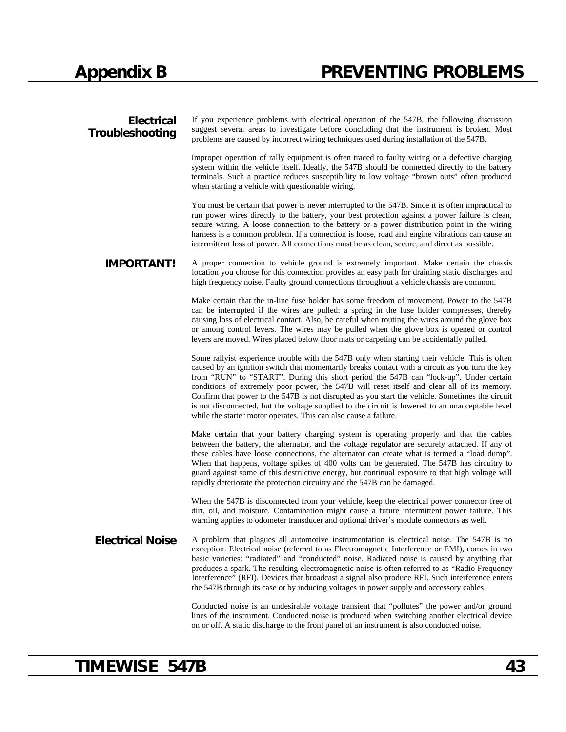# **Appendix B PREVENTING PROBLEMS**

| <b>Electrical</b><br>Troubleshooting | If you experience problems with electrical operation of the 547B, the following discussion<br>suggest several areas to investigate before concluding that the instrument is broken. Most<br>problems are caused by incorrect wiring techniques used during installation of the 547B.                                                                                                                                                                                                                                                                                                                                                                                 |
|--------------------------------------|----------------------------------------------------------------------------------------------------------------------------------------------------------------------------------------------------------------------------------------------------------------------------------------------------------------------------------------------------------------------------------------------------------------------------------------------------------------------------------------------------------------------------------------------------------------------------------------------------------------------------------------------------------------------|
|                                      | Improper operation of rally equipment is often traced to faulty wiring or a defective charging<br>system within the vehicle itself. Ideally, the 547B should be connected directly to the battery<br>terminals. Such a practice reduces susceptibility to low voltage "brown outs" often produced<br>when starting a vehicle with questionable wiring.                                                                                                                                                                                                                                                                                                               |
|                                      | You must be certain that power is never interrupted to the 547B. Since it is often impractical to<br>run power wires directly to the battery, your best protection against a power failure is clean,<br>secure wiring. A loose connection to the battery or a power distribution point in the wiring<br>harness is a common problem. If a connection is loose, road and engine vibrations can cause an<br>intermittent loss of power. All connections must be as clean, secure, and direct as possible.                                                                                                                                                              |
| <b>IMPORTANT!</b>                    | A proper connection to vehicle ground is extremely important. Make certain the chassis<br>location you choose for this connection provides an easy path for draining static discharges and<br>high frequency noise. Faulty ground connections throughout a vehicle chassis are common.                                                                                                                                                                                                                                                                                                                                                                               |
|                                      | Make certain that the in-line fuse holder has some freedom of movement. Power to the 547B<br>can be interrupted if the wires are pulled: a spring in the fuse holder compresses, thereby<br>causing loss of electrical contact. Also, be careful when routing the wires around the glove box<br>or among control levers. The wires may be pulled when the glove box is opened or control<br>levers are moved. Wires placed below floor mats or carpeting can be accidentally pulled.                                                                                                                                                                                 |
|                                      | Some rallyist experience trouble with the 547B only when starting their vehicle. This is often<br>caused by an ignition switch that momentarily breaks contact with a circuit as you turn the key<br>from "RUN" to "START". During this short period the 547B can "lock-up". Under certain<br>conditions of extremely poor power, the 547B will reset itself and clear all of its memory.<br>Confirm that power to the 547B is not disrupted as you start the vehicle. Sometimes the circuit<br>is not disconnected, but the voltage supplied to the circuit is lowered to an unacceptable level<br>while the starter motor operates. This can also cause a failure. |
|                                      | Make certain that your battery charging system is operating properly and that the cables<br>between the battery, the alternator, and the voltage regulator are securely attached. If any of<br>these cables have loose connections, the alternator can create what is termed a "load dump".<br>When that happens, voltage spikes of 400 volts can be generated. The 547B has circuitry to<br>guard against some of this destructive energy, but continual exposure to that high voltage will<br>rapidly deteriorate the protection circuitry and the 547B can be damaged.                                                                                            |
|                                      | When the 547B is disconnected from your vehicle, keep the electrical power connector free of<br>dirt, oil, and moisture. Contamination might cause a future intermittent power failure. This<br>warning applies to odometer transducer and optional driver's module connectors as well.                                                                                                                                                                                                                                                                                                                                                                              |
| <b>Electrical Noise</b>              | A problem that plagues all automotive instrumentation is electrical noise. The 547B is no<br>exception. Electrical noise (referred to as Electromagnetic Interference or EMI), comes in two<br>basic varieties: "radiated" and "conducted" noise. Radiated noise is caused by anything that<br>produces a spark. The resulting electromagnetic noise is often referred to as "Radio Frequency<br>Interference" (RFI). Devices that broadcast a signal also produce RFI. Such interference enters<br>the 547B through its case or by inducing voltages in power supply and accessory cables.                                                                          |
|                                      | Conducted noise is an undesirable voltage transient that "pollutes" the power and/or ground<br>lines of the instrument. Conducted noise is produced when switching another electrical device<br>on or off. A static discharge to the front panel of an instrument is also conducted noise.                                                                                                                                                                                                                                                                                                                                                                           |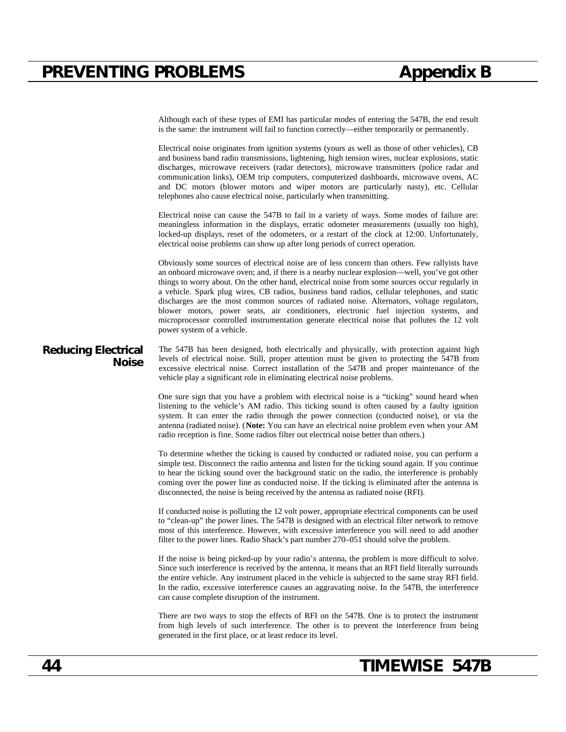Although each of these types of EMI has particular modes of entering the 547B, the end result is the same: the instrument will fail to function correctly—either temporarily or permanently. Electrical noise originates from ignition systems (yours as well as those of other vehicles), CB and business band radio transmissions, lightening, high tension wires, nuclear explosions, static discharges, microwave receivers (radar detectors), microwave transmitters (police radar and communication links), OEM trip computers, computerized dashboards, microwave ovens, AC and DC motors (blower motors and wiper motors are particularly nasty), etc. Cellular telephones also cause electrical noise, particularly when transmitting. Electrical noise can cause the 547B to fail in a variety of ways. Some modes of failure are: meaningless information in the displays, erratic odometer measurements (usually too high), locked-up displays, reset of the odometers, or a restart of the clock at 12:00. Unfortunately, electrical noise problems can show up after long periods of correct operation. Obviously some sources of electrical noise are of less concern than others. Few rallyists have an onboard microwave oven; and, if there is a nearby nuclear explosion—well, you've got other things to worry about. On the other hand, electrical noise from some sources occur regularly in a vehicle. Spark plug wires, CB radios, business band radios, cellular telephones, and static discharges are the most common sources of radiated noise. Alternators, voltage regulators, blower motors, power seats, air conditioners, electronic fuel injection systems, and microprocessor controlled instrumentation generate electrical noise that pollutes the 12 volt power system of a vehicle. **Reducing Electrical Noise** The 547B has been designed, both electrically and physically, with protection against high levels of electrical noise. Still, proper attention must be given to protecting the 547B from excessive electrical noise. Correct installation of the 547B and proper maintenance of the vehicle play a significant role in eliminating electrical noise problems. One sure sign that you have a problem with electrical noise is a "ticking" sound heard when listening to the vehicle's AM radio. This ticking sound is often caused by a faulty ignition system. It can enter the radio through the power connection (conducted noise), or via the antenna (radiated noise). (**Note:** You can have an electrical noise problem even when your AM radio reception is fine. Some radios filter out electrical noise better than others.) To determine whether the ticking is caused by conducted or radiated noise, you can perform a simple test. Disconnect the radio antenna and listen for the ticking sound again. If you continue to hear the ticking sound over the background static on the radio, the interference is probably coming over the power line as conducted noise. If the ticking is eliminated after the antenna is disconnected, the noise is being received by the antenna as radiated noise (RFI). If conducted noise is polluting the 12 volt power, appropriate electrical components can be used to "clean-up" the power lines. The 547B is designed with an electrical filter network to remove most of this interference. However, with excessive interference you will need to add another filter to the power lines. Radio Shack's part number 270–051 should solve the problem. If the noise is being picked-up by your radio's antenna, the problem is more difficult to solve. Since such interference is received by the antenna, it means that an RFI field literally surrounds the entire vehicle. Any instrument placed in the vehicle is subjected to the same stray RFI field. In the radio, excessive interference causes an aggravating noise. In the 547B, the interference can cause complete disruption of the instrument. There are two ways to stop the effects of RFI on the 547B. One is to protect the instrument from high levels of such interference. The other is to prevent the interference from being generated in the first place, or at least reduce its level.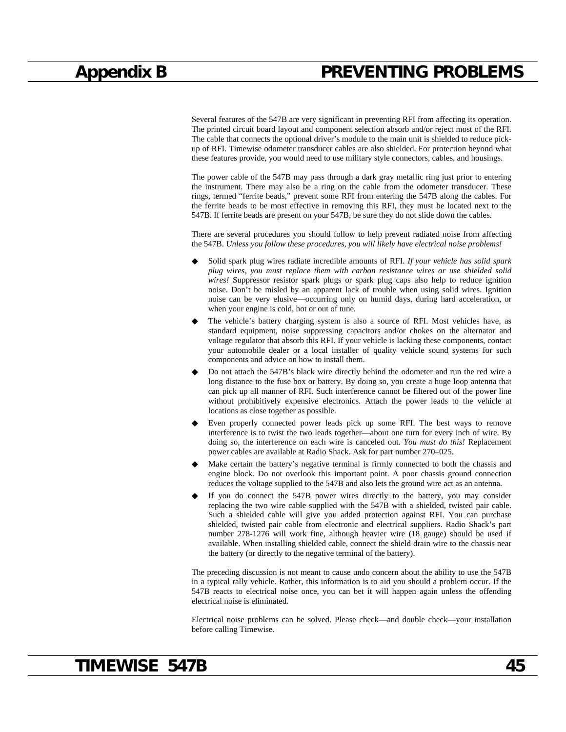Several features of the 547B are very significant in preventing RFI from affecting its operation. The printed circuit board layout and component selection absorb and/or reject most of the RFI. The cable that connects the optional driver's module to the main unit is shielded to reduce pickup of RFI. Timewise odometer transducer cables are also shielded. For protection beyond what these features provide, you would need to use military style connectors, cables, and housings.

The power cable of the 547B may pass through a dark gray metallic ring just prior to entering the instrument. There may also be a ring on the cable from the odometer transducer. These rings, termed "ferrite beads," prevent some RFI from entering the 547B along the cables. For the ferrite beads to be most effective in removing this RFI, they must be located next to the 547B. If ferrite beads are present on your 547B, be sure they do not slide down the cables.

There are several procedures you should follow to help prevent radiated noise from affecting the 547B. *Unless you follow these procedures, you will likely have electrical noise problems!*

- Solid spark plug wires radiate incredible amounts of RFI. *If your vehicle has solid spark plug wires, you must replace them with carbon resistance wires or use shielded solid wires!* Suppressor resistor spark plugs or spark plug caps also help to reduce ignition noise. Don't be misled by an apparent lack of trouble when using solid wires. Ignition noise can be very elusive—occurring only on humid days, during hard acceleration, or when your engine is cold, hot or out of tune.
- The vehicle's battery charging system is also a source of RFI. Most vehicles have, as standard equipment, noise suppressing capacitors and/or chokes on the alternator and voltage regulator that absorb this RFI. If your vehicle is lacking these components, contact your automobile dealer or a local installer of quality vehicle sound systems for such components and advice on how to install them.
- ◆ Do not attach the 547B's black wire directly behind the odometer and run the red wire a long distance to the fuse box or battery. By doing so, you create a huge loop antenna that can pick up all manner of RFI. Such interference cannot be filtered out of the power line without prohibitively expensive electronics. Attach the power leads to the vehicle at locations as close together as possible.
- Even properly connected power leads pick up some RFI. The best ways to remove interference is to twist the two leads together—about one turn for every inch of wire. By doing so, the interference on each wire is canceled out. *You must do this!* Replacement power cables are available at Radio Shack. Ask for part number 270–025.
- ◆ Make certain the battery's negative terminal is firmly connected to both the chassis and engine block. Do not overlook this important point. A poor chassis ground connection reduces the voltage supplied to the 547B and also lets the ground wire act as an antenna.
- If you do connect the 547B power wires directly to the battery, you may consider replacing the two wire cable supplied with the 547B with a shielded, twisted pair cable. Such a shielded cable will give you added protection against RFI. You can purchase shielded, twisted pair cable from electronic and electrical suppliers. Radio Shack's part number 278-1276 will work fine, although heavier wire (18 gauge) should be used if available. When installing shielded cable, connect the shield drain wire to the chassis near the battery (or directly to the negative terminal of the battery).

The preceding discussion is not meant to cause undo concern about the ability to use the 547B in a typical rally vehicle. Rather, this information is to aid you should a problem occur. If the 547B reacts to electrical noise once, you can bet it will happen again unless the offending electrical noise is eliminated.

Electrical noise problems can be solved. Please check—and double check—your installation before calling Timewise.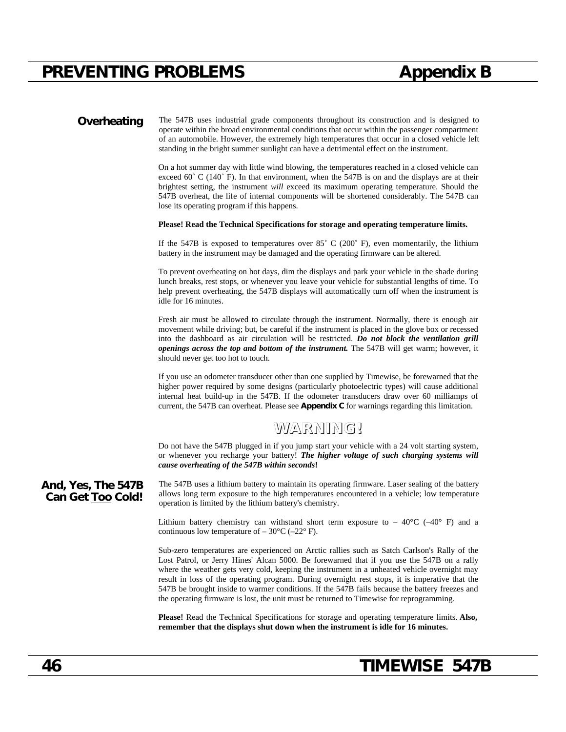**Overheating** The 547B uses industrial grade components throughout its construction and is designed to operate within the broad environmental conditions that occur within the passenger compartment of an automobile. However, the extremely high temperatures that occur in a closed vehicle left standing in the bright summer sunlight can have a detrimental effect on the instrument.

> On a hot summer day with little wind blowing, the temperatures reached in a closed vehicle can exceed  $60^{\circ}$  C (140 $^{\circ}$  F). In that environment, when the 547B is on and the displays are at their brightest setting, the instrument *will* exceed its maximum operating temperature. Should the 547B overheat, the life of internal components will be shortened considerably. The 547B can lose its operating program if this happens.

#### **Please! Read the Technical Specifications for storage and operating temperature limits.**

If the 547B is exposed to temperatures over  $85^{\circ}$  C (200 $^{\circ}$  F), even momentarily, the lithium battery in the instrument may be damaged and the operating firmware can be altered.

To prevent overheating on hot days, dim the displays and park your vehicle in the shade during lunch breaks, rest stops, or whenever you leave your vehicle for substantial lengths of time. To help prevent overheating, the 547B displays will automatically turn off when the instrument is idle for 16 minutes.

Fresh air must be allowed to circulate through the instrument. Normally, there is enough air movement while driving; but, be careful if the instrument is placed in the glove box or recessed into the dashboard as air circulation will be restricted. *Do not block the ventilation grill openings across the top and bottom of the instrument.* The 547B will get warm; however, it should never get too hot to touch.

If you use an odometer transducer other than one supplied by Timewise, be forewarned that the higher power required by some designs (particularly photoelectric types) will cause additional internal heat build-up in the 547B. If the odometer transducers draw over 60 milliamps of current, the 547B can overheat. Please see **Appendix C** for warnings regarding this limitation.

### **WARNING!**

Do not have the 547B plugged in if you jump start your vehicle with a 24 volt starting system, or whenever you recharge your battery! *The higher voltage of such charging systems will cause overheating of the 547B within seconds***!**

**And, Yes, The 547B Can Get Too Cold!** The 547B uses a lithium battery to maintain its operating firmware. Laser sealing of the battery allows long term exposure to the high temperatures encountered in a vehicle; low temperature operation is limited by the lithium battery's chemistry.

> Lithium battery chemistry can withstand short term exposure to  $-40^{\circ}$ C ( $-40^{\circ}$  F) and a continuous low temperature of  $-30^{\circ}$ C ( $-22^{\circ}$  F).

> Sub-zero temperatures are experienced on Arctic rallies such as Satch Carlson's Rally of the Lost Patrol, or Jerry Hines' Alcan 5000. Be forewarned that if you use the 547B on a rally where the weather gets very cold, keeping the instrument in a unheated vehicle overnight may result in loss of the operating program. During overnight rest stops, it is imperative that the 547B be brought inside to warmer conditions. If the 547B fails because the battery freezes and the operating firmware is lost, the unit must be returned to Timewise for reprogramming.

> **Please!** Read the Technical Specifications for storage and operating temperature limits. **Also, remember that the displays shut down when the instrument is idle for 16 minutes.**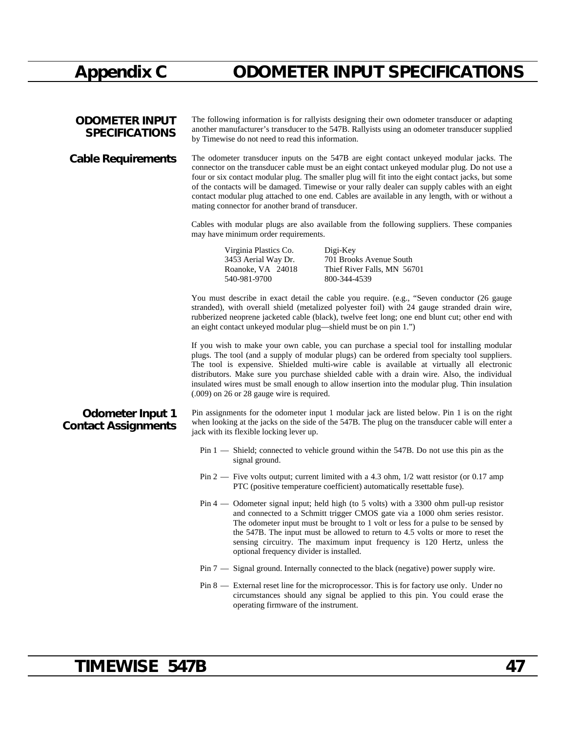# **Appendix C ODOMETER INPUT SPECIFICATIONS**

| <b>ODOMETER INPUT</b><br><b>SPECIFICATIONS</b>        | The following information is for rallyists designing their own odometer transducer or adapting<br>another manufacturer's transducer to the 547B. Rallyists using an odometer transducer supplied<br>by Timewise do not need to read this information.                                                                                                                                                                                                                                                                                                    |  |  |  |  |  |
|-------------------------------------------------------|----------------------------------------------------------------------------------------------------------------------------------------------------------------------------------------------------------------------------------------------------------------------------------------------------------------------------------------------------------------------------------------------------------------------------------------------------------------------------------------------------------------------------------------------------------|--|--|--|--|--|
| <b>Cable Requirements</b>                             | The odometer transducer inputs on the 547B are eight contact unkeyed modular jacks. The<br>connector on the transducer cable must be an eight contact unkeyed modular plug. Do not use a<br>four or six contact modular plug. The smaller plug will fit into the eight contact jacks, but some<br>of the contacts will be damaged. Timewise or your rally dealer can supply cables with an eight<br>contact modular plug attached to one end. Cables are available in any length, with or without a<br>mating connector for another brand of transducer. |  |  |  |  |  |
|                                                       | Cables with modular plugs are also available from the following suppliers. These companies<br>may have minimum order requirements.                                                                                                                                                                                                                                                                                                                                                                                                                       |  |  |  |  |  |
|                                                       | Virginia Plastics Co.<br>Digi-Key<br>3453 Aerial Way Dr.<br>701 Brooks Avenue South<br>Roanoke, VA 24018<br>Thief River Falls, MN 56701<br>540-981-9700<br>800-344-4539                                                                                                                                                                                                                                                                                                                                                                                  |  |  |  |  |  |
|                                                       | You must describe in exact detail the cable you require. (e.g., "Seven conductor (26 gauge<br>stranded), with overall shield (metalized polyester foil) with 24 gauge stranded drain wire,<br>rubberized neoprene jacketed cable (black), twelve feet long; one end blunt cut; other end with<br>an eight contact unkeyed modular plug—shield must be on pin 1.")                                                                                                                                                                                        |  |  |  |  |  |
|                                                       | If you wish to make your own cable, you can purchase a special tool for installing modular<br>plugs. The tool (and a supply of modular plugs) can be ordered from specialty tool suppliers.<br>The tool is expensive. Shielded multi-wire cable is available at virtually all electronic<br>distributors. Make sure you purchase shielded cable with a drain wire. Also, the individual<br>insulated wires must be small enough to allow insertion into the modular plug. Thin insulation<br>$(.009)$ on 26 or 28 gauge wire is required.                |  |  |  |  |  |
| <b>Odometer Input 1</b><br><b>Contact Assignments</b> | Pin assignments for the odometer input 1 modular jack are listed below. Pin 1 is on the right<br>when looking at the jacks on the side of the 547B. The plug on the transducer cable will enter a<br>jack with its flexible locking lever up.                                                                                                                                                                                                                                                                                                            |  |  |  |  |  |
|                                                       | Pin 1 — Shield; connected to vehicle ground within the 547B. Do not use this pin as the<br>signal ground.                                                                                                                                                                                                                                                                                                                                                                                                                                                |  |  |  |  |  |
|                                                       | Pin 2 — Five volts output; current limited with a 4.3 ohm, $1/2$ watt resistor (or 0.17 amp<br>PTC (positive temperature coefficient) automatically resettable fuse).                                                                                                                                                                                                                                                                                                                                                                                    |  |  |  |  |  |
|                                                       | Pin 4 — Odometer signal input; held high (to 5 volts) with a 3300 ohm pull-up resistor<br>and connected to a Schmitt trigger CMOS gate via a 1000 ohm series resistor.<br>The odometer input must be brought to 1 volt or less for a pulse to be sensed by<br>the 547B. The input must be allowed to return to 4.5 volts or more to reset the<br>sensing circuitry. The maximum input frequency is 120 Hertz, unless the<br>optional frequency divider is installed.                                                                                     |  |  |  |  |  |
|                                                       | Pin 7 — Signal ground. Internally connected to the black (negative) power supply wire.                                                                                                                                                                                                                                                                                                                                                                                                                                                                   |  |  |  |  |  |
|                                                       | Pin 8 — External reset line for the microprocessor. This is for factory use only. Under no<br>circumstances should any signal be applied to this pin. You could erase the<br>operating firmware of the instrument.                                                                                                                                                                                                                                                                                                                                       |  |  |  |  |  |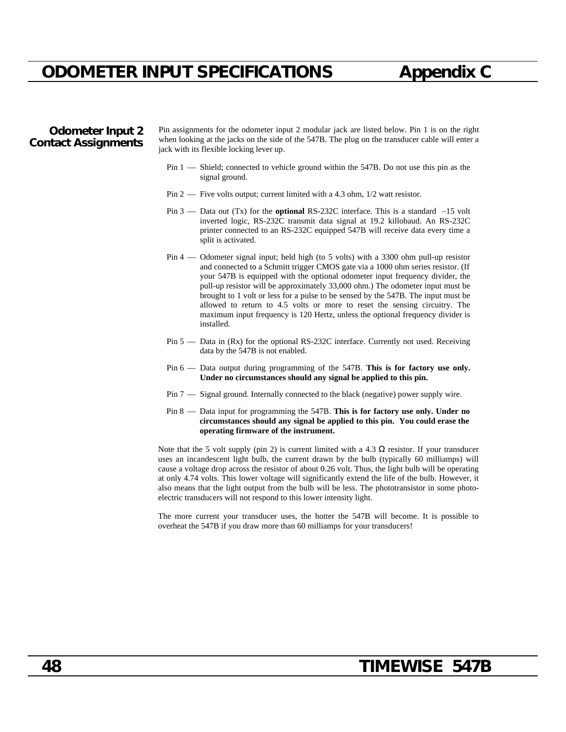### Pin 5 — Data in (Rx) for the optional RS-232C interface. Currently not used. Receiving data by the 547B is not enabled.

- Pin 6 Data output during programming of the 547B. **This is for factory use only. Under no circumstances should any signal be applied to this pin.**
- Pin 7 Signal ground. Internally connected to the black (negative) power supply wire.
- Pin 8 Data input for programming the 547B. **This is for factory use only. Under no circumstances should any signal be applied to this pin. You could erase the operating firmware of the instrument.**

Note that the 5 volt supply (pin 2) is current limited with a 4.3 resistor. If your transducer uses an incandescent light bulb, the current drawn by the bulb (typically 60 milliamps) will cause a voltage drop across the resistor of about 0.26 volt. Thus, the light bulb will be operating at only 4.74 volts. This lower voltage will significantly extend the life of the bulb. However, it also means that the light output from the bulb will be less. The phototransistor in some photoelectric transducers will not respond to this lower intensity light.

The more current your transducer uses, the hotter the 547B will become. It is possible to overheat the 547B if you draw more than 60 milliamps for your transducers!

## **ODOMETER INPUT SPECIFICATIONS Appendix C**

### **Odometer Input 2 Contact Assignments**

Pin assignments for the odometer input 2 modular jack are listed below. Pin 1 is on the right when looking at the jacks on the side of the 547B. The plug on the transducer cable will enter a jack with its flexible locking lever up.

- Pin 1 Shield; connected to vehicle ground within the 547B. Do not use this pin as the signal ground.
- Pin 2 Five volts output; current limited with a 4.3 ohm,  $1/2$  watt resistor.
- Pin 3 Data out (Tx) for the **optional** RS-232C interface. This is a standard –15 volt inverted logic, RS-232C transmit data signal at 19.2 killobaud. An RS-232C printer connected to an RS-232C equipped 547B will receive data every time a split is activated.
- Pin 4 Odometer signal input; held high (to 5 volts) with a 3300 ohm pull-up resistor and connected to a Schmitt trigger CMOS gate via a 1000 ohm series resistor. (If your 547B is equipped with the optional odometer input frequency divider, the pull-up resistor will be approximately 33,000 ohm.) The odometer input must be brought to 1 volt or less for a pulse to be sensed by the 547B. The input must be allowed to return to 4.5 volts or more to reset the sensing circuitry. The maximum input frequency is 120 Hertz, unless the optional frequency divider is installed.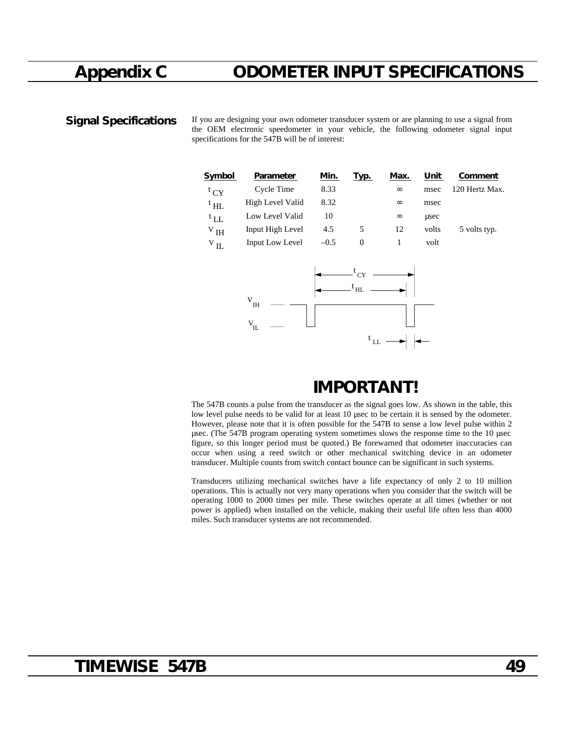## **Appendix C ODOMETER INPUT SPECIFICATIONS**

**Signal Specifications** If you are designing your own odometer transducer system or are planning to use a signal from the OEM electronic speedometer in your vehicle, the following odometer signal input specifications for the 547B will be of interest:

| Parameter        | Min.   | Typ.     | Max. | Unit  | <b>Comment</b> |
|------------------|--------|----------|------|-------|----------------|
| Cycle Time       | 8.33   |          |      | msec  | 120 Hertz Max. |
| High Level Valid | 8.32   |          |      | msec  |                |
| Low Level Valid  | 10     |          |      | usec  |                |
| Input High Level | 4.5    | 5        | 12   | volts | 5 volts typ.   |
| Input Low Level  | $-0.5$ | $\Omega$ |      | volt  |                |
|                  |        |          |      |       |                |
|                  |        |          |      |       |                |
|                  |        |          |      |       |                |



## **IMPORTANT!**

The 547B counts a pulse from the transducer as the signal goes low. As shown in the table, this low level pulse needs to be valid for at least 10 usec to be certain it is sensed by the odometer. However, please note that it is often possible for the 547B to sense a low level pulse within 2 µsec. (The 547B program operating system sometimes slows the response time to the 10 µsec figure, so this longer period must be quoted.) Be forewarned that odometer inaccuracies can occur when using a reed switch or other mechanical switching device in an odometer transducer. Multiple counts from switch contact bounce can be significant in such systems.

Transducers utilizing mechanical switches have a life expectancy of only 2 to 10 million operations. This is actually not very many operations when you consider that the switch will be operating 1000 to 2000 times per mile. These switches operate at all times (whether or not power is applied) when installed on the vehicle, making their useful life often less than 4000 miles. Such transducer systems are not recommended.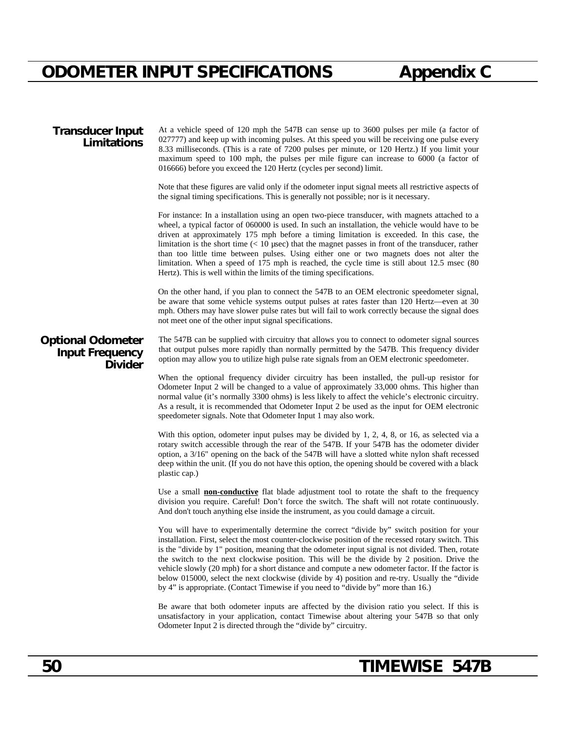### **Transducer Input Limitations**

At a vehicle speed of 120 mph the 547B can sense up to 3600 pulses per mile (a factor of 027777) and keep up with incoming pulses. At this speed you will be receiving one pulse every 8.33 milliseconds. (This is a rate of 7200 pulses per minute, or 120 Hertz.) If you limit your maximum speed to 100 mph, the pulses per mile figure can increase to 6000 (a factor of 016666) before you exceed the 120 Hertz (cycles per second) limit.

Note that these figures are valid only if the odometer input signal meets all restrictive aspects of the signal timing specifications. This is generally not possible; nor is it necessary.

For instance: In a installation using an open two-piece transducer, with magnets attached to a wheel, a typical factor of 060000 is used. In such an installation, the vehicle would have to be driven at approximately 175 mph before a timing limitation is exceeded. In this case, the limitation is the short time  $\left($  < 10 µsec) that the magnet passes in front of the transducer, rather than too little time between pulses. Using either one or two magnets does not alter the limitation. When a speed of 175 mph is reached, the cycle time is still about 12.5 msec (80 Hertz). This is well within the limits of the timing specifications.

On the other hand, if you plan to connect the 547B to an OEM electronic speedometer signal, be aware that some vehicle systems output pulses at rates faster than 120 Hertz—even at 30 mph. Others may have slower pulse rates but will fail to work correctly because the signal does not meet one of the other input signal specifications.

### **Optional Odometer Input Frequency Divider**

The 547B can be supplied with circuitry that allows you to connect to odometer signal sources that output pulses more rapidly than normally permitted by the 547B. This frequency divider option may allow you to utilize high pulse rate signals from an OEM electronic speedometer.

When the optional frequency divider circuitry has been installed, the pull-up resistor for Odometer Input 2 will be changed to a value of approximately 33,000 ohms. This higher than normal value (it's normally 3300 ohms) is less likely to affect the vehicle's electronic circuitry. As a result, it is recommended that Odometer Input 2 be used as the input for OEM electronic speedometer signals. Note that Odometer Input 1 may also work.

With this option, odometer input pulses may be divided by 1, 2, 4, 8, or 16, as selected via a rotary switch accessible through the rear of the 547B. If your 547B has the odometer divider option, a 3/16" opening on the back of the 547B will have a slotted white nylon shaft recessed deep within the unit. (If you do not have this option, the opening should be covered with a black plastic cap.)

Use a small **non-conductive** flat blade adjustment tool to rotate the shaft to the frequency division you require. Careful! Don't force the switch. The shaft will not rotate continuously. And don't touch anything else inside the instrument, as you could damage a circuit.

You will have to experimentally determine the correct "divide by" switch position for your installation. First, select the most counter-clockwise position of the recessed rotary switch. This is the "divide by 1" position, meaning that the odometer input signal is not divided. Then, rotate the switch to the next clockwise position. This will be the divide by 2 position. Drive the vehicle slowly (20 mph) for a short distance and compute a new odometer factor. If the factor is below 015000, select the next clockwise (divide by 4) position and re-try. Usually the "divide by 4" is appropriate. (Contact Timewise if you need to "divide by" more than 16.)

Be aware that both odometer inputs are affected by the division ratio you select. If this is unsatisfactory in your application, contact Timewise about altering your 547B so that only Odometer Input 2 is directed through the "divide by" circuitry.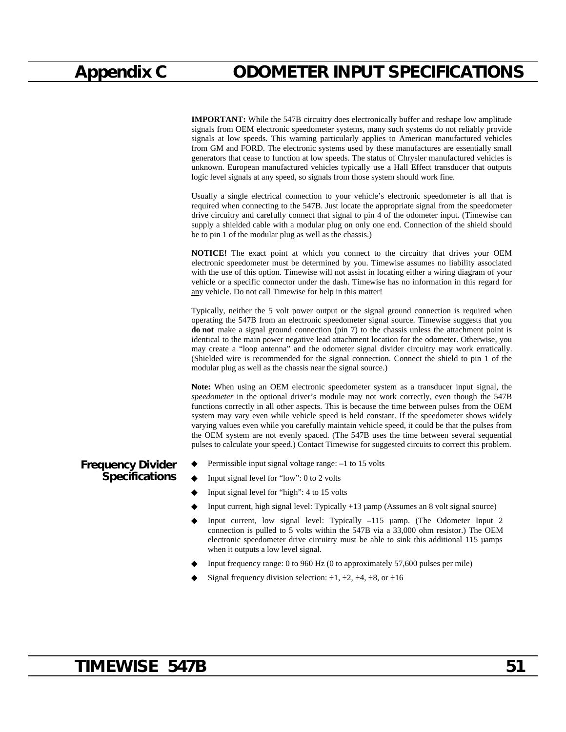**IMPORTANT:** While the 547B circuitry does electronically buffer and reshape low amplitude signals from OEM electronic speedometer systems, many such systems do not reliably provide signals at low speeds. This warning particularly applies to American manufactured vehicles from GM and FORD. The electronic systems used by these manufactures are essentially small generators that cease to function at low speeds. The status of Chrysler manufactured vehicles is unknown. European manufactured vehicles typically use a Hall Effect transducer that outputs logic level signals at any speed, so signals from those system should work fine.

Usually a single electrical connection to your vehicle's electronic speedometer is all that is required when connecting to the 547B. Just locate the appropriate signal from the speedometer drive circuitry and carefully connect that signal to pin 4 of the odometer input. (Timewise can supply a shielded cable with a modular plug on only one end. Connection of the shield should be to pin 1 of the modular plug as well as the chassis.)

**NOTICE!** The exact point at which you connect to the circuitry that drives your OEM electronic speedometer must be determined by you. Timewise assumes no liability associated with the use of this option. Timewise will not assist in locating either a wiring diagram of your vehicle or a specific connector under the dash. Timewise has no information in this regard for any vehicle. Do not call Timewise for help in this matter!

Typically, neither the 5 volt power output or the signal ground connection is required when operating the 547B from an electronic speedometer signal source. Timewise suggests that you **do not** make a signal ground connection (pin 7) to the chassis unless the attachment point is identical to the main power negative lead attachment location for the odometer. Otherwise, you may create a "loop antenna" and the odometer signal divider circuitry may work erratically. (Shielded wire is recommended for the signal connection. Connect the shield to pin 1 of the modular plug as well as the chassis near the signal source.)

**Note:** When using an OEM electronic speedometer system as a transducer input signal, the *speedometer* in the optional driver's module may not work correctly, even though the 547B functions correctly in all other aspects. This is because the time between pulses from the OEM system may vary even while vehicle speed is held constant. If the speedometer shows widely varying values even while you carefully maintain vehicle speed, it could be that the pulses from the OEM system are not evenly spaced. (The 547B uses the time between several sequential pulses to calculate your speed.) Contact Timewise for suggested circuits to correct this problem.

- **Frequency Divider** Permissible input signal voltage range:  $-1$  to 15 volts
	- Input signal level for "low": 0 to 2 volts
	- ◆ Input signal level for "high": 4 to 15 volts
	- ◆ Input current, high signal level: Typically +13 µamp (Assumes an 8 volt signal source)
	- ◆ Input current, low signal level: Typically –115 µamp. (The Odometer Input 2 connection is pulled to 5 volts within the 547B via a 33,000 ohm resistor.) The OEM electronic speedometer drive circuitry must be able to sink this additional 115 µamps when it outputs a low level signal.
	- Input frequency range: 0 to 960 Hz (0 to approximately  $57,600$  pulses per mile)
	- Signal frequency division selection:  $\div 1, \div 2, \div 4, \div 8$ , or  $\div 16$

## **TIMEWISE 547B 51**

**Specifications**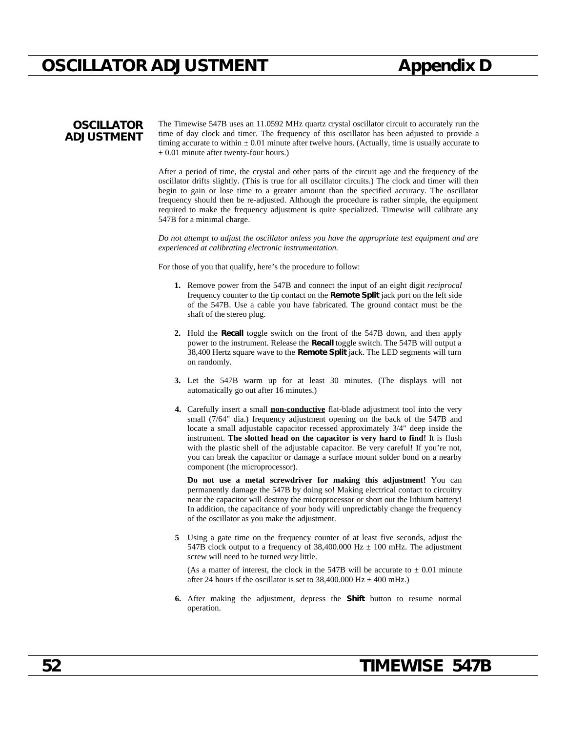## **OSCILLATOR ADJUSTMENT Appendix D**

### **OSCILLATOR ADJUSTMENT**

The Timewise 547B uses an 11.0592 MHz quartz crystal oscillator circuit to accurately run the time of day clock and timer. The frequency of this oscillator has been adjusted to provide a timing accurate to within  $\pm 0.01$  minute after twelve hours. (Actually, time is usually accurate to  $\pm$  0.01 minute after twenty-four hours.)

After a period of time, the crystal and other parts of the circuit age and the frequency of the oscillator drifts slightly. (This is true for all oscillator circuits.) The clock and timer will then begin to gain or lose time to a greater amount than the specified accuracy. The oscillator frequency should then be re-adjusted. Although the procedure is rather simple, the equipment required to make the frequency adjustment is quite specialized. Timewise will calibrate any 547B for a minimal charge.

*Do not attempt to adjust the oscillator unless you have the appropriate test equipment and are experienced at calibrating electronic instrumentation.*

For those of you that qualify, here's the procedure to follow:

- **1.** Remove power from the 547B and connect the input of an eight digit *reciprocal* frequency counter to the tip contact on the **Remote Split** jack port on the left side of the 547B. Use a cable you have fabricated. The ground contact must be the shaft of the stereo plug.
- **2.** Hold the **Recall** toggle switch on the front of the 547B down, and then apply power to the instrument. Release the **Recall** toggle switch. The 547B will output a 38,400 Hertz square wave to the **Remote Split** jack. The LED segments will turn on randomly.
- **3.** Let the 547B warm up for at least 30 minutes. (The displays will not automatically go out after 16 minutes.)
- **4.** Carefully insert a small **non-conductive** flat-blade adjustment tool into the very small (7/64" dia.) frequency adjustment opening on the back of the 547B and locate a small adjustable capacitor recessed approximately 3/4" deep inside the instrument. **The slotted head on the capacitor is very hard to find!** It is flush with the plastic shell of the adjustable capacitor. Be very careful! If you're not, you can break the capacitor or damage a surface mount solder bond on a nearby component (the microprocessor).

**Do not use a metal screwdriver for making this adjustment!** You can permanently damage the 547B by doing so! Making electrical contact to circuitry near the capacitor will destroy the microprocessor or short out the lithium battery! In addition, the capacitance of your body will unpredictably change the frequency of the oscillator as you make the adjustment.

**5** Using a gate time on the frequency counter of at least five seconds, adjust the 547B clock output to a frequency of 38,400.000 Hz  $\pm$  100 mHz. The adjustment screw will need to be turned *very* little.

(As a matter of interest, the clock in the 547B will be accurate to  $\pm$  0.01 minute after 24 hours if the oscillator is set to 38,400.000 Hz  $\pm$  400 mHz.)

**6.** After making the adjustment, depress the **Shift** button to resume normal operation.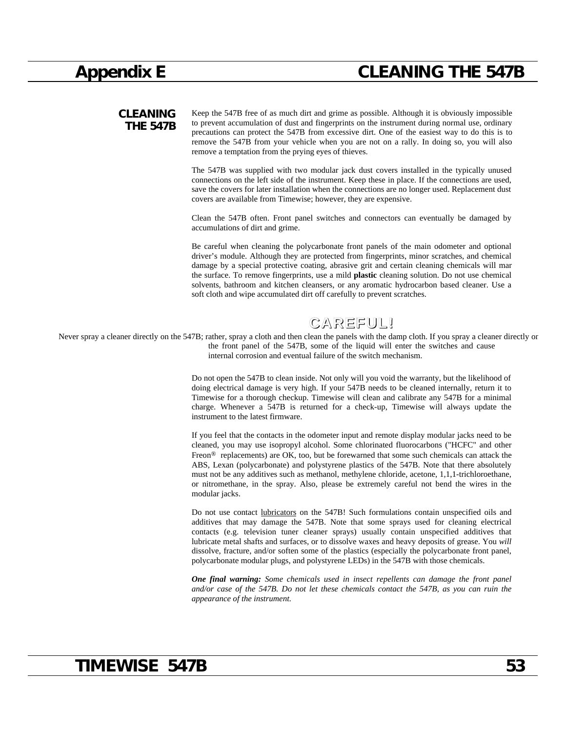## **Appendix E CLEANING THE 547B**

**CLEANING THE 547B** Keep the 547B free of as much dirt and grime as possible. Although it is obviously impossible to prevent accumulation of dust and fingerprints on the instrument during normal use, ordinary precautions can protect the 547B from excessive dirt. One of the easiest way to do this is to remove the 547B from your vehicle when you are not on a rally. In doing so, you will also remove a temptation from the prying eyes of thieves.

> The 547B was supplied with two modular jack dust covers installed in the typically unused connections on the left side of the instrument. Keep these in place. If the connections are used, save the covers for later installation when the connections are no longer used. Replacement dust covers are available from Timewise; however, they are expensive.

> Clean the 547B often. Front panel switches and connectors can eventually be damaged by accumulations of dirt and grime.

> Be careful when cleaning the polycarbonate front panels of the main odometer and optional driver's module. Although they are protected from fingerprints, minor scratches, and chemical damage by a special protective coating, abrasive grit and certain cleaning chemicals will mar the surface. To remove fingerprints, use a mild **plastic** cleaning solution. Do not use chemical solvents, bathroom and kitchen cleansers, or any aromatic hydrocarbon based cleaner. Use a soft cloth and wipe accumulated dirt off carefully to prevent scratches.

## **CAREFUL!**

Never spray a cleaner directly on the 547B; rather, spray a cloth and then clean the panels with the damp cloth. If you spray a cleaner directly on the front panel of the 547B, some of the liquid will enter the switches and cause internal corrosion and eventual failure of the switch mechanism.

> Do not open the 547B to clean inside. Not only will you void the warranty, but the likelihood of doing electrical damage is very high. If your 547B needs to be cleaned internally, return it to Timewise for a thorough checkup. Timewise will clean and calibrate any 547B for a minimal charge. Whenever a 547B is returned for a check-up, Timewise will always update the instrument to the latest firmware.

> If you feel that the contacts in the odometer input and remote display modular jacks need to be cleaned, you may use isopropyl alcohol. Some chlorinated fluorocarbons ("HCFC" and other Freon<sup>®</sup> replacements) are OK, too, but be forewarned that some such chemicals can attack the ABS, Lexan (polycarbonate) and polystyrene plastics of the 547B. Note that there absolutely must not be any additives such as methanol, methylene chloride, acetone, 1,1,1-trichloroethane, or nitromethane, in the spray. Also, please be extremely careful not bend the wires in the modular jacks.

> Do not use contact lubricators on the 547B! Such formulations contain unspecified oils and additives that may damage the 547B. Note that some sprays used for cleaning electrical contacts (e.g. television tuner cleaner sprays) usually contain unspecified additives that lubricate metal shafts and surfaces, or to dissolve waxes and heavy deposits of grease. You *will* dissolve, fracture, and/or soften some of the plastics (especially the polycarbonate front panel, polycarbonate modular plugs, and polystyrene LEDs) in the 547B with those chemicals.

> *One final warning: Some chemicals used in insect repellents can damage the front panel and/or case of the 547B. Do not let these chemicals contact the 547B, as you can ruin the appearance of the instrument.*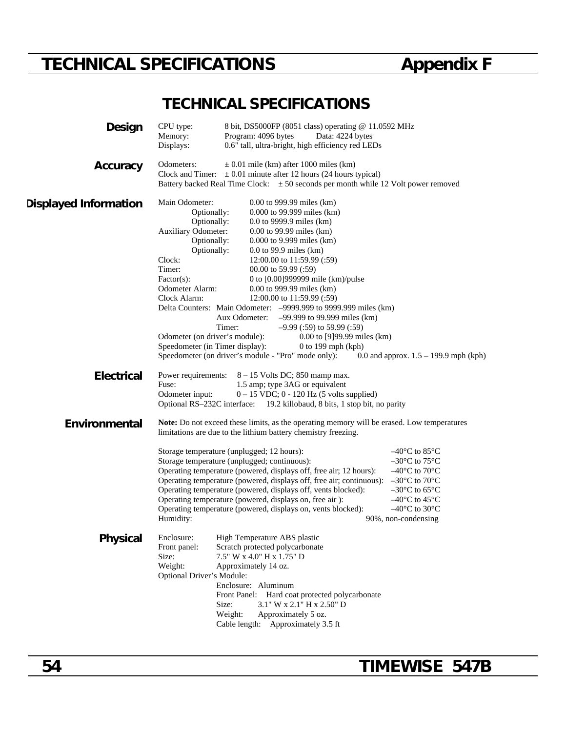# **TECHNICAL SPECIFICATIONS Appendix F**

## **TECHNICAL SPECIFICATIONS**

| <b>Design</b>                | CPU type:<br>Memory:<br>Displays:                                                                                                                                                                                                                     | 8 bit, DS5000FP (8051 class) operating @ 11.0592 MHz<br>Program: 4096 bytes<br>Data: 4224 bytes<br>0.6" tall, ultra-bright, high efficiency red LEDs                                                                                                                                                                                                                                                                                                                                                                                                                                                                   |                                                                                                                                                                                                                                                                       |
|------------------------------|-------------------------------------------------------------------------------------------------------------------------------------------------------------------------------------------------------------------------------------------------------|------------------------------------------------------------------------------------------------------------------------------------------------------------------------------------------------------------------------------------------------------------------------------------------------------------------------------------------------------------------------------------------------------------------------------------------------------------------------------------------------------------------------------------------------------------------------------------------------------------------------|-----------------------------------------------------------------------------------------------------------------------------------------------------------------------------------------------------------------------------------------------------------------------|
| Accuracy                     | Odometers:                                                                                                                                                                                                                                            | $\pm$ 0.01 mile (km) after 1000 miles (km)<br>Clock and Timer: $\pm 0.01$ minute after 12 hours (24 hours typical)<br>Battery backed Real Time Clock: $\pm 50$ seconds per month while 12 Volt power removed                                                                                                                                                                                                                                                                                                                                                                                                           |                                                                                                                                                                                                                                                                       |
| <b>Displayed Information</b> | Main Odometer:<br>Optionally:<br>Optionally:<br><b>Auxiliary Odometer:</b><br>Optionally:<br>Optionally:<br>Clock:<br>Timer:<br>$Factor(s)$ :<br>Odometer Alarm:<br>Clock Alarm:<br>Odometer (on driver's module):<br>Speedometer (in Timer display): | 0.00 to 999.99 miles (km)<br>0.000 to 99.999 miles (km)<br>0.0 to 9999.9 miles $(km)$<br>$0.00$ to 99.99 miles (km)<br>0.000 to 9.999 miles (km)<br>$0.0$ to 99.9 miles (km)<br>12:00.00 to 11:59.99 (:59)<br>$00.00$ to 59.99 (:59)<br>0 to [0.00]999999 mile (km)/pulse<br>$0.00$ to 999.99 miles (km)<br>12:00.00 to 11:59.99 (:59)<br>Delta Counters: Main Odometer: -9999.999 to 9999.999 miles (km)<br>Aux Odometer:<br>$-99.999$ to 99.999 miles (km)<br>$-9.99$ (:59) to 59.99 (:59)<br>Timer:<br>$0.00$ to [9]99.99 miles (km)<br>$0$ to 199 mph (kph)<br>Speedometer (on driver's module - "Pro" mode only): | 0.0 and approx. $1.5 - 199.9$ mph (kph)                                                                                                                                                                                                                               |
| <b>Electrical</b>            | Power requirements:<br>Fuse:<br>Odometer input:                                                                                                                                                                                                       | $8 - 15$ Volts DC; 850 mamp max.<br>1.5 amp; type 3AG or equivalent<br>$0 - 15$ VDC; $0 - 120$ Hz (5 volts supplied)<br>Optional RS-232C interface: 19.2 killobaud, 8 bits, 1 stop bit, no parity                                                                                                                                                                                                                                                                                                                                                                                                                      |                                                                                                                                                                                                                                                                       |
| Environmental                | Humidity:                                                                                                                                                                                                                                             | <b>Note:</b> Do not exceed these limits, as the operating memory will be erased. Low temperatures<br>limitations are due to the lithium battery chemistry freezing.<br>Storage temperature (unplugged; 12 hours):<br>Storage temperature (unplugged; continuous):<br>Operating temperature (powered, displays off, free air; 12 hours):<br>Operating temperature (powered, displays off, free air; continuous):<br>Operating temperature (powered, displays off, vents blocked):<br>Operating temperature (powered, displays on, free air):<br>Operating temperature (powered, displays on, vents blocked):            | –40°C to 85°C<br>$-30^{\circ}$ C to 75 $^{\circ}$ C<br>$-40^{\circ}$ C to $70^{\circ}$ C<br>$-30^{\circ}$ C to $70^{\circ}$ C<br>$-30^{\circ}$ C to 65 $^{\circ}$ C<br>$-40^{\circ}$ C to $45^{\circ}$ C<br>$-40^{\circ}$ C to 30 $^{\circ}$ C<br>90%, non-condensing |
| <b>Physical</b>              | Enclosure:<br>Front panel:<br>Size:<br>Weight:<br>Optional Driver's Module:                                                                                                                                                                           | High Temperature ABS plastic<br>Scratch protected polycarbonate<br>7.5" W x 4.0" H x 1.75" D<br>Approximately 14 oz.<br>Enclosure: Aluminum<br>Front Panel: Hard coat protected polycarbonate<br>Size:<br>3.1" W x 2.1" H x 2.50" D<br>Weight:<br>Approximately 5 oz.<br>Cable length: Approximately 3.5 ft                                                                                                                                                                                                                                                                                                            |                                                                                                                                                                                                                                                                       |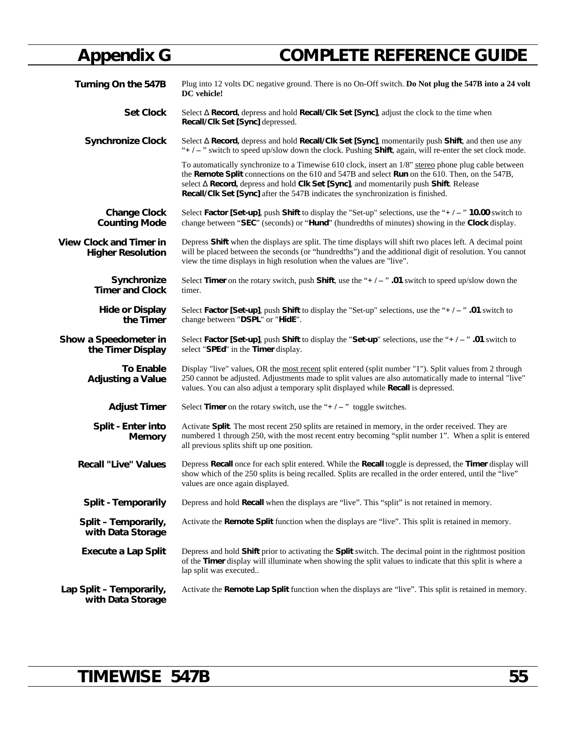# **Appendix G COMPLETE REFERENCE GUIDE**

| Turning On the 547B                                        | Plug into 12 volts DC negative ground. There is no On-Off switch. Do Not plug the 547B into a 24 volt<br>DC vehicle!                                                                                                                                                                                                                                                             |
|------------------------------------------------------------|----------------------------------------------------------------------------------------------------------------------------------------------------------------------------------------------------------------------------------------------------------------------------------------------------------------------------------------------------------------------------------|
| <b>Set Clock</b>                                           | Select Record, depress and hold Recall/Clk Set [Sync], adjust the clock to the time when<br>Recall/Clk Set [Sync] depressed.                                                                                                                                                                                                                                                     |
| <b>Synchronize Clock</b>                                   | Select Record, depress and hold Recall/Clk Set [Sync], momentarily push Shift, and then use any<br>" $+/-$ " switch to speed up/slow down the clock. Pushing Shift, again, will re-enter the set clock mode.                                                                                                                                                                     |
|                                                            | To automatically synchronize to a Timewise 610 clock, insert an 1/8" stereo phone plug cable between<br>the Remote Split connections on the 610 and 547B and select Run on the 610. Then, on the 547B,<br>select Record, depress and hold Clk Set [Sync], and momentarily push Shift. Release<br>Recall/Clk Set [Sync] after the 547B indicates the synchronization is finished. |
| <b>Change Clock</b><br><b>Counting Mode</b>                | Select Factor [Set-up], push Shift to display the "Set-up" selections, use the "+ $/ -$ " 10.00 switch to<br>change between "SEC" (seconds) or "Hund" (hundredths of minutes) showing in the Clock display.                                                                                                                                                                      |
| <b>View Clock and Timer in</b><br><b>Higher Resolution</b> | Depress Shift when the displays are split. The time displays will shift two places left. A decimal point<br>will be placed between the seconds (or "hundredths") and the additional digit of resolution. You cannot<br>view the time displays in high resolution when the values are "live".                                                                                     |
| Synchronize<br><b>Timer and Clock</b>                      | Select Timer on the rotary switch, push Shift, use the "+ $/ -$ ". 01 switch to speed up/slow down the<br>timer.                                                                                                                                                                                                                                                                 |
| <b>Hide or Display</b><br>the Timer                        | Select Factor [Set-up], push Shift to display the "Set-up" selections, use the "+ $/ -$ ".01 switch to<br>change between "DSPL" or "HidE".                                                                                                                                                                                                                                       |
| Show a Speedometer in<br>the Timer Display                 | Select Factor [Set-up], push Shift to display the "Set-up" selections, use the "+ $/ -$ ". 01 switch to<br>select "SPEd" in the Timer display.                                                                                                                                                                                                                                   |
| <b>To Enable</b><br><b>Adjusting a Value</b>               | Display "live" values, OR the most recent split entered (split number "1"). Split values from 2 through<br>250 cannot be adjusted. Adjustments made to split values are also automatically made to internal "live"<br>values. You can also adjust a temporary split displayed while Recall is depressed.                                                                         |
| <b>Adjust Timer</b>                                        | Select Timer on the rotary switch, use the " $+/-$ " toggle switches.                                                                                                                                                                                                                                                                                                            |
| Split - Enter into<br>Memory                               | Activate Split. The most recent 250 splits are retained in memory, in the order received. They are<br>numbered 1 through 250, with the most recent entry becoming "split number 1". When a split is entered<br>all previous splits shift up one position.                                                                                                                        |
| <b>Recall "Live" Values</b>                                | Depress Recall once for each split entered. While the Recall toggle is depressed, the Timer display will<br>show which of the 250 splits is being recalled. Splits are recalled in the order entered, until the "live"<br>values are once again displayed.                                                                                                                       |
| <b>Split - Temporarily</b>                                 | Depress and hold Recall when the displays are "live". This "split" is not retained in memory.                                                                                                                                                                                                                                                                                    |
| Split - Temporarily,<br>with Data Storage                  | Activate the <b>Remote Split</b> function when the displays are "live". This split is retained in memory.                                                                                                                                                                                                                                                                        |
| <b>Execute a Lap Split</b>                                 | Depress and hold Shift prior to activating the Split switch. The decimal point in the rightmost position<br>of the Timer display will illuminate when showing the split values to indicate that this split is where a<br>lap split was executed                                                                                                                                  |
| Lap Split - Temporarily,<br>with Data Storage              | Activate the Remote Lap Split function when the displays are "live". This split is retained in memory.                                                                                                                                                                                                                                                                           |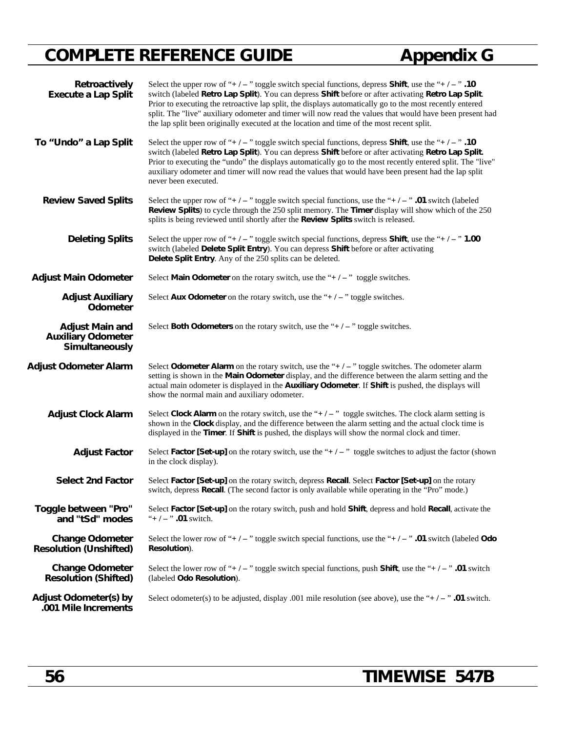# **COMPLETE REFERENCE GUIDE Appendix G**

| Retroactively<br><b>Execute a Lap Split</b>                           | Select the upper row of "+ $/ -$ " toggle switch special functions, depress <b>Shift</b> , use the "+ $/ -$ ". 10<br>switch (labeled Retro Lap Split). You can depress Shift before or after activating Retro Lap Split.<br>Prior to executing the retroactive lap split, the displays automatically go to the most recently entered<br>split. The "live" auxiliary odometer and timer will now read the values that would have been present had<br>the lap split been originally executed at the location and time of the most recent split. |
|-----------------------------------------------------------------------|-----------------------------------------------------------------------------------------------------------------------------------------------------------------------------------------------------------------------------------------------------------------------------------------------------------------------------------------------------------------------------------------------------------------------------------------------------------------------------------------------------------------------------------------------|
| To "Undo" a Lap Split                                                 | Select the upper row of "+ $/ -$ " toggle switch special functions, depress <b>Shift</b> , use the "+ $/ -$ ". 10<br>switch (labeled Retro Lap Split). You can depress Shift before or after activating Retro Lap Split.<br>Prior to executing the "undo" the displays automatically go to the most recently entered split. The "live"<br>auxiliary odometer and timer will now read the values that would have been present had the lap split<br>never been executed.                                                                        |
| <b>Review Saved Splits</b>                                            | Select the upper row of "+ $/ -$ " toggle switch special functions, use the "+ $/ -$ " .01 switch (labeled<br>Review Splits) to cycle through the 250 split memory. The Timer display will show which of the 250<br>splits is being reviewed until shortly after the Review Splits switch is released.                                                                                                                                                                                                                                        |
| <b>Deleting Splits</b>                                                | Select the upper row of "+ $/$ – " toggle switch special functions, depress Shift, use the "+ $/$ – " 1.00<br>switch (labeled Delete Split Entry). You can depress Shift before or after activating<br>Delete Split Entry. Any of the 250 splits can be deleted.                                                                                                                                                                                                                                                                              |
| <b>Adjust Main Odometer</b>                                           | Select Main Odometer on the rotary switch, use the " $+/-$ " toggle switches.                                                                                                                                                                                                                                                                                                                                                                                                                                                                 |
| <b>Adjust Auxiliary</b><br>Odometer                                   | Select Aux Odometer on the rotary switch, use the " $+/-$ " toggle switches.                                                                                                                                                                                                                                                                                                                                                                                                                                                                  |
| <b>Adjust Main and</b><br><b>Auxiliary Odometer</b><br>Simultaneously | Select <b>Both Odometers</b> on the rotary switch, use the " $+/-$ " toggle switches.                                                                                                                                                                                                                                                                                                                                                                                                                                                         |
| <b>Adjust Odometer Alarm</b>                                          | Select Odometer Alarm on the rotary switch, use the " $+/-$ " toggle switches. The odometer alarm<br>setting is shown in the Main Odometer display, and the difference between the alarm setting and the<br>actual main odometer is displayed in the Auxiliary Odometer. If Shift is pushed, the displays will<br>show the normal main and auxiliary odometer.                                                                                                                                                                                |
| <b>Adjust Clock Alarm</b>                                             | Select Clock Alarm on the rotary switch, use the " $+/-$ " toggle switches. The clock alarm setting is<br>shown in the Clock display, and the difference between the alarm setting and the actual clock time is<br>displayed in the Timer. If Shift is pushed, the displays will show the normal clock and timer.                                                                                                                                                                                                                             |
| <b>Adjust Factor</b>                                                  | Select Factor [Set-up] on the rotary switch, use the " $+/-$ " toggle switches to adjust the factor (shown<br>in the clock display).                                                                                                                                                                                                                                                                                                                                                                                                          |
| <b>Select 2nd Factor</b>                                              | Select Factor [Set-up] on the rotary switch, depress Recall. Select Factor [Set-up] on the rotary<br>switch, depress <b>Recall</b> . (The second factor is only available while operating in the "Pro" mode.)                                                                                                                                                                                                                                                                                                                                 |
| Toggle between "Pro"<br>and "tSd" modes                               | Select Factor [Set-up] on the rotary switch, push and hold Shift, depress and hold Recall, activate the<br>"+ $/ -$ " .01 switch.                                                                                                                                                                                                                                                                                                                                                                                                             |
| <b>Change Odometer</b><br><b>Resolution (Unshifted)</b>               | Select the lower row of "+/-" toggle switch special functions, use the "+/-" .01 switch (labeled Odo<br>Resolution).                                                                                                                                                                                                                                                                                                                                                                                                                          |
| <b>Change Odometer</b><br><b>Resolution (Shifted)</b>                 | Select the lower row of "+/-" toggle switch special functions, push <b>Shift</b> , use the "+/-" .01 switch<br>(labeled Odo Resolution).                                                                                                                                                                                                                                                                                                                                                                                                      |
| Adjust Odometer(s) by<br>.001 Mile Increments                         | Select odometer(s) to be adjusted, display .001 mile resolution (see above), use the "+ $/ -$ " .01 switch.                                                                                                                                                                                                                                                                                                                                                                                                                                   |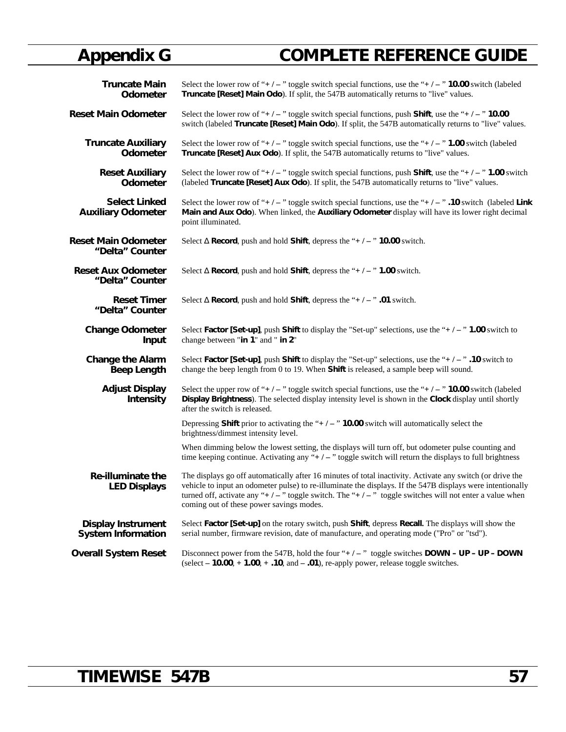# **Appendix G COMPLETE REFERENCE GUIDE**

| <b>Truncate Main</b>                              | Select the lower row of "+ $/ -$ " toggle switch special functions, use the "+ $/ -$ " 10.00 switch (labeled                                                                                                                                                                                                                                                               |
|---------------------------------------------------|----------------------------------------------------------------------------------------------------------------------------------------------------------------------------------------------------------------------------------------------------------------------------------------------------------------------------------------------------------------------------|
| Odometer                                          | Truncate [Reset] Main Odo). If split, the 547B automatically returns to "live" values.                                                                                                                                                                                                                                                                                     |
| <b>Reset Main Odometer</b>                        | Select the lower row of "+/-" toggle switch special functions, push <b>Shift</b> , use the "+/-" <b>10.00</b><br>switch (labeled Truncate [Reset] Main Odo). If split, the 547B automatically returns to "live" values.                                                                                                                                                    |
| <b>Truncate Auxiliary</b>                         | Select the lower row of "+/-" toggle switch special functions, use the "+/-" 1.00 switch (labeled                                                                                                                                                                                                                                                                          |
| <b>Odometer</b>                                   | Truncate [Reset] Aux Odo). If split, the 547B automatically returns to "live" values.                                                                                                                                                                                                                                                                                      |
| <b>Reset Auxiliary</b>                            | Select the lower row of "+/-" toggle switch special functions, push <b>Shift</b> , use the "+/-" <b>1.00</b> switch                                                                                                                                                                                                                                                        |
| Odometer                                          | (labeled Truncate [Reset] Aux Odo). If split, the 547B automatically returns to "live" values.                                                                                                                                                                                                                                                                             |
| <b>Select Linked</b><br><b>Auxiliary Odometer</b> | Select the lower row of "+/-" toggle switch special functions, use the "+/-". 10 switch (labeled Link<br>Main and Aux Odo). When linked, the Auxiliary Odometer display will have its lower right decimal<br>point illuminated.                                                                                                                                            |
| <b>Reset Main Odometer</b>                        | <b>Record</b> , push and hold <b>Shift</b> , depress the " $+/-$ " <b>10.00</b> switch.                                                                                                                                                                                                                                                                                    |
| "Delta" Counter                                   | Select                                                                                                                                                                                                                                                                                                                                                                     |
| <b>Reset Aux Odometer</b>                         | <b>Record</b> , push and hold <b>Shift</b> , depress the " $+/-$ " <b>1.00</b> switch.                                                                                                                                                                                                                                                                                     |
| "Delta" Counter                                   | Select                                                                                                                                                                                                                                                                                                                                                                     |
| <b>Reset Timer</b>                                | <b>Record</b> , push and hold <b>Shift</b> , depress the " $+/-$ " .01 switch.                                                                                                                                                                                                                                                                                             |
| "Delta" Counter                                   | Select                                                                                                                                                                                                                                                                                                                                                                     |
| <b>Change Odometer</b>                            | Select Factor [Set-up], push Shift to display the "Set-up" selections, use the "+ $/ -$ " 1.00 switch to                                                                                                                                                                                                                                                                   |
| Input                                             | change between "in 1" and " in 2"                                                                                                                                                                                                                                                                                                                                          |
| <b>Change the Alarm</b>                           | Select Factor [Set-up], push Shift to display the "Set-up" selections, use the "+ $/ -$ ". 10 switch to                                                                                                                                                                                                                                                                    |
| <b>Beep Length</b>                                | change the beep length from 0 to 19. When Shift is released, a sample beep will sound.                                                                                                                                                                                                                                                                                     |
| <b>Adjust Display</b><br><b>Intensity</b>         | Select the upper row of "+/-" toggle switch special functions, use the "+/-" <b>10.00</b> switch (labeled<br>Display Brightness). The selected display intensity level is shown in the Clock display until shortly<br>after the switch is released.                                                                                                                        |
|                                                   | Depressing Shift prior to activating the " $+/-$ " 10.00 switch will automatically select the<br>brightness/dimmest intensity level.                                                                                                                                                                                                                                       |
|                                                   | When dimming below the lowest setting, the displays will turn off, but odometer pulse counting and<br>time keeping continue. Activating any " $+/-$ " toggle switch will return the displays to full brightness                                                                                                                                                            |
| <b>Re-illuminate the</b><br><b>LED Displays</b>   | The displays go off automatically after 16 minutes of total inactivity. Activate any switch (or drive the<br>vehicle to input an odometer pulse) to re-illuminate the displays. If the 547B displays were intentionally<br>turned off, activate any "+/-" toggle switch. The "+/-" toggle switches will not enter a value when<br>coming out of these power savings modes. |
| <b>Display Instrument</b>                         | Select Factor [Set-up] on the rotary switch, push Shift, depress Recall. The displays will show the                                                                                                                                                                                                                                                                        |
| <b>System Information</b>                         | serial number, firmware revision, date of manufacture, and operating mode ("Pro" or "tsd").                                                                                                                                                                                                                                                                                |
| <b>Overall System Reset</b>                       | Disconnect power from the 547B, hold the four "+ $/ -$ " toggle switches DOWN - UP - UP - DOWN<br>(select $-10.00$ , $+1.00$ , $+ .10$ , and $- .01$ ), re-apply power, release toggle switches.                                                                                                                                                                           |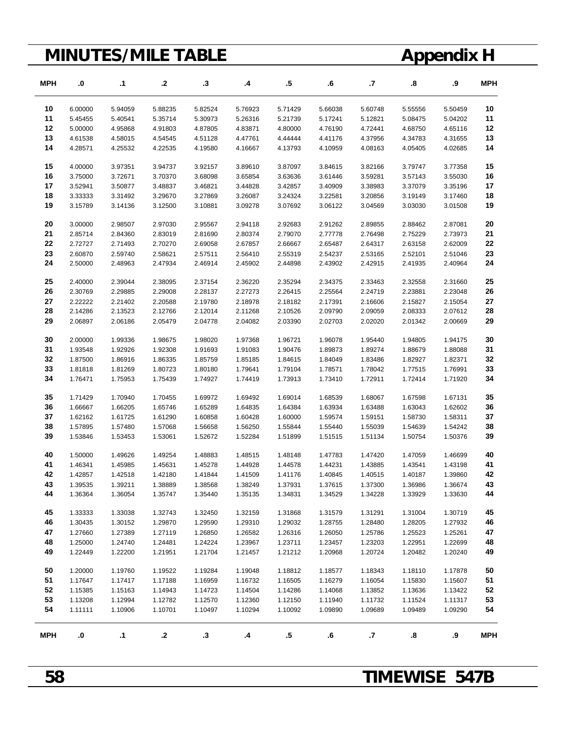# **MINUTES/MILE TABLE Appendix H**

| <b>MPH</b> | .0        | .1        | .2      | .3        | .4      | .5      | .6      | $\cdot$ | 8.      | .9      | <b>MPH</b> |
|------------|-----------|-----------|---------|-----------|---------|---------|---------|---------|---------|---------|------------|
| 10         | 6.00000   | 5.94059   | 5.88235 | 5.82524   | 5.76923 | 5.71429 | 5.66038 | 5.60748 | 5.55556 | 5.50459 | 10         |
| 11         | 5.45455   | 5.40541   | 5.35714 | 5.30973   | 5.26316 | 5.21739 | 5.17241 | 5.12821 | 5.08475 | 5.04202 | 11         |
| 12         | 5.00000   | 4.95868   | 4.91803 | 4.87805   | 4.83871 | 4.80000 | 4.76190 | 4.72441 | 4.68750 | 4.65116 | 12         |
| 13         | 4.61538   | 4.58015   | 4.54545 | 4.51128   | 4.47761 | 4.44444 | 4.41176 | 4.37956 | 4.34783 | 4.31655 | 13         |
| 14         | 4.28571   | 4.25532   | 4.22535 | 4.19580   | 4.16667 | 4.13793 | 4.10959 | 4.08163 | 4.05405 | 4.02685 | 14         |
| 15         | 4.00000   | 3.97351   | 3.94737 | 3.92157   | 3.89610 | 3.87097 | 3.84615 | 3.82166 | 3.79747 | 3.77358 | 15         |
| 16         | 3.75000   | 3.72671   | 3.70370 | 3.68098   | 3.65854 | 3.63636 | 3.61446 | 3.59281 | 3.57143 | 3.55030 | 16         |
| 17         | 3.52941   | 3.50877   | 3.48837 | 3.46821   | 3.44828 | 3.42857 | 3.40909 | 3.38983 | 3.37079 | 3.35196 | 17         |
| 18         | 3.33333   | 3.31492   | 3.29670 | 3.27869   | 3.26087 | 3.24324 | 3.22581 | 3.20856 | 3.19149 | 3.17460 | 18         |
| 19         | 3.15789   | 3.14136   | 3.12500 | 3.10881   | 3.09278 | 3.07692 | 3.06122 | 3.04569 | 3.03030 | 3.01508 | 19         |
| 20         | 3.00000   | 2.98507   | 2.97030 | 2.95567   | 2.94118 | 2.92683 | 2.91262 | 2.89855 | 2.88462 | 2.87081 | 20         |
| 21         | 2.85714   | 2.84360   | 2.83019 | 2.81690   | 2.80374 | 2.79070 | 2.77778 | 2.76498 | 2.75229 | 2.73973 | 21         |
| 22         | 2.72727   | 2.71493   | 2.70270 | 2.69058   | 2.67857 | 2.66667 | 2.65487 | 2.64317 | 2.63158 | 2.62009 | 22         |
| 23         | 2.60870   | 2.59740   | 2.58621 | 2.57511   | 2.56410 | 2.55319 | 2.54237 | 2.53165 | 2.52101 | 2.51046 | 23         |
| 24         | 2.50000   | 2.48963   | 2.47934 | 2.46914   | 2.45902 | 2.44898 | 2.43902 | 2.42915 | 2.41935 | 2.40964 | 24         |
| 25         | 2.40000   | 2.39044   | 2.38095 | 2.37154   | 2.36220 | 2.35294 | 2.34375 | 2.33463 | 2.32558 | 2.31660 | 25         |
| 26         | 2.30769   | 2.29885   | 2.29008 | 2.28137   | 2.27273 | 2.26415 | 2.25564 | 2.24719 | 2.23881 | 2.23048 | 26         |
| 27         | 2.22222   | 2.21402   | 2.20588 | 2.19780   | 2.18978 | 2.18182 | 2.17391 | 2.16606 | 2.15827 | 2.15054 | 27         |
| 28         | 2.14286   | 2.13523   | 2.12766 | 2.12014   | 2.11268 | 2.10526 | 2.09790 | 2.09059 | 2.08333 | 2.07612 | 28         |
| 29         | 2.06897   | 2.06186   | 2.05479 | 2.04778   | 2.04082 | 2.03390 | 2.02703 | 2.02020 | 2.01342 | 2.00669 | 29         |
| 30         | 2.00000   | 1.99336   | 1.98675 | 1.98020   | 1.97368 | 1.96721 | 1.96078 | 1.95440 | 1.94805 | 1.94175 | 30         |
| 31         | 1.93548   | 1.92926   | 1.92308 | 1.91693   | 1.91083 | 1.90476 | 1.89873 | 1.89274 | 1.88679 | 1.88088 | 31         |
| 32         | 1.87500   | 1.86916   | 1.86335 | 1.85759   | 1.85185 | 1.84615 | 1.84049 | 1.83486 | 1.82927 | 1.82371 | 32         |
| 33         | 1.81818   | 1.81269   | 1.80723 | 1.80180   | 1.79641 | 1.79104 | 1.78571 | 1.78042 | 1.77515 | 1.76991 | 33         |
| 34         | 1.76471   | 1.75953   | 1.75439 | 1.74927   | 1.74419 | 1.73913 | 1.73410 | 1.72911 | 1.72414 | 1.71920 | 34         |
| 35         | 1.71429   | 1.70940   | 1.70455 | 1.69972   | 1.69492 | 1.69014 | 1.68539 | 1.68067 | 1.67598 | 1.67131 | 35         |
| 36         | 1.66667   | 1.66205   | 1.65746 | 1.65289   | 1.64835 | 1.64384 | 1.63934 | 1.63488 | 1.63043 | 1.62602 | 36         |
| 37         | 1.62162   | 1.61725   | 1.61290 | 1.60858   | 1.60428 | 1.60000 | 1.59574 | 1.59151 | 1.58730 | 1.58311 | 37         |
| 38         | 1.57895   | 1.57480   | 1.57068 | 1.56658   | 1.56250 | 1.55844 | 1.55440 | 1.55039 | 1.54639 | 1.54242 | 38         |
| 39         | 1.53846   | 1.53453   | 1.53061 | 1.52672   | 1.52284 | 1.51899 | 1.51515 | 1.51134 | 1.50754 | 1.50376 | 39         |
| 40         | 1.50000   | 1.49626   | 1.49254 | 1.48883   | 1.48515 | 1.48148 | 1.47783 | 1.47420 | 1.47059 | 1.46699 | 40         |
| 41         | 1.46341   | 1.45985   | 1.45631 | 1.45278   | 1.44928 | 1.44578 | 1.44231 | 1.43885 | 1.43541 | 1.43198 | 41         |
| 42         | 1.42857   | 1.42518   | 1.42180 | 1.41844   | 1.41509 | 1.41176 | 1.40845 | 1.40515 | 1.40187 | 1.39860 | 42         |
| 43         | 1.39535   | 1.39211   | 1.38889 | 1.38568   | 1.38249 | 1.37931 | 1.37615 | 1.37300 | 1.36986 | 1.36674 | 43         |
| 44         | 1.36364   | 1.36054   | 1.35747 | 1.35440   | 1.35135 | 1.34831 | 1.34529 | 1.34228 | 1.33929 | 1.33630 | 44         |
| 45         | 1.33333   | 1.33038   | 1.32743 | 1.32450   | 1.32159 | 1.31868 | 1.31579 | 1.31291 | 1.31004 | 1.30719 | 45         |
| 46         | 1.30435   | 1.30152   | 1.29870 | 1.29590   | 1.29310 | 1.29032 | 1.28755 | 1.28480 | 1.28205 | 1.27932 | 46         |
| 47         | 1.27660   | 1.27389   | 1.27119 | 1.26850   | 1.26582 | 1.26316 | 1.26050 | 1.25786 | 1.25523 | 1.25261 | 47         |
| 48         | 1.25000   | 1.24740   | 1.24481 | 1.24224   | 1.23967 | 1.23711 | 1.23457 | 1.23203 | 1.22951 | 1.22699 | 48         |
| 49         | 1.22449   | 1.22200   | 1.21951 | 1.21704   | 1.21457 | 1.21212 | 1.20968 | 1.20724 | 1.20482 | 1.20240 | 49         |
| 50         | 1.20000   | 1.19760   | 1.19522 | 1.19284   | 1.19048 | 1.18812 | 1.18577 | 1.18343 | 1.18110 | 1.17878 | 50         |
| 51         | 1.17647   | 1.17417   | 1.17188 | 1.16959   | 1.16732 | 1.16505 | 1.16279 | 1.16054 | 1.15830 | 1.15607 | 51         |
| 52         | 1.15385   | 1.15163   | 1.14943 | 1.14723   | 1.14504 | 1.14286 | 1.14068 | 1.13852 | 1.13636 | 1.13422 | 52         |
| 53         | 1.13208   | 1.12994   | 1.12782 | 1.12570   | 1.12360 | 1.12150 | 1.11940 | 1.11732 | 1.11524 | 1.11317 | 53         |
| 54         | 1.11111   | 1.10906   | 1.10701 | 1.10497   | 1.10294 | 1.10092 | 1.09890 | 1.09689 | 1.09489 | 1.09290 | 54         |
| <b>MPH</b> | $\bf{.0}$ | $\cdot$ 1 | $\cdot$ | $\cdot$ 3 | .4      | $.5\,$  | .6      | .7      | .8      | .9      | <b>MPH</b> |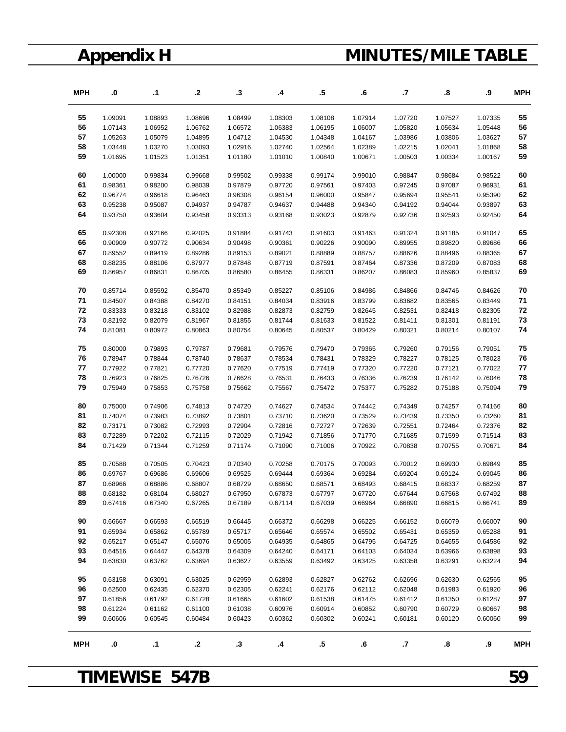# **Appendix H MINUTES/MILE TABLE**

| <b>MPH</b> | .0      | $\cdot$ 1 | .2      | .3      | .4      | $.5\,$  | .6        | .7      | 8.                | .9      | <b>MPH</b> |
|------------|---------|-----------|---------|---------|---------|---------|-----------|---------|-------------------|---------|------------|
| 55         | 1.09091 | 1.08893   | 1.08696 | 1.08499 | 1.08303 | 1.08108 | 1.07914   | 1.07720 | 1.07527           | 1.07335 | 55         |
| 56         | 1.07143 | 1.06952   | 1.06762 | 1.06572 | 1.06383 | 1.06195 | 1.06007   | 1.05820 | 1.05634           | 1.05448 | 56         |
| 57         | 1.05263 | 1.05079   | 1.04895 | 1.04712 | 1.04530 | 1.04348 | 1.04167   | 1.03986 | 1.03806           | 1.03627 | 57         |
| 58         | 1.03448 | 1.03270   | 1.03093 | 1.02916 | 1.02740 | 1.02564 | 1.02389   | 1.02215 | 1.02041           | 1.01868 | 58         |
| 59         | 1.01695 | 1.01523   | 1.01351 | 1.01180 | 1.01010 | 1.00840 | 1.00671   | 1.00503 | 1.00334           | 1.00167 | 59         |
| 60         | 1.00000 | 0.99834   | 0.99668 | 0.99502 | 0.99338 | 0.99174 | 0.99010   | 0.98847 | 0.98684           | 0.98522 | 60         |
| 61         | 0.98361 | 0.98200   | 0.98039 | 0.97879 | 0.97720 | 0.97561 | 0.97403   | 0.97245 | 0.97087           | 0.96931 | 61         |
| 62         | 0.96774 | 0.96618   | 0.96463 | 0.96308 | 0.96154 | 0.96000 | 0.95847   | 0.95694 | 0.95541           | 0.95390 | 62         |
| 63         | 0.95238 | 0.95087   | 0.94937 | 0.94787 | 0.94637 | 0.94488 | 0.94340   | 0.94192 | 0.94044           | 0.93897 | 63         |
| 64         | 0.93750 | 0.93604   | 0.93458 | 0.93313 | 0.93168 | 0.93023 | 0.92879   | 0.92736 | 0.92593           | 0.92450 | 64         |
| 65         | 0.92308 | 0.92166   | 0.92025 | 0.91884 | 0.91743 | 0.91603 | 0.91463   | 0.91324 | 0.91185           | 0.91047 | 65         |
| 66         | 0.90909 | 0.90772   | 0.90634 | 0.90498 | 0.90361 | 0.90226 | 0.90090   | 0.89955 | 0.89820           | 0.89686 | 66         |
| 67         | 0.89552 | 0.89419   | 0.89286 | 0.89153 | 0.89021 | 0.88889 | 0.88757   | 0.88626 | 0.88496           | 0.88365 | 67         |
| 68         | 0.88235 | 0.88106   | 0.87977 | 0.87848 | 0.87719 | 0.87591 | 0.87464   | 0.87336 | 0.87209           | 0.87083 | 68         |
| 69         | 0.86957 | 0.86831   | 0.86705 | 0.86580 | 0.86455 | 0.86331 | 0.86207   | 0.86083 | 0.85960           | 0.85837 | 69         |
| 70         | 0.85714 | 0.85592   | 0.85470 | 0.85349 | 0.85227 | 0.85106 | 0.84986   | 0.84866 | 0.84746           | 0.84626 | 70         |
| 71         | 0.84507 | 0.84388   | 0.84270 | 0.84151 | 0.84034 | 0.83916 | 0.83799   | 0.83682 | 0.83565           | 0.83449 | 71         |
| 72         | 0.83333 | 0.83218   | 0.83102 | 0.82988 | 0.82873 | 0.82759 | 0.82645   | 0.82531 | 0.82418           | 0.82305 | 72         |
| 73         | 0.82192 | 0.82079   | 0.81967 | 0.81855 | 0.81744 | 0.81633 | 0.81522   | 0.81411 | 0.81301           | 0.81191 | 73         |
| 74         | 0.81081 | 0.80972   | 0.80863 | 0.80754 | 0.80645 | 0.80537 | 0.80429   | 0.80321 | 0.80214           | 0.80107 | 74         |
| 75         | 0.80000 | 0.79893   | 0.79787 | 0.79681 | 0.79576 | 0.79470 | 0.79365   | 0.79260 | 0.79156           | 0.79051 | 75         |
| 76         | 0.78947 | 0.78844   | 0.78740 | 0.78637 | 0.78534 | 0.78431 | 0.78329   | 0.78227 | 0.78125           | 0.78023 | 76         |
| 77         | 0.77922 | 0.77821   | 0.77720 | 0.77620 | 0.77519 | 0.77419 | 0.77320   | 0.77220 | 0.77121           | 0.77022 | 77         |
| 78         | 0.76923 | 0.76825   | 0.76726 | 0.76628 | 0.76531 | 0.76433 | 0.76336   | 0.76239 | 0.76142           | 0.76046 | 78         |
| 79         | 0.75949 | 0.75853   | 0.75758 | 0.75662 | 0.75567 | 0.75472 | 0.75377   | 0.75282 | 0.75188           | 0.75094 | 79         |
| 80         | 0.75000 | 0.74906   | 0.74813 | 0.74720 | 0.74627 | 0.74534 | 0.74442   | 0.74349 | 0.74257           | 0.74166 | 80         |
| 81         | 0.74074 | 0.73983   | 0.73892 | 0.73801 | 0.73710 | 0.73620 | 0.73529   | 0.73439 | 0.73350           | 0.73260 | 81         |
| 82         | 0.73171 | 0.73082   | 0.72993 | 0.72904 | 0.72816 | 0.72727 | 0.72639   | 0.72551 | 0.72464           | 0.72376 | 82         |
| 83         | 0.72289 | 0.72202   | 0.72115 | 0.72029 | 0.71942 | 0.71856 | 0.71770   | 0.71685 | 0.71599           | 0.71514 | 83         |
| 84         | 0.71429 | 0.71344   | 0.71259 | 0.71174 | 0.71090 | 0.71006 | 0.70922   | 0.70838 | 0.70755           | 0.70671 | 84         |
| 85         | 0.70588 | 0.70505   | 0.70423 | 0.70340 | 0.70258 | 0.70175 | 0.70093   | 0.70012 | 0.69930           | 0.69849 | 85         |
| 86         | 0.69767 | 0.69686   | 0.69606 | 0.69525 | 0.69444 | 0.69364 | 0.69284   | 0.69204 | 0.69124           | 0.69045 | 86         |
| 87         | 0.68966 | 0.68886   | 0.68807 | 0.68729 | 0.68650 | 0.68571 | 0.68493   | 0.68415 | 0.68337           | 0.68259 | 87         |
| 88         | 0.68182 | 0.68104   | 0.68027 | 0.67950 | 0.67873 | 0.67797 | 0.67720   | 0.67644 | 0.67568           | 0.67492 | 88         |
| 89         | 0.67416 | 0.67340   | 0.67265 | 0.67189 | 0.67114 | 0.67039 | 0.66964   | 0.66890 | 0.66815           | 0.66741 | 89         |
| 90         | 0.66667 | 0.66593   | 0.66519 | 0.66445 | 0.66372 | 0.66298 | 0.66225   | 0.66152 | 0.66079           | 0.66007 | 90         |
| 91         | 0.65934 | 0.65862   | 0.65789 | 0.65717 | 0.65646 | 0.65574 | 0.65502   | 0.65431 | 0.65359           | 0.65288 | 91         |
| 92         | 0.65217 | 0.65147   | 0.65076 | 0.65005 | 0.64935 | 0.64865 | 0.64795   | 0.64725 | 0.64655           | 0.64586 | 92         |
| 93         | 0.64516 | 0.64447   | 0.64378 | 0.64309 | 0.64240 | 0.64171 | 0.64103   | 0.64034 | 0.63966           | 0.63898 | 93         |
| 94         | 0.63830 | 0.63762   | 0.63694 | 0.63627 | 0.63559 | 0.63492 | 0.63425   | 0.63358 | 0.63291           | 0.63224 | 94         |
| 95         | 0.63158 | 0.63091   | 0.63025 | 0.62959 | 0.62893 | 0.62827 | 0.62762   | 0.62696 | 0.62630           | 0.62565 | 95         |
| 96         | 0.62500 | 0.62435   | 0.62370 | 0.62305 | 0.62241 | 0.62176 | 0.62112   | 0.62048 | 0.61983           | 0.61920 | 96         |
| 97         | 0.61856 | 0.61792   | 0.61728 | 0.61665 | 0.61602 | 0.61538 | 0.61475   | 0.61412 | 0.61350           | 0.61287 | 97         |
| 98         | 0.61224 | 0.61162   | 0.61100 | 0.61038 | 0.60976 | 0.60914 | 0.60852   | 0.60790 | 0.60729           | 0.60667 | 98         |
| 99         | 0.60606 | 0.60545   | 0.60484 | 0.60423 | 0.60362 | 0.60302 | 0.60241   | 0.60181 | 0.60120           | 0.60060 | 99         |
| <b>MPH</b> | .0      | $\cdot$ 1 | $\cdot$ | .3      | .4      | $.5\,$  | $\cdot 6$ | .7      | $\boldsymbol{.8}$ | .9      | <b>MPH</b> |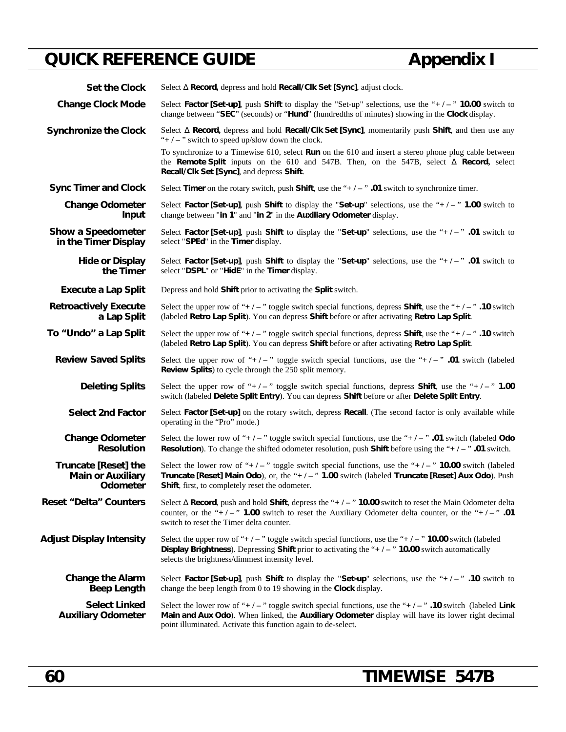# **QUICK REFERENCE GUIDE Appendix I**

| <b>Set the Clock</b>                                                | Select Record, depress and hold Recall/Clk Set [Sync], adjust clock.                                                                                                                                                                                                                        |  |  |  |  |  |  |
|---------------------------------------------------------------------|---------------------------------------------------------------------------------------------------------------------------------------------------------------------------------------------------------------------------------------------------------------------------------------------|--|--|--|--|--|--|
| <b>Change Clock Mode</b>                                            | Select Factor [Set-up], push Shift to display the "Set-up" selections, use the "+/-" 10.00 switch to<br>change between "SEC" (seconds) or "Hund" (hundredths of minutes) showing in the Clock display.                                                                                      |  |  |  |  |  |  |
| <b>Synchronize the Clock</b>                                        | Record, depress and hold Recall/Clk Set [Sync], momentarily push Shift, and then use any<br>Select<br>"+ $/ -$ " switch to speed up/slow down the clock.                                                                                                                                    |  |  |  |  |  |  |
|                                                                     | To synchronize to a Timewise 610, select Run on the 610 and insert a stereo phone plug cable between<br>the Remote Split inputs on the 610 and 547B. Then, on the 547B, select<br>Record, select<br>Recall/Clk Set [Sync], and depress Shift.                                               |  |  |  |  |  |  |
| <b>Sync Timer and Clock</b>                                         | Select Timer on the rotary switch, push Shift, use the " $+/-$ ". 01 switch to synchronize timer.                                                                                                                                                                                           |  |  |  |  |  |  |
| <b>Change Odometer</b><br>Input                                     | Select Factor [Set-up], push Shift to display the "Set-up" selections, use the " $+/-$ " 1.00 switch to<br>change between "in 1" and "in 2" in the Auxiliary Odometer display.                                                                                                              |  |  |  |  |  |  |
| Show a Speedometer<br>in the Timer Display                          | Select Factor [Set-up], push Shift to display the "Set-up" selections, use the "+/-" .01 switch to<br>select "SPEd" in the Timer display.                                                                                                                                                   |  |  |  |  |  |  |
| <b>Hide or Display</b><br>the Timer                                 | Select Factor [Set-up], push Shift to display the "Set-up" selections, use the "+ $/ -$ " .01 switch to<br>select "DSPL" or "HidE" in the Timer display.                                                                                                                                    |  |  |  |  |  |  |
| <b>Execute a Lap Split</b>                                          | Depress and hold Shift prior to activating the Split switch.                                                                                                                                                                                                                                |  |  |  |  |  |  |
| <b>Retroactively Execute</b><br>a Lap Split                         | Select the upper row of "+ $/$ - " toggle switch special functions, depress <b>Shift</b> , use the "+ $/$ - " .10 switch<br>(labeled Retro Lap Split). You can depress Shift before or after activating Retro Lap Split.                                                                    |  |  |  |  |  |  |
| To "Undo" a Lap Split                                               | Select the upper row of "+/-" toggle switch special functions, depress <b>Shift</b> , use the "+/-" .10 switch<br>(labeled Retro Lap Split). You can depress Shift before or after activating Retro Lap Split.                                                                              |  |  |  |  |  |  |
| <b>Review Saved Splits</b>                                          | Select the upper row of "+/-" toggle switch special functions, use the "+/-" .01 switch (labeled<br>Review Splits) to cycle through the 250 split memory.                                                                                                                                   |  |  |  |  |  |  |
| <b>Deleting Splits</b>                                              | Select the upper row of "+/-" toggle switch special functions, depress <b>Shift</b> , use the "+/-" 1.00<br>switch (labeled Delete Split Entry). You can depress Shift before or after Delete Split Entry.                                                                                  |  |  |  |  |  |  |
| <b>Select 2nd Factor</b>                                            | Select Factor [Set-up] on the rotary switch, depress Recall. (The second factor is only available while<br>operating in the "Pro" mode.)                                                                                                                                                    |  |  |  |  |  |  |
| <b>Change Odometer</b><br><b>Resolution</b>                         | Select the lower row of "+/-" toggle switch special functions, use the "+/-" .01 switch (labeled Odo<br><b>Resolution</b> ). To change the shifted odometer resolution, push <b>Shift</b> before using the "+ $/ -$ " .01 switch.                                                           |  |  |  |  |  |  |
| <b>Truncate [Reset] the</b><br><b>Main or Auxiliary</b><br>Odometer | Select the lower row of "+/-" toggle switch special functions, use the "+/-" 10.00 switch (labeled<br>Truncate [Reset] Main Odo), or, the "+/-" 1.00 switch (labeled Truncate [Reset] Aux Odo). Push<br>Shift, first, to completely reset the odometer.                                     |  |  |  |  |  |  |
| <b>Reset "Delta" Counters</b>                                       | Select Record, push and hold Shift, depress the " $+/-$ " 10.00 switch to reset the Main Odometer delta<br>counter, or the "+/-" 1.00 switch to reset the Auxiliary Odometer delta counter, or the "+/-" .01<br>switch to reset the Timer delta counter.                                    |  |  |  |  |  |  |
| <b>Adjust Display Intensity</b>                                     | Select the upper row of "+ $l -$ " toggle switch special functions, use the "+ $l -$ " 10.00 switch (labeled<br><b>Display Brightness</b> ). Depressing <b>Shift</b> prior to activating the " $+/-$ " <b>10.00</b> switch automatically<br>selects the brightness/dimmest intensity level. |  |  |  |  |  |  |
| <b>Change the Alarm</b><br><b>Beep Length</b>                       | Select Factor [Set-up], push Shift to display the "Set-up" selections, use the "+/-" .10 switch to<br>change the beep length from 0 to 19 showing in the Clock display.                                                                                                                     |  |  |  |  |  |  |
| <b>Select Linked</b><br><b>Auxiliary Odometer</b>                   | Select the lower row of "+/-" toggle switch special functions, use the "+/-" .10 switch (labeled Link<br>Main and Aux Odo). When linked, the Auxiliary Odometer display will have its lower right decimal<br>point illuminated. Activate this function again to de-select.                  |  |  |  |  |  |  |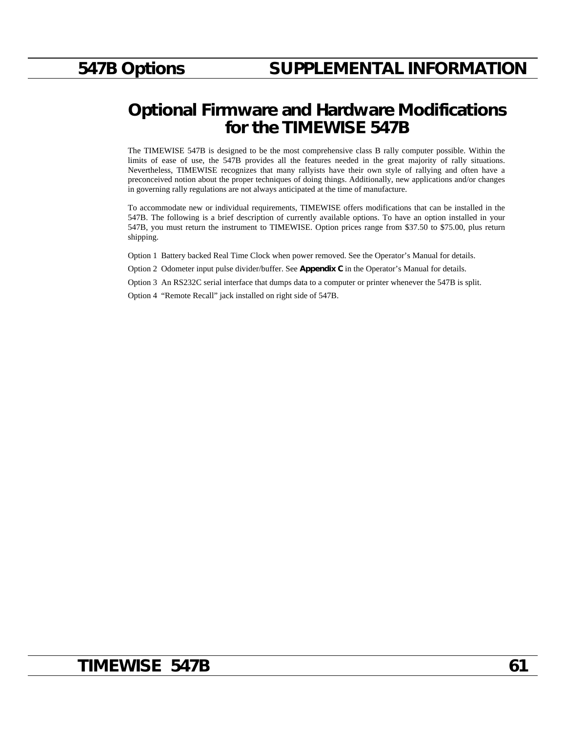## **Optional Firmware and Hardware Modifications for the TIMEWISE 547B**

The TIMEWISE 547B is designed to be the most comprehensive class B rally computer possible. Within the limits of ease of use, the 547B provides all the features needed in the great majority of rally situations. Nevertheless, TIMEWISE recognizes that many rallyists have their own style of rallying and often have a preconceived notion about the proper techniques of doing things. Additionally, new applications and/or changes in governing rally regulations are not always anticipated at the time of manufacture.

To accommodate new or individual requirements, TIMEWISE offers modifications that can be installed in the 547B. The following is a brief description of currently available options. To have an option installed in your 547B, you must return the instrument to TIMEWISE. Option prices range from \$37.50 to \$75.00, plus return shipping.

Option 1 Battery backed Real Time Clock when power removed. See the Operator's Manual for details.

Option 2 Odometer input pulse divider/buffer. See **Appendix C** in the Operator's Manual for details.

Option 3 An RS232C serial interface that dumps data to a computer or printer whenever the 547B is split.

Option 4 "Remote Recall" jack installed on right side of 547B.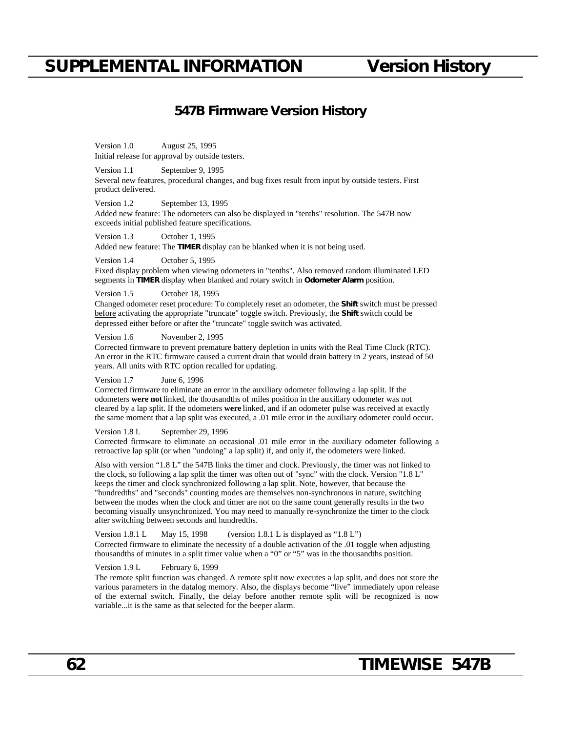## **SUPPLEMENTAL INFORMATION Version History**

### **547B Firmware Version History**

Version 1.0 August 25, 1995 Initial release for approval by outside testers.

Version 1.1 September 9, 1995

Several new features, procedural changes, and bug fixes result from input by outside testers. First product delivered.

Version 1.2 September 13, 1995

Added new feature: The odometers can also be displayed in "tenths" resolution. The 547B now exceeds initial published feature specifications.

Version 1.3 October 1, 1995

Added new feature: The **TIMER** display can be blanked when it is not being used.

Version 1.4 October 5, 1995

Fixed display problem when viewing odometers in "tenths". Also removed random illuminated LED segments in **TIMER** display when blanked and rotary switch in **Odometer Alarm** position.

Version 1.5 October 18, 1995

Changed odometer reset procedure: To completely reset an odometer, the **Shift** switch must be pressed before activating the appropriate "truncate" toggle switch. Previously, the **Shift** switch could be depressed either before or after the "truncate" toggle switch was activated.

Version 1.6 November 2, 1995

Corrected firmware to prevent premature battery depletion in units with the Real Time Clock (RTC). An error in the RTC firmware caused a current drain that would drain battery in 2 years, instead of 50 years. All units with RTC option recalled for updating.

Version 1.7 June 6, 1996

Corrected firmware to eliminate an error in the auxiliary odometer following a lap split. If the odometers **were not** linked, the thousandths of miles position in the auxiliary odometer was not cleared by a lap split. If the odometers **were** linked, and if an odometer pulse was received at exactly the same moment that a lap split was executed, a .01 mile error in the auxiliary odometer could occur.

#### Version 1.8 L September 29, 1996

Corrected firmware to eliminate an occasional .01 mile error in the auxiliary odometer following a retroactive lap split (or when "undoing" a lap split) if, and only if, the odometers were linked.

Also with version "1.8 L" the 547B links the timer and clock. Previously, the timer was not linked to the clock, so following a lap split the timer was often out of "sync" with the clock. Version "1.8 L" keeps the timer and clock synchronized following a lap split. Note, however, that because the "hundredths" and "seconds" counting modes are themselves non-synchronous in nature, switching between the modes when the clock and timer are not on the same count generally results in the two becoming visually unsynchronized. You may need to manually re-synchronize the timer to the clock after switching between seconds and hundredths.

Version 1.8.1 L May 15, 1998 (version 1.8.1 L is displayed as "1.8 L") Corrected firmware to eliminate the necessity of a double activation of the .01 toggle when adjusting thousandths of minutes in a split timer value when a "0" or "5" was in the thousandths position.

Version 1.9 L February 6, 1999

The remote split function was changed. A remote split now executes a lap split, and does not store the various parameters in the datalog memory. Also, the displays become "live" immediately upon release of the external switch. Finally, the delay before another remote split will be recognized is now variable...it is the same as that selected for the beeper alarm.